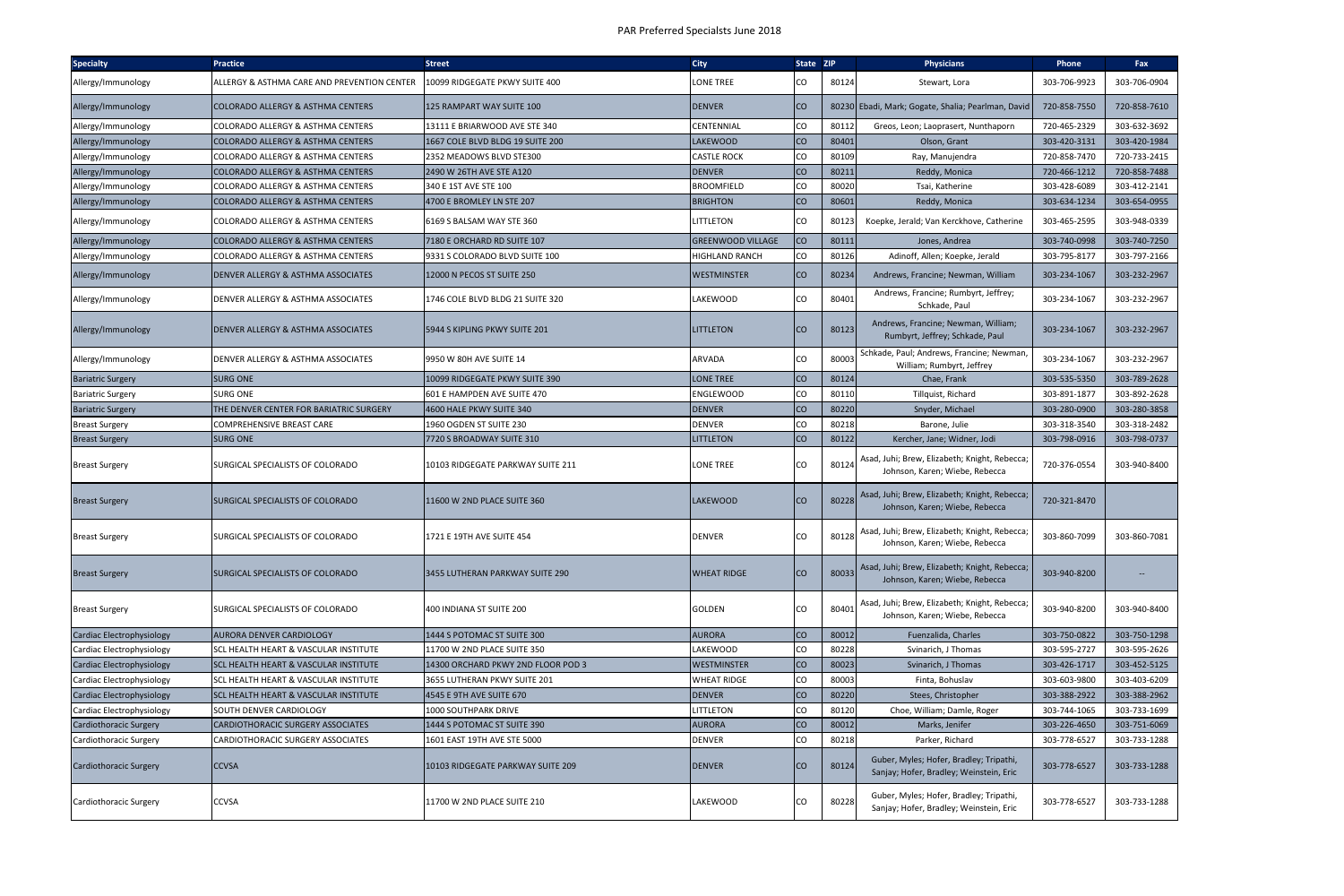| <b>Specialty</b>              | <b>Practice</b>                                  | <b>Street</b>                      | <b>City</b>           | State ZIP |       | <b>Physicians</b>                                                                  | Phone        | Fax          |
|-------------------------------|--------------------------------------------------|------------------------------------|-----------------------|-----------|-------|------------------------------------------------------------------------------------|--------------|--------------|
| Allergy/Immunology            | ALLERGY & ASTHMA CARE AND PREVENTION CENTER      | 10099 RIDGEGATE PKWY SUITE 400     | LONE TREE             | CO        | 80124 | Stewart, Lora                                                                      | 303-706-9923 | 303-706-0904 |
| Allergy/Immunology            | COLORADO ALLERGY & ASTHMA CENTERS                | 125 RAMPART WAY SUITE 100          | <b>DENVER</b>         | <b>CO</b> |       | 80230 Ebadi, Mark; Gogate, Shalia; Pearlman, David                                 | 720-858-7550 | 720-858-7610 |
| Allergy/Immunology            | <b>COLORADO ALLERGY &amp; ASTHMA CENTERS</b>     | 13111 E BRIARWOOD AVE STE 340      | CENTENNIAL            | CO        | 80112 | Greos, Leon; Laoprasert, Nunthaporn                                                | 720-465-2329 | 303-632-3692 |
| Allergy/Immunology            | <b>COLORADO ALLERGY &amp; ASTHMA CENTERS</b>     | 1667 COLE BLVD BLDG 19 SUITE 200   | <b>LAKEWOOD</b>       | <b>CO</b> | 80401 | Olson, Grant                                                                       | 303-420-3131 | 303-420-1984 |
| Allergy/Immunology            | <b>COLORADO ALLERGY &amp; ASTHMA CENTERS</b>     | 2352 MEADOWS BLVD STE300           | CASTLE ROCK           | CO        | 80109 | Ray, Manujendra                                                                    | 720-858-7470 | 720-733-2415 |
| Allergy/Immunology            | <b>COLORADO ALLERGY &amp; ASTHMA CENTERS</b>     | 2490 W 26TH AVE STE A120           | <b>DENVER</b>         | CO        | 80211 | Reddy, Monica                                                                      | 720-466-1212 | 720-858-7488 |
| Allergy/Immunology            | <b>COLORADO ALLERGY &amp; ASTHMA CENTERS</b>     | 340 E 1ST AVE STE 100              | <b>BROOMFIELD</b>     | CO        | 80020 | Tsai, Katherine                                                                    | 303-428-6089 | 303-412-2141 |
| Allergy/Immunology            | <b>COLORADO ALLERGY &amp; ASTHMA CENTERS</b>     | 4700 E BROMLEY LN STE 207          | BRIGHTON              | <b>CO</b> | 80601 | Reddy, Monica                                                                      | 303-634-1234 | 303-654-0955 |
| Allergy/Immunology            | <b>COLORADO ALLERGY &amp; ASTHMA CENTERS</b>     | 6169 S BALSAM WAY STE 360          | LITTLETON             | lCO       | 80123 | Koepke, Jerald; Van Kerckhove, Catherine                                           | 303-465-2595 | 303-948-0339 |
| Allergy/Immunology            | <b>COLORADO ALLERGY &amp; ASTHMA CENTERS</b>     | 7180 E ORCHARD RD SUITE 107        | GREENWOOD VILLAGE     | <b>CO</b> | 80111 | Jones, Andrea                                                                      | 303-740-0998 | 303-740-7250 |
| Allergy/Immunology            | <b>COLORADO ALLERGY &amp; ASTHMA CENTERS</b>     | 9331 S COLORADO BLVD SUITE 100     | <b>HIGHLAND RANCH</b> | CO        | 80126 | Adinoff, Allen; Koepke, Jerald                                                     | 303-795-8177 | 303-797-2166 |
| Allergy/Immunology            | <b>DENVER ALLERGY &amp; ASTHMA ASSOCIATES</b>    | 12000 N PECOS ST SUITE 250         | WESTMINSTER           | <b>CO</b> | 80234 | Andrews, Francine; Newman, William                                                 | 303-234-1067 | 303-232-2967 |
| Allergy/Immunology            | DENVER ALLERGY & ASTHMA ASSOCIATES               | 1746 COLE BLVD BLDG 21 SUITE 320   | <b>LAKEWOOD</b>       | <b>CO</b> | 80401 | Andrews, Francine; Rumbyrt, Jeffrey;<br>Schkade, Paul                              | 303-234-1067 | 303-232-2967 |
| Allergy/Immunology            | DENVER ALLERGY & ASTHMA ASSOCIATES               | 5944 S KIPLING PKWY SUITE 201      | LITTLETON             | <b>CO</b> | 80123 | Andrews, Francine; Newman, William;<br>Rumbyrt, Jeffrey; Schkade, Paul             | 303-234-1067 | 303-232-2967 |
| Allergy/Immunology            | DENVER ALLERGY & ASTHMA ASSOCIATES               | 9950 W 80H AVE SUITE 14            | <b>ARVADA</b>         | CO        | 80003 | Schkade, Paul; Andrews, Francine; Newman,<br>William; Rumbyrt, Jeffrey             | 303-234-1067 | 303-232-2967 |
| <b>Bariatric Surgery</b>      | <b>SURG ONE</b>                                  | 10099 RIDGEGATE PKWY SUITE 390     | <b>LONE TREE</b>      | <b>CO</b> | 80124 | Chae, Frank                                                                        | 303-535-5350 | 303-789-2628 |
| <b>Bariatric Surgery</b>      | <b>SURG ONE</b>                                  | 601 E HAMPDEN AVE SUITE 470        | <b>ENGLEWOOD</b>      | CO        | 80110 | Tillquist, Richard                                                                 | 303-891-1877 | 303-892-2628 |
| <b>Bariatric Surgery</b>      | THE DENVER CENTER FOR BARIATRIC SURGERY          | 4600 HALE PKWY SUITE 340           | <b>DENVER</b>         | <b>CO</b> | 80220 | Snyder, Michael                                                                    | 303-280-0900 | 303-280-3858 |
| <b>Breast Surgery</b>         | <b>COMPREHENSIVE BREAST CARE</b>                 | 1960 OGDEN ST SUITE 230            | <b>DENVER</b>         | CO        | 80218 | Barone, Julie                                                                      | 303-318-3540 | 303-318-2482 |
| <b>Breast Surgery</b>         | <b>SURG ONE</b>                                  | 7720 S BROADWAY SUITE 310          | <b>LITTLETON</b>      | <b>CO</b> | 80122 | Kercher, Jane; Widner, Jodi                                                        | 303-798-0916 | 303-798-0737 |
| <b>Breast Surgery</b>         | SURGICAL SPECIALISTS OF COLORADO                 | 10103 RIDGEGATE PARKWAY SUITE 211  | LONE TREE             | CO.       | 80124 | Asad, Juhi; Brew, Elizabeth; Knight, Rebecca;<br>Johnson, Karen; Wiebe, Rebecca    | 720-376-0554 | 303-940-8400 |
| <b>Breast Surgery</b>         | SURGICAL SPECIALISTS OF COLORADO                 | 11600 W 2ND PLACE SUITE 360        | LAKEWOOD              | <b>CO</b> | 80228 | Asad, Juhi; Brew, Elizabeth; Knight, Rebecca;<br>Johnson, Karen; Wiebe, Rebecca    | 720-321-8470 |              |
| <b>Breast Surgery</b>         | SURGICAL SPECIALISTS OF COLORADO                 | 1721 E 19TH AVE SUITE 454          | <b>DENVER</b>         | CO        | 80128 | Asad, Juhi; Brew, Elizabeth; Knight, Rebecca;<br>Johnson, Karen; Wiebe, Rebecca    | 303-860-7099 | 303-860-7081 |
| <b>Breast Surgery</b>         | SURGICAL SPECIALISTS OF COLORADO                 | 3455 LUTHERAN PARKWAY SUITE 290    | <b>WHEAT RIDGE</b>    | <b>CO</b> | 80033 | Asad, Juhi; Brew, Elizabeth; Knight, Rebecca;<br>Johnson, Karen; Wiebe, Rebecca    | 303-940-8200 | <b>H</b>     |
| <b>Breast Surgery</b>         | SURGICAL SPECIALISTS OF COLORADO                 | 400 INDIANA ST SUITE 200           | <b>GOLDEN</b>         | CO        | 80401 | Asad, Juhi; Brew, Elizabeth; Knight, Rebecca;<br>Johnson, Karen; Wiebe, Rebecca    | 303-940-8200 | 303-940-8400 |
| Cardiac Electrophysiology     | <b>AURORA DENVER CARDIOLOGY</b>                  | 1444 S POTOMAC ST SUITE 300        | <b>AURORA</b>         | <b>CO</b> | 80012 | Fuenzalida, Charles                                                                | 303-750-0822 | 303-750-1298 |
| Cardiac Electrophysiology     | <b>SCL HEALTH HEART &amp; VASCULAR INSTITUTE</b> | 11700 W 2ND PLACE SUITE 350        | LAKEWOOD              | CO        | 80228 | Svinarich, J Thomas                                                                | 303-595-2727 | 303-595-2626 |
| Cardiac Electrophysiology     | <b>SCL HEALTH HEART &amp; VASCULAR INSTITUTE</b> | 14300 ORCHARD PKWY 2ND FLOOR POD 3 | <b>WESTMINSTER</b>    | <b>CO</b> | 80023 | Svinarich, J Thomas                                                                | 303-426-1717 | 303-452-5125 |
| Cardiac Electrophysiology     | <b>SCL HEALTH HEART &amp; VASCULAR INSTITUTE</b> | 3655 LUTHERAN PKWY SUITE 201       | <b>WHEAT RIDGE</b>    | CO        | 80003 | Finta, Bohuslav                                                                    | 303-603-9800 | 303-403-6209 |
| Cardiac Electrophysiology     | <b>SCL HEALTH HEART &amp; VASCULAR INSTITUTE</b> | 4545 E 9TH AVE SUITE 670           | <b>DENVER</b>         | <b>CO</b> | 80220 | Stees, Christopher                                                                 | 303-388-2922 | 303-388-2962 |
| Cardiac Electrophysiology     | SOUTH DENVER CARDIOLOGY                          | 1000 SOUTHPARK DRIVE               | LITTLETON             | CO        | 80120 | Choe, William; Damle, Roger                                                        | 303-744-1065 | 303-733-1699 |
| <b>Cardiothoracic Surgery</b> | <b>CARDIOTHORACIC SURGERY ASSOCIATES</b>         | 1444 S POTOMAC ST SUITE 390        | <b>AURORA</b>         | <b>CO</b> | 80012 | Marks, Jenifer                                                                     | 303-226-4650 | 303-751-6069 |
| Cardiothoracic Surgery        | CARDIOTHORACIC SURGERY ASSOCIATES                | 1601 EAST 19TH AVE STE 5000        | <b>DENVER</b>         | CO        | 80218 | Parker, Richard                                                                    | 303-778-6527 | 303-733-1288 |
| <b>Cardiothoracic Surgery</b> | <b>CCVSA</b>                                     | 10103 RIDGEGATE PARKWAY SUITE 209  | <b>DENVER</b>         | <b>CO</b> | 80124 | Guber, Myles; Hofer, Bradley; Tripathi,<br>Sanjay; Hofer, Bradley; Weinstein, Eric | 303-778-6527 | 303-733-1288 |
| Cardiothoracic Surgery        | <b>CCVSA</b>                                     | 11700 W 2ND PLACE SUITE 210        | LAKEWOOD              | CO        | 80228 | Guber, Myles; Hofer, Bradley; Tripathi,<br>Sanjay; Hofer, Bradley; Weinstein, Eric | 303-778-6527 | 303-733-1288 |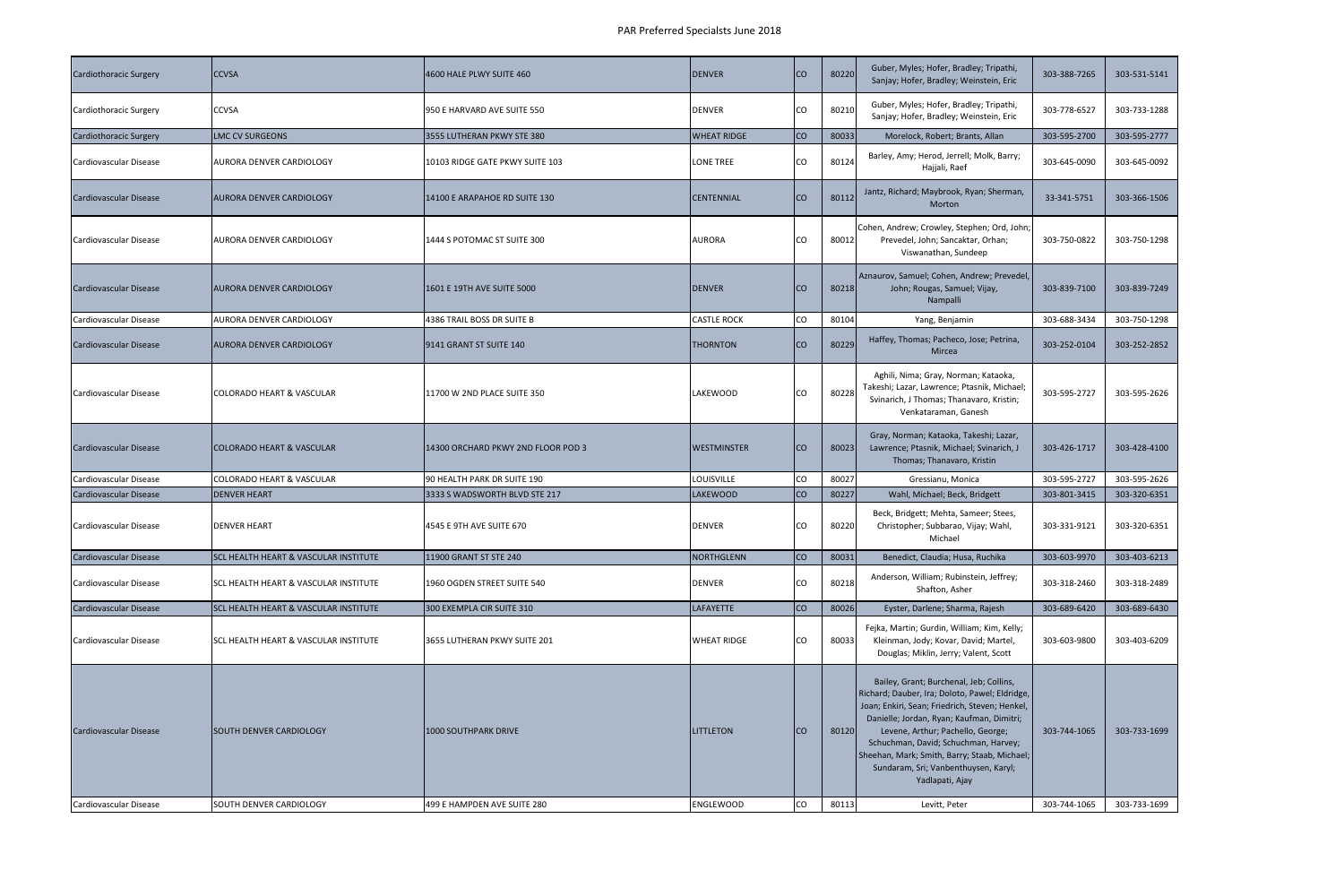| <b>Cardiothoracic Surgery</b> | <b>CCVSA</b>                                              | 4600 HALE PLWY SUITE 460                            | <b>DENVER</b>                        | <b>CO</b>        | 80220          | Guber, Myles; Hofer, Bradley; Tripathi,<br>Sanjay; Hofer, Bradley; Weinstein, Eric                                                                                                                    | 303-388-7265                 | 303-531-5141                 |
|-------------------------------|-----------------------------------------------------------|-----------------------------------------------------|--------------------------------------|------------------|----------------|-------------------------------------------------------------------------------------------------------------------------------------------------------------------------------------------------------|------------------------------|------------------------------|
| Cardiothoracic Surgery        | <b>CCVSA</b>                                              | 950 E HARVARD AVE SUITE 550                         | <b>DENVER</b>                        | lco              | 80210          | Guber, Myles; Hofer, Bradley; Tripathi,<br>Sanjay; Hofer, Bradley; Weinstein, Eric                                                                                                                    | 303-778-6527                 | 303-733-1288                 |
| <b>Cardiothoracic Surgery</b> | LMC CV SURGEONS                                           | 3555 LUTHERAN PKWY STE 380                          | <b>WHEAT RIDGE</b>                   | co               | 80033          | Morelock, Robert; Brants, Allan                                                                                                                                                                       | 303-595-2700                 | 303-595-2777                 |
| Cardiovascular Disease        | <b>AURORA DENVER CARDIOLOGY</b>                           | 10103 RIDGE GATE PKWY SUITE 103                     | <b>LONE TREE</b>                     | CO               | 80124          | Barley, Amy; Herod, Jerrell; Molk, Barry;<br>Hajjali, Raef                                                                                                                                            | 303-645-0090                 | 303-645-0092                 |
| Cardiovascular Disease        | AURORA DENVER CARDIOLOGY                                  | 14100 E ARAPAHOE RD SUITE 130                       | <b>CENTENNIAL</b>                    | <b>I</b> co      | 80112          | Jantz, Richard; Maybrook, Ryan; Sherman,<br>Morton                                                                                                                                                    | 33-341-5751                  | 303-366-1506                 |
| Cardiovascular Disease        | <b>AURORA DENVER CARDIOLOGY</b>                           | 1444 S POTOMAC ST SUITE 300                         | <b>AURORA</b>                        | ICO              | 80012          | Cohen, Andrew; Crowley, Stephen; Ord, John;<br>Prevedel, John; Sancaktar, Orhan;<br>Viswanathan, Sundeep                                                                                              | 303-750-0822                 | 303-750-1298                 |
| <b>Cardiovascular Disease</b> | <b>AURORA DENVER CARDIOLOGY</b>                           | 1601 E 19TH AVE SUITE 5000                          | <b>DENVER</b>                        | ICO.             | 80218          | Aznaurov, Samuel; Cohen, Andrew; Prevedel,<br>John; Rougas, Samuel; Vijay,<br>Nampalli                                                                                                                | 303-839-7100                 | 303-839-7249                 |
| Cardiovascular Disease        | <b>AURORA DENVER CARDIOLOGY</b>                           | 4386 TRAIL BOSS DR SUITE B                          | <b>CASTLE ROCK</b>                   | <b>CO</b>        | 80104          | Yang, Benjamin                                                                                                                                                                                        | 303-688-3434                 | 303-750-1298                 |
| Cardiovascular Disease        | <b>AURORA DENVER CARDIOLOGY</b>                           | 9141 GRANT ST SUITE 140                             | <b>THORNTON</b>                      | Ico              | 80229          | Haffey, Thomas; Pacheco, Jose; Petrina,<br>Mircea                                                                                                                                                     | 303-252-0104                 | 303-252-2852                 |
| Cardiovascular Disease        | <b>COLORADO HEART &amp; VASCULAR</b>                      | 11700 W 2ND PLACE SUITE 350                         | LAKEWOOD                             | lCO              | 80228          | Aghili, Nima; Gray, Norman; Kataoka,<br>Takeshi; Lazar, Lawrence; Ptasnik, Michael;<br>Svinarich, J Thomas; Thanavaro, Kristin;<br>Venkataraman, Ganesh                                               | 303-595-2727                 | 303-595-2626                 |
| Cardiovascular Disease        | <b>COLORADO HEART &amp; VASCULAR</b>                      | 14300 ORCHARD PKWY 2ND FLOOR POD 3                  | <b>WESTMINSTER</b>                   | ICO.             | 80023          | Gray, Norman; Kataoka, Takeshi; Lazar,<br>Lawrence; Ptasnik, Michael; Svinarich, J<br>Thomas; Thanavaro, Kristin                                                                                      | 303-426-1717                 | 303-428-4100                 |
| Cardiovascular Disease        | <b>COLORADO HEART &amp; VASCULAR</b>                      | 90 HEALTH PARK DR SUITE 190                         | LOUISVILLE                           | co               | 80027          | Gressianu, Monica                                                                                                                                                                                     | 303-595-2727                 | 303-595-2626                 |
| Cardiovascular Disease        | <b>DENVER HEART</b>                                       | 3333 S WADSWORTH BLVD STE 217                       | <b>LAKEWOOD</b>                      | Ico              | 80227          | Wahl, Michael; Beck, Bridgett                                                                                                                                                                         | 303-801-3415                 | 303-320-6351                 |
| Cardiovascular Disease        | <b>DENVER HEART</b>                                       | 4545 E 9TH AVE SUITE 670                            | <b>DENVER</b>                        | ICO.             | 80220          | Beck, Bridgett; Mehta, Sameer; Stees,<br>Christopher; Subbarao, Vijay; Wahl,<br>Michael                                                                                                               | 303-331-9121                 | 303-320-6351                 |
| Cardiovascular Disease        | <b>SCL HEALTH HEART &amp; VASCULAR INSTITUTE</b>          | 11900 GRANT ST STE 240                              | NORTHGLENN                           | co               | 80031          | Benedict, Claudia; Husa, Ruchika                                                                                                                                                                      | 303-603-9970                 | 303-403-6213                 |
| Cardiovascular Disease        | ISCL HEALTH HEART & VASCULAR INSTITUTE                    | 1960 OGDEN STREET SUITE 540                         | <b>DENVER</b>                        | <b>CO</b>        | 80218          | Anderson, William; Rubinstein, Jeffrey;<br>Shafton, Asher                                                                                                                                             | 303-318-2460                 | 303-318-2489                 |
| <b>Cardiovascular Disease</b> | <b>SCL HEALTH HEART &amp; VASCULAR INSTITUTE</b>          | 300 EXEMPLA CIR SUITE 310                           | <b>LAFAYETTE</b>                     | co               | 80026          | Eyster, Darlene; Sharma, Rajesh                                                                                                                                                                       | 303-689-6420                 | 303-689-6430                 |
| Cardiovascular Disease        | <b>SCL HEALTH HEART &amp; VASCULAR INSTITUTE</b>          | 3655 LUTHERAN PKWY SUITE 201                        | <b>WHEAT RIDGE</b>                   | <b>CO</b>        | 80033          | Fejka, Martin; Gurdin, William; Kim, Kelly;<br>Kleinman, Jody; Kovar, David; Martel,<br>Douglas; Miklin, Jerry; Valent, Scott                                                                         | 303-603-9800                 | 303-403-6209                 |
| <b>Cardiovascular Disease</b> |                                                           |                                                     |                                      |                  |                | Bailey, Grant; Burchenal, Jeb; Collins,<br>Richard; Dauber, Ira; Doloto, Pawel; Eldridge,<br>Joan; Enkiri, Sean; Friedrich, Steven; Henkel,<br>Danielle; Jordan, Ryan; Kaufman, Dimitri;              |                              |                              |
| Cardiovascular Disease        | <b>SOUTH DENVER CARDIOLOGY</b><br>SOUTH DENVER CARDIOLOGY | 1000 SOUTHPARK DRIVE<br>499 E HAMPDEN AVE SUITE 280 | <b>LITTLETON</b><br><b>ENGLEWOOD</b> | Ico<br><b>CO</b> | 80120<br>80113 | Levene, Arthur; Pachello, George;<br>Schuchman, David; Schuchman, Harvey;<br>Sheehan, Mark; Smith, Barry; Staab, Michael;<br>Sundaram, Sri; Vanbenthuysen, Karyl;<br>Yadlapati, Ajay<br>Levitt, Peter | 303-744-1065<br>303-744-1065 | 303-733-1699<br>303-733-1699 |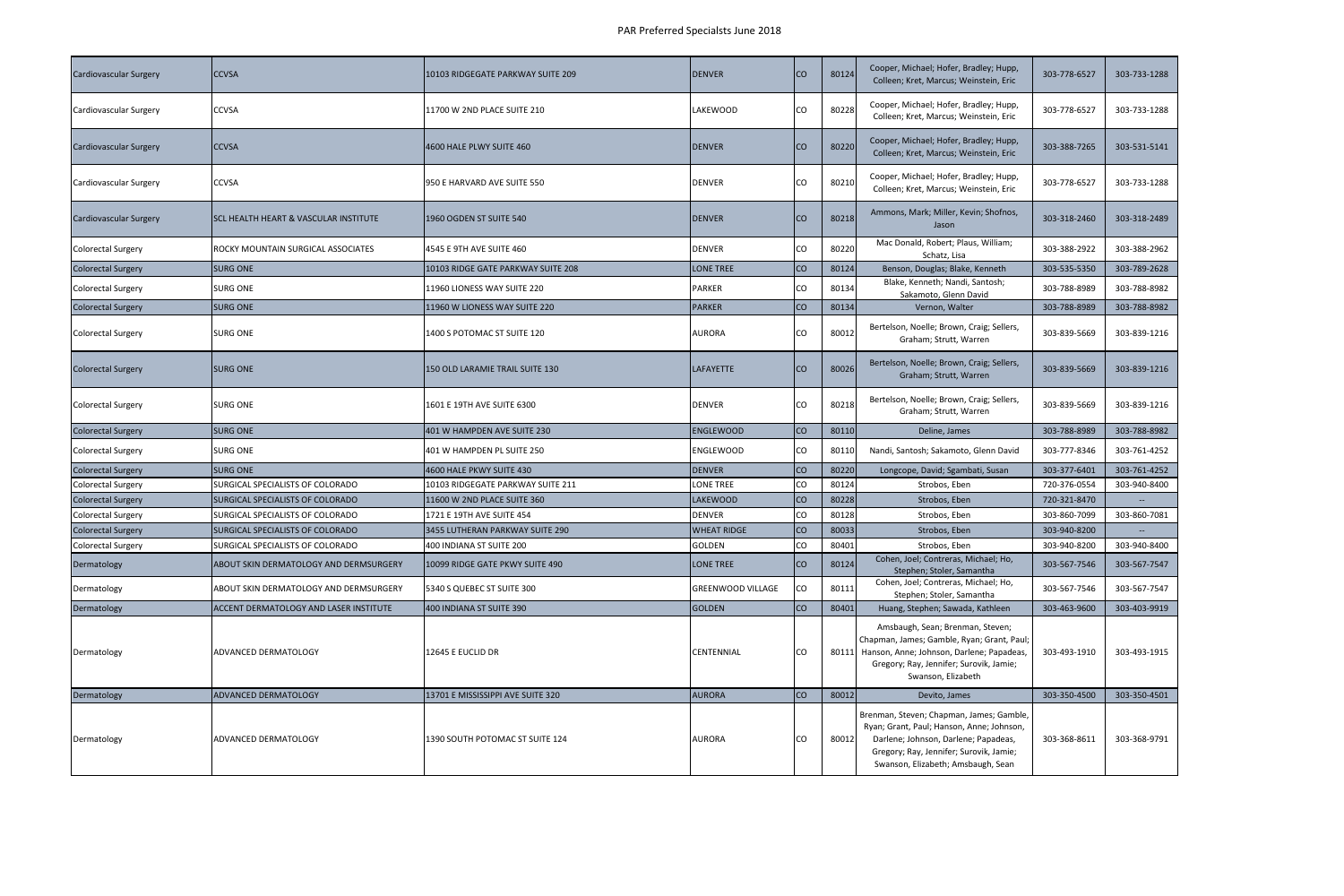| <b>Cardiovascular Surgery</b> | <b>CCVSA</b>                                     | 10103 RIDGEGATE PARKWAY SUITE 209  | <b>DENVER</b>            | <b>CO</b> | 80124 | Cooper, Michael; Hofer, Bradley; Hupp,<br>Colleen; Kret, Marcus; Weinstein, Eric                                                                                                                   | 303-778-6527 | 303-733-1288 |
|-------------------------------|--------------------------------------------------|------------------------------------|--------------------------|-----------|-------|----------------------------------------------------------------------------------------------------------------------------------------------------------------------------------------------------|--------------|--------------|
| Cardiovascular Surgery        | <b>CCVSA</b>                                     | 11700 W 2ND PLACE SUITE 210        | <b>LAKEWOOD</b>          | CO        | 80228 | Cooper, Michael; Hofer, Bradley; Hupp,<br>Colleen; Kret, Marcus; Weinstein, Eric                                                                                                                   | 303-778-6527 | 303-733-1288 |
| <b>Cardiovascular Surgery</b> | <b>CCVSA</b>                                     | 4600 HALE PLWY SUITE 460           | <b>DENVER</b>            | <b>CO</b> | 80220 | Cooper, Michael; Hofer, Bradley; Hupp,<br>Colleen; Kret, Marcus; Weinstein, Eric                                                                                                                   | 303-388-7265 | 303-531-5141 |
| Cardiovascular Surgery        | <b>CCVSA</b>                                     | 950 E HARVARD AVE SUITE 550        | <b>DENVER</b>            | CO        | 80210 | Cooper, Michael; Hofer, Bradley; Hupp,<br>Colleen; Kret, Marcus; Weinstein, Eric                                                                                                                   | 303-778-6527 | 303-733-1288 |
| <b>Cardiovascular Surgery</b> | <b>SCL HEALTH HEART &amp; VASCULAR INSTITUTE</b> | 1960 OGDEN ST SUITE 540            | <b>DENVER</b>            | <b>CO</b> | 80218 | Ammons, Mark; Miller, Kevin; Shofnos,<br>Jason                                                                                                                                                     | 303-318-2460 | 303-318-2489 |
| <b>Colorectal Surgery</b>     | ROCKY MOUNTAIN SURGICAL ASSOCIATES               | 4545 E 9TH AVE SUITE 460           | <b>DENVER</b>            | co        | 80220 | Mac Donald, Robert; Plaus, William;<br>Schatz, Lisa                                                                                                                                                | 303-388-2922 | 303-388-2962 |
| <b>Colorectal Surgery</b>     | <b>SURG ONE</b>                                  | 10103 RIDGE GATE PARKWAY SUITE 208 | <b>LONE TREE</b>         | co        | 80124 | Benson, Douglas; Blake, Kenneth                                                                                                                                                                    | 303-535-5350 | 303-789-2628 |
| <b>Colorectal Surgery</b>     | <b>SURG ONE</b>                                  | 11960 LIONESS WAY SUITE 220        | <b>PARKER</b>            | co        | 80134 | Blake, Kenneth; Nandi, Santosh;<br>Sakamoto, Glenn David                                                                                                                                           | 303-788-8989 | 303-788-8982 |
| <b>Colorectal Surgery</b>     | <b>SURG ONE</b>                                  | 11960 W LIONESS WAY SUITE 220      | <b>PARKER</b>            | Ico       | 80134 | Vernon, Walter                                                                                                                                                                                     | 303-788-8989 | 303-788-8982 |
| <b>Colorectal Surgery</b>     | <b>SURG ONE</b>                                  | 1400 S POTOMAC ST SUITE 120        | <b>AURORA</b>            | CO        | 80012 | Bertelson, Noelle; Brown, Craig; Sellers,<br>Graham; Strutt, Warren                                                                                                                                | 303-839-5669 | 303-839-1216 |
| <b>Colorectal Surgery</b>     | <b>SURG ONE</b>                                  | 150 OLD LARAMIE TRAIL SUITE 130    | <b>LAFAYETTE</b>         | <b>CO</b> | 80026 | Bertelson, Noelle; Brown, Craig; Sellers,<br>Graham; Strutt, Warren                                                                                                                                | 303-839-5669 | 303-839-1216 |
| <b>Colorectal Surgery</b>     | <b>SURG ONE</b>                                  | 1601 E 19TH AVE SUITE 6300         | <b>DENVER</b>            | CO        | 80218 | Bertelson, Noelle; Brown, Craig; Sellers,<br>Graham; Strutt, Warren                                                                                                                                | 303-839-5669 | 303-839-1216 |
|                               |                                                  |                                    |                          |           |       |                                                                                                                                                                                                    |              |              |
| <b>Colorectal Surgery</b>     | <b>SURG ONE</b>                                  | 401 W HAMPDEN AVE SUITE 230        | <b>ENGLEWOOD</b>         | co        | 80110 | Deline, James                                                                                                                                                                                      | 303-788-8989 | 303-788-8982 |
| <b>Colorectal Surgery</b>     | <b>SURG ONE</b>                                  | 401 W HAMPDEN PL SUITE 250         | <b>ENGLEWOOD</b>         | co        | 80110 | Nandi, Santosh; Sakamoto, Glenn David                                                                                                                                                              | 303-777-8346 | 303-761-4252 |
| <b>Colorectal Surgery</b>     | <b>SURG ONE</b>                                  | 4600 HALE PKWY SUITE 430           | <b>DENVER</b>            | co        | 80220 | Longcope, David; Sgambati, Susan                                                                                                                                                                   | 303-377-6401 | 303-761-4252 |
| <b>Colorectal Surgery</b>     | SURGICAL SPECIALISTS OF COLORADO                 | 10103 RIDGEGATE PARKWAY SUITE 211  | <b>LONE TREE</b>         | CO        | 80124 | Strobos, Eben                                                                                                                                                                                      | 720-376-0554 | 303-940-8400 |
| <b>Colorectal Surgery</b>     | SURGICAL SPECIALISTS OF COLORADO                 | 11600 W 2ND PLACE SUITE 360        | <b>LAKEWOOD</b>          | <b>CO</b> | 80228 | Strobos, Eben                                                                                                                                                                                      | 720-321-8470 |              |
| <b>Colorectal Surgery</b>     | SURGICAL SPECIALISTS OF COLORADO                 | 1721 E 19TH AVE SUITE 454          | <b>DENVER</b>            | CO        | 80128 | Strobos, Eben                                                                                                                                                                                      | 303-860-7099 | 303-860-7081 |
| <b>Colorectal Surgery</b>     | SURGICAL SPECIALISTS OF COLORADO                 | 3455 LUTHERAN PARKWAY SUITE 290    | <b>WHEAT RIDGE</b>       | co        | 80033 | Strobos, Eben                                                                                                                                                                                      | 303-940-8200 |              |
| <b>Colorectal Surgery</b>     | SURGICAL SPECIALISTS OF COLORADO                 | 400 INDIANA ST SUITE 200           | <b>GOLDEN</b>            | <b>co</b> | 80401 | Strobos, Eben                                                                                                                                                                                      | 303-940-8200 | 303-940-8400 |
| Dermatology                   | ABOUT SKIN DERMATOLOGY AND DERMSURGERY           | 10099 RIDGE GATE PKWY SUITE 490    | LONE TREE                | <b>CO</b> | 80124 | Cohen, Joel; Contreras, Michael; Ho,<br>Stephen; Stoler, Samantha                                                                                                                                  | 303-567-7546 | 303-567-7547 |
| Dermatology                   | ABOUT SKIN DERMATOLOGY AND DERMSURGERY           | 5340 S QUEBEC ST SUITE 300         | <b>GREENWOOD VILLAGE</b> | Ico       | 80111 | Cohen, Joel; Contreras, Michael; Ho,<br>Stephen; Stoler, Samantha                                                                                                                                  | 303-567-7546 | 303-567-7547 |
|                               | <b>ACCENT DERMATOLOGY AND LASER INSTITUTE</b>    | 400 INDIANA ST SUITE 390           | <b>GOLDEN</b>            | <b>CO</b> | 80401 | Huang, Stephen; Sawada, Kathleen                                                                                                                                                                   | 303-463-9600 | 303-403-9919 |
| Dermatology<br>Dermatology    | ADVANCED DERMATOLOGY                             | 12645 E EUCLID DR                  | <b>CENTENNIAL</b>        | ICO       |       | Amsbaugh, Sean; Brenman, Steven;<br>Chapman, James; Gamble, Ryan; Grant, Paul;<br>80111 Hanson, Anne; Johnson, Darlene; Papadeas,<br>Gregory; Ray, Jennifer; Surovik, Jamie;<br>Swanson, Elizabeth | 303-493-1910 | 303-493-1915 |
| Dermatology                   | ADVANCED DERMATOLOGY                             | 13701 E MISSISSIPPI AVE SUITE 320  | <b>AURORA</b>            | co        | 80012 | Devito, James                                                                                                                                                                                      | 303-350-4500 | 303-350-4501 |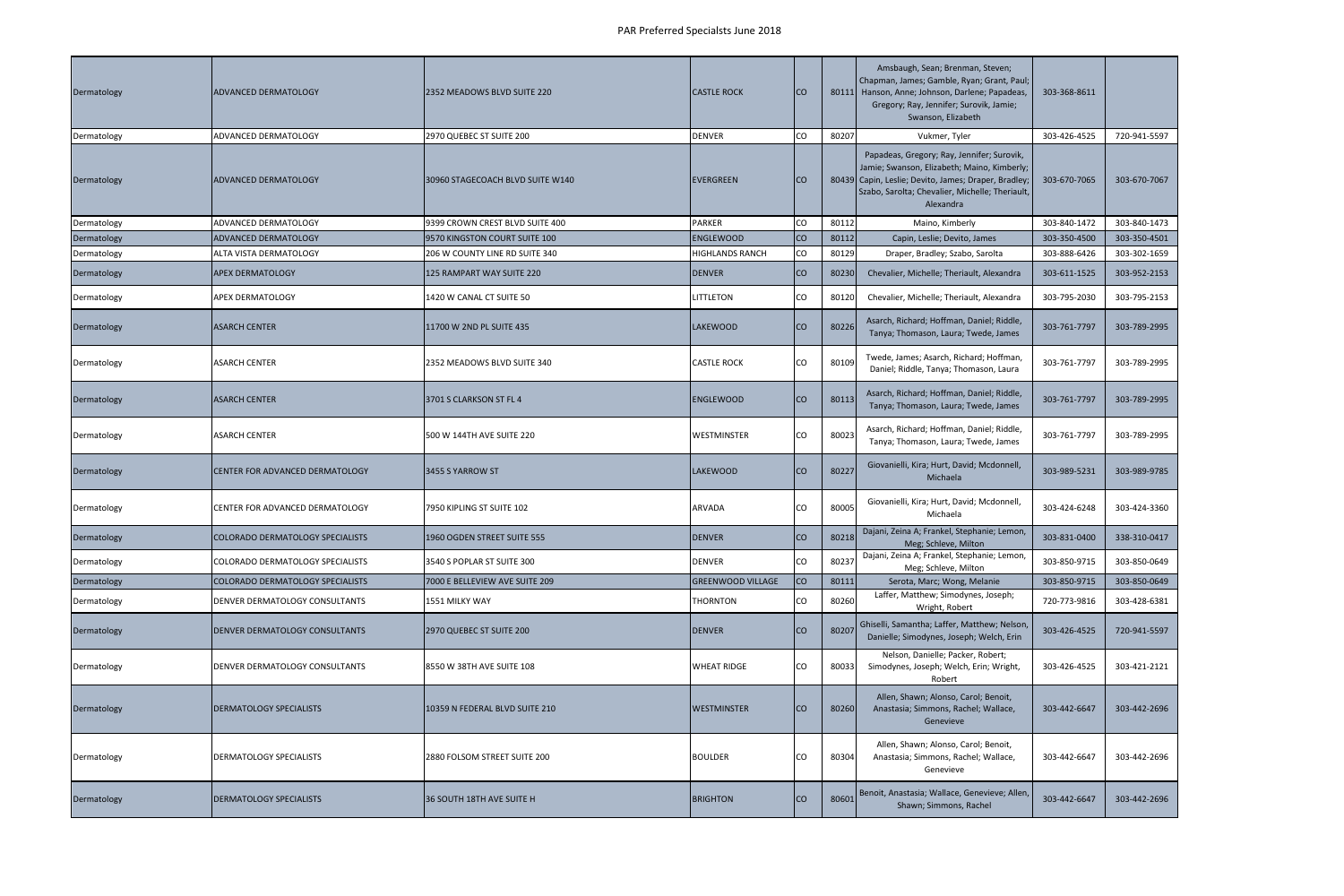| Dermatology | ADVANCED DERMATOLOGY             | 2352 MEADOWS BLVD SUITE 220      | <b>CASTLE ROCK</b>       | ICO       |       | Amsbaugh, Sean; Brenman, Steven;<br>Chapman, James; Gamble, Ryan; Grant, Paul;<br>80111 Hanson, Anne; Johnson, Darlene; Papadeas,<br>Gregory; Ray, Jennifer; Surovik, Jamie;<br>Swanson, Elizabeth                | 303-368-8611 |              |
|-------------|----------------------------------|----------------------------------|--------------------------|-----------|-------|-------------------------------------------------------------------------------------------------------------------------------------------------------------------------------------------------------------------|--------------|--------------|
| Dermatology | ADVANCED DERMATOLOGY             | 2970 QUEBEC ST SUITE 200         | <b>DENVER</b>            | CO        | 80207 | Vukmer, Tyler                                                                                                                                                                                                     | 303-426-4525 | 720-941-5597 |
| Dermatology | ADVANCED DERMATOLOGY             | 30960 STAGECOACH BLVD SUITE W140 | <b>EVERGREEN</b>         | Ico       |       | Papadeas, Gregory; Ray, Jennifer; Surovik,<br>Jamie; Swanson, Elizabeth; Maino, Kimberly;<br>80439 Capin, Leslie; Devito, James; Draper, Bradley;<br>Szabo, Sarolta; Chevalier, Michelle; Theriault,<br>Alexandra | 303-670-7065 | 303-670-7067 |
| Dermatology | ADVANCED DERMATOLOGY             | 9399 CROWN CREST BLVD SUITE 400  | <b>PARKER</b>            | CO        | 80112 | Maino, Kimberly                                                                                                                                                                                                   | 303-840-1472 | 303-840-1473 |
| Dermatology | ADVANCED DERMATOLOGY             | 9570 KINGSTON COURT SUITE 100    | <b>ENGLEWOOD</b>         | <b>CO</b> | 80112 | Capin, Leslie; Devito, James                                                                                                                                                                                      | 303-350-4500 | 303-350-4501 |
| Dermatology | ALTA VISTA DERMATOLOGY           | 206 W COUNTY LINE RD SUITE 340   | <b>HIGHLANDS RANCH</b>   | <b>CO</b> | 80129 | Draper, Bradley; Szabo, Sarolta                                                                                                                                                                                   | 303-888-6426 | 303-302-1659 |
| Dermatology | APEX DERMATOLOGY                 | 125 RAMPART WAY SUITE 220        | <b>DENVER</b>            | ICO       | 80230 | Chevalier, Michelle; Theriault, Alexandra                                                                                                                                                                         | 303-611-1525 | 303-952-2153 |
| Dermatology | APEX DERMATOLOGY                 | 1420 W CANAL CT SUITE 50         | <b>LITTLETON</b>         | CO        | 80120 | Chevalier, Michelle; Theriault, Alexandra                                                                                                                                                                         | 303-795-2030 | 303-795-2153 |
| Dermatology | ASARCH CENTER                    | 11700 W 2ND PL SUITE 435         | <b>LAKEWOOD</b>          | Ico       | 80226 | Asarch, Richard; Hoffman, Daniel; Riddle,<br>Tanya; Thomason, Laura; Twede, James                                                                                                                                 | 303-761-7797 | 303-789-2995 |
| Dermatology | ASARCH CENTER                    | 2352 MEADOWS BLVD SUITE 340      | <b>CASTLE ROCK</b>       | CO        | 80109 | Twede, James; Asarch, Richard; Hoffman,<br>Daniel; Riddle, Tanya; Thomason, Laura                                                                                                                                 | 303-761-7797 | 303-789-2995 |
| Dermatology | ASARCH CENTER                    | 3701 S CLARKSON ST FL 4          | <b>ENGLEWOOD</b>         | CO        | 80113 | Asarch, Richard; Hoffman, Daniel; Riddle,<br>Tanya; Thomason, Laura; Twede, James                                                                                                                                 | 303-761-7797 | 303-789-2995 |
| Dermatology | <b>ASARCH CENTER</b>             | 500 W 144TH AVE SUITE 220        | WESTMINSTER              | CO        | 80023 | Asarch, Richard; Hoffman, Daniel; Riddle,<br>Tanya; Thomason, Laura; Twede, James                                                                                                                                 | 303-761-7797 | 303-789-2995 |
| Dermatology | CENTER FOR ADVANCED DERMATOLOGY  | 3455 S YARROW ST                 | <b>LAKEWOOD</b>          | <b>CO</b> | 80227 | Giovanielli, Kira; Hurt, David; Mcdonnell,<br>Michaela                                                                                                                                                            | 303-989-5231 | 303-989-9785 |
| Dermatology | CENTER FOR ADVANCED DERMATOLOGY  | 7950 KIPLING ST SUITE 102        | ARVADA                   | CO        | 80005 | Giovanielli, Kira; Hurt, David; Mcdonnell,<br>Michaela                                                                                                                                                            | 303-424-6248 | 303-424-3360 |
| Dermatology | COLORADO DERMATOLOGY SPECIALISTS | 1960 OGDEN STREET SUITE 555      | <b>DENVER</b>            | <b>CO</b> | 80218 | Dajani, Zeina A; Frankel, Stephanie; Lemon,<br>Meg; Schleve, Milton                                                                                                                                               | 303-831-0400 | 338-310-0417 |
| Dermatology | COLORADO DERMATOLOGY SPECIALISTS | 3540 S POPLAR ST SUITE 300       | <b>DENVER</b>            | CO        | 80237 | Dajani, Zeina A; Frankel, Stephanie; Lemon,<br>Meg; Schleve, Milton                                                                                                                                               | 303-850-9715 | 303-850-0649 |
| Dermatology | COLORADO DERMATOLOGY SPECIALISTS | 7000 E BELLEVIEW AVE SUITE 209   | <b>GREENWOOD VILLAGE</b> | co        | 80111 | Serota, Marc; Wong, Melanie                                                                                                                                                                                       | 303-850-9715 | 303-850-0649 |
| Dermatology | DENVER DERMATOLOGY CONSULTANTS   | 1551 MILKY WAY                   | <b>THORNTON</b>          | lco       | 80260 | Laffer, Matthew; Simodynes, Joseph;<br>Wright, Robert                                                                                                                                                             | 720-773-9816 | 303-428-6381 |
| Dermatology | DENVER DERMATOLOGY CONSULTANTS   | 2970 QUEBEC ST SUITE 200         | <b>DENVER</b>            | <b>CO</b> | 80207 | Ghiselli, Samantha; Laffer, Matthew; Nelson,<br>Danielle; Simodynes, Joseph; Welch, Erin                                                                                                                          | 303-426-4525 | 720-941-5597 |
| Dermatology | DENVER DERMATOLOGY CONSULTANTS   | 8550 W 38TH AVE SUITE 108        | <b>WHEAT RIDGE</b>       | CO        | 80033 | Nelson, Danielle; Packer, Robert;<br>Simodynes, Joseph; Welch, Erin; Wright,<br>Robert                                                                                                                            | 303-426-4525 | 303-421-2121 |
| Dermatology | DERMATOLOGY SPECIALISTS          | 10359 N FEDERAL BLVD SUITE 210   | <b>WESTMINSTER</b>       | <b>CO</b> | 80260 | Allen, Shawn; Alonso, Carol; Benoit,<br>Anastasia; Simmons, Rachel; Wallace,<br>Genevieve                                                                                                                         | 303-442-6647 | 303-442-2696 |
| Dermatology | DERMATOLOGY SPECIALISTS          | 2880 FOLSOM STREET SUITE 200     | <b>BOULDER</b>           | CO        | 80304 | Allen, Shawn; Alonso, Carol; Benoit,<br>Anastasia; Simmons, Rachel; Wallace,<br>Genevieve                                                                                                                         | 303-442-6647 | 303-442-2696 |
| Dermatology | <b>DERMATOLOGY SPECIALISTS</b>   | 36 SOUTH 18TH AVE SUITE H        | <b>BRIGHTON</b>          | <b>CO</b> | 80601 | Benoit, Anastasia; Wallace, Genevieve; Allen,<br>Shawn; Simmons, Rachel                                                                                                                                           | 303-442-6647 | 303-442-2696 |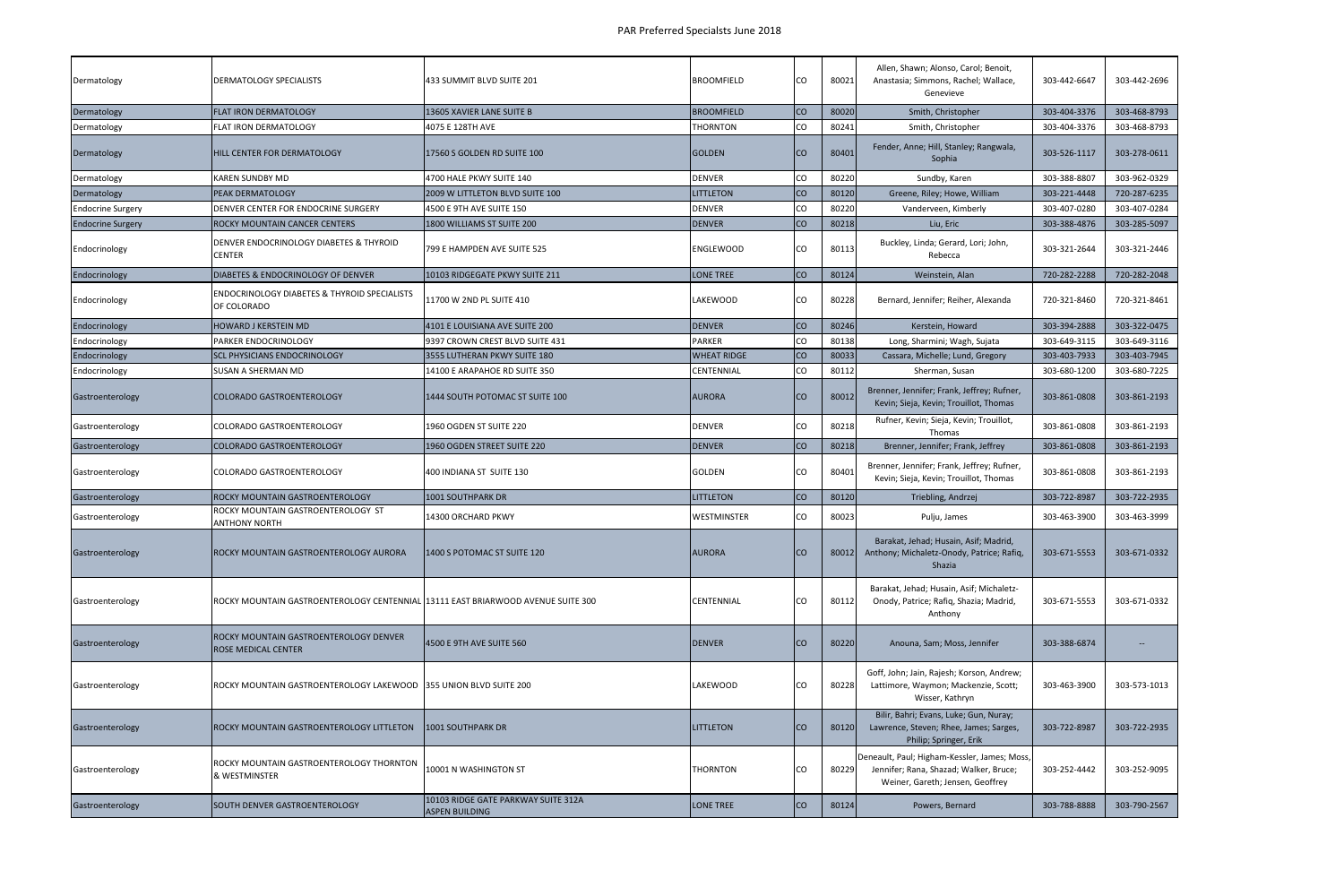| Dermatology              | DERMATOLOGY SPECIALISTS                                                          | 433 SUMMIT BLVD SUITE 201                                    | BROOMFIELD         | CO.       | 80021 | Allen, Shawn; Alonso, Carol; Benoit,<br>Anastasia; Simmons, Rachel; Wallace,<br>Genevieve                                  | 303-442-6647 | 303-442-2696      |
|--------------------------|----------------------------------------------------------------------------------|--------------------------------------------------------------|--------------------|-----------|-------|----------------------------------------------------------------------------------------------------------------------------|--------------|-------------------|
| Dermatology              | FLAT IRON DERMATOLOGY                                                            | 13605 XAVIER LANE SUITE B                                    | <b>BROOMFIELD</b>  | co        | 80020 | Smith, Christopher                                                                                                         | 303-404-3376 | 303-468-8793      |
| Dermatology              | FLAT IRON DERMATOLOGY                                                            | 4075 E 128TH AVE                                             | <b>THORNTON</b>    | CO        | 80241 | Smith, Christopher                                                                                                         | 303-404-3376 | 303-468-8793      |
| Dermatology              | <b>HILL CENTER FOR DERMATOLOGY</b>                                               | 17560 S GOLDEN RD SUITE 100                                  | <b>GOLDEN</b>      | <b>CO</b> | 80401 | Fender, Anne; Hill, Stanley; Rangwala,<br>Sophia                                                                           | 303-526-1117 | 303-278-0611      |
| Dermatology              | <b>KAREN SUNDBY MD</b>                                                           | 4700 HALE PKWY SUITE 140                                     | <b>DENVER</b>      | CO        | 80220 | Sundby, Karen                                                                                                              | 303-388-8807 | 303-962-0329      |
| Dermatology              | PEAK DERMATOLOGY                                                                 | 2009 W LITTLETON BLVD SUITE 100                              | <b>LITTLETON</b>   | co        | 80120 | Greene, Riley; Howe, William                                                                                               | 303-221-4448 | 720-287-6235      |
| <b>Endocrine Surgery</b> | DENVER CENTER FOR ENDOCRINE SURGERY                                              | 4500 E 9TH AVE SUITE 150                                     | <b>DENVER</b>      | CO        | 80220 | Vanderveen, Kimberly                                                                                                       | 303-407-0280 | 303-407-0284      |
| <b>Endocrine Surgery</b> | ROCKY MOUNTAIN CANCER CENTERS                                                    | 1800 WILLIAMS ST SUITE 200                                   | <b>DENVER</b>      | <b>CO</b> | 80218 | Liu, Eric                                                                                                                  | 303-388-4876 | 303-285-5097      |
| Endocrinology            | DENVER ENDOCRINOLOGY DIABETES & THYROID<br><b>CENTER</b>                         | 799 E HAMPDEN AVE SUITE 525                                  | <b>ENGLEWOOD</b>   | CO        | 80113 | Buckley, Linda; Gerard, Lori; John,<br>Rebecca                                                                             | 303-321-2644 | 303-321-2446      |
| Endocrinology            | DIABETES & ENDOCRINOLOGY OF DENVER                                               | 10103 RIDGEGATE PKWY SUITE 211                               | <b>LONE TREE</b>   | co        | 80124 | Weinstein, Alan                                                                                                            | 720-282-2288 | 720-282-2048      |
| Endocrinology            | ENDOCRINOLOGY DIABETES & THYROID SPECIALISTS<br>OF COLORADO                      | 11700 W 2ND PL SUITE 410                                     | LAKEWOOD           | CO        | 80228 | Bernard, Jennifer; Reiher, Alexanda                                                                                        | 720-321-8460 | 720-321-8461      |
| Endocrinology            | <b>HOWARD J KERSTEIN MD</b>                                                      | 4101 E LOUISIANA AVE SUITE 200                               | <b>DENVER</b>      | CO        | 80246 | Kerstein, Howard                                                                                                           | 303-394-2888 | 303-322-0475      |
| Endocrinology            | PARKER ENDOCRINOLOGY                                                             | 9397 CROWN CREST BLVD SUITE 431                              | <b>PARKER</b>      | <b>CO</b> | 80138 | Long, Sharmini; Wagh, Sujata                                                                                               | 303-649-3115 | 303-649-3116      |
| Endocrinology            | <b>SCL PHYSICIANS ENDOCRINOLOGY</b>                                              | 3555 LUTHERAN PKWY SUITE 180                                 | <b>WHEAT RIDGE</b> | co        | 80033 | Cassara, Michelle; Lund, Gregory                                                                                           | 303-403-7933 | 303-403-7945      |
| Endocrinology            | SUSAN A SHERMAN MD                                                               | 14100 E ARAPAHOE RD SUITE 350                                | CENTENNIAL         | CO        | 80112 | Sherman, Susan                                                                                                             | 303-680-1200 | 303-680-7225      |
| Gastroenterology         | <b>COLORADO GASTROENTEROLOGY</b>                                                 | 1444 SOUTH POTOMAC ST SUITE 100                              | <b>AURORA</b>      | <b>CO</b> | 80012 | Brenner, Jennifer; Frank, Jeffrey; Rufner,<br>Kevin; Sieja, Kevin; Trouillot, Thomas                                       | 303-861-0808 | 303-861-2193      |
| Gastroenterology         | COLORADO GASTROENTEROLOGY                                                        | 1960 OGDEN ST SUITE 220                                      | <b>DENVER</b>      | Ico       | 80218 | Rufner, Kevin; Sieja, Kevin; Trouillot,<br><b>Thomas</b>                                                                   | 303-861-0808 | 303-861-2193      |
| Gastroenterology         | <b>COLORADO GASTROENTEROLOGY</b>                                                 | 1960 OGDEN STREET SUITE 220                                  | <b>DENVER</b>      | <b>CO</b> | 80218 | Brenner, Jennifer; Frank, Jeffrey                                                                                          | 303-861-0808 | 303-861-2193      |
| Gastroenterology         | COLORADO GASTROENTEROLOGY                                                        | 400 INDIANA ST SUITE 130                                     | GOLDEN             | CO        | 80401 | Brenner, Jennifer; Frank, Jeffrey; Rufner,<br>Kevin; Sieja, Kevin; Trouillot, Thomas                                       | 303-861-0808 | 303-861-2193      |
| Gastroenterology         | ROCKY MOUNTAIN GASTROENTEROLOGY                                                  | 1001 SOUTHPARK DR                                            | <b>LITTLETON</b>   | <b>CO</b> | 80120 | Triebling, Andrzej                                                                                                         | 303-722-8987 | 303-722-2935      |
| Gastroenterology         | ROCKY MOUNTAIN GASTROENTEROLOGY ST<br><b>ANTHONY NORTH</b>                       | 14300 ORCHARD PKWY                                           | WESTMINSTER        | co        | 80023 | Pulju, James                                                                                                               | 303-463-3900 | 303-463-3999      |
| Gastroenterology         | ROCKY MOUNTAIN GASTROENTEROLOGY AURORA                                           | 1400 S POTOMAC ST SUITE 120                                  | <b>AURORA</b>      | <b>CO</b> | 80012 | Barakat, Jehad; Husain, Asif; Madrid,<br>Anthony; Michaletz-Onody, Patrice; Rafiq,<br>Shazia                               | 303-671-5553 | 303-671-0332      |
| Gastroenterology         | ROCKY MOUNTAIN GASTROENTEROLOGY CENTENNIAL 13111 EAST BRIARWOOD AVENUE SUITE 300 |                                                              | CENTENNIAL         | ICO.      | 80112 | Barakat, Jehad; Husain, Asif; Michaletz-<br>Onody, Patrice; Rafiq, Shazia; Madrid,<br>Anthony                              | 303-671-5553 | 303-671-0332      |
| Gastroenterology         | ROCKY MOUNTAIN GASTROENTEROLOGY DENVER<br>ROSE MEDICAL CENTER                    | 4500 E 9TH AVE SUITE 560                                     | <b>DENVER</b>      | <b>CO</b> | 80220 | Anouna, Sam; Moss, Jennifer                                                                                                | 303-388-6874 | $\qquad \qquad -$ |
| Gastroenterology         | ROCKY MOUNTAIN GASTROENTEROLOGY LAKEWOOD 355 UNION BLVD SUITE 200                |                                                              | LAKEWOOD           | CO        | 80228 | Goff, John; Jain, Rajesh; Korson, Andrew;<br>Lattimore, Waymon; Mackenzie, Scott;<br>Wisser, Kathryn                       | 303-463-3900 | 303-573-1013      |
| Gastroenterology         | ROCKY MOUNTAIN GASTROENTEROLOGY LITTLETON                                        | 1001 SOUTHPARK DR                                            | LITTLETON          | <b>CO</b> | 80120 | Bilir, Bahri; Evans, Luke; Gun, Nuray;<br>Lawrence, Steven; Rhee, James; Sarges,<br>Philip; Springer, Erik                 | 303-722-8987 | 303-722-2935      |
| Gastroenterology         | ROCKY MOUNTAIN GASTROENTEROLOGY THORNTON<br>& WESTMINSTER                        | 10001 N WASHINGTON ST                                        | THORNTON           | CO        | 80229 | Deneault, Paul; Higham-Kessler, James; Moss,<br>Jennifer; Rana, Shazad; Walker, Bruce;<br>Weiner, Gareth; Jensen, Geoffrey | 303-252-4442 | 303-252-9095      |
| Gastroenterology         | SOUTH DENVER GASTROENTEROLOGY                                                    | 10103 RIDGE GATE PARKWAY SUITE 312A<br><b>ASPEN BUILDING</b> | <b>LONE TREE</b>   | <b>CO</b> | 80124 | Powers, Bernard                                                                                                            | 303-788-8888 | 303-790-2567      |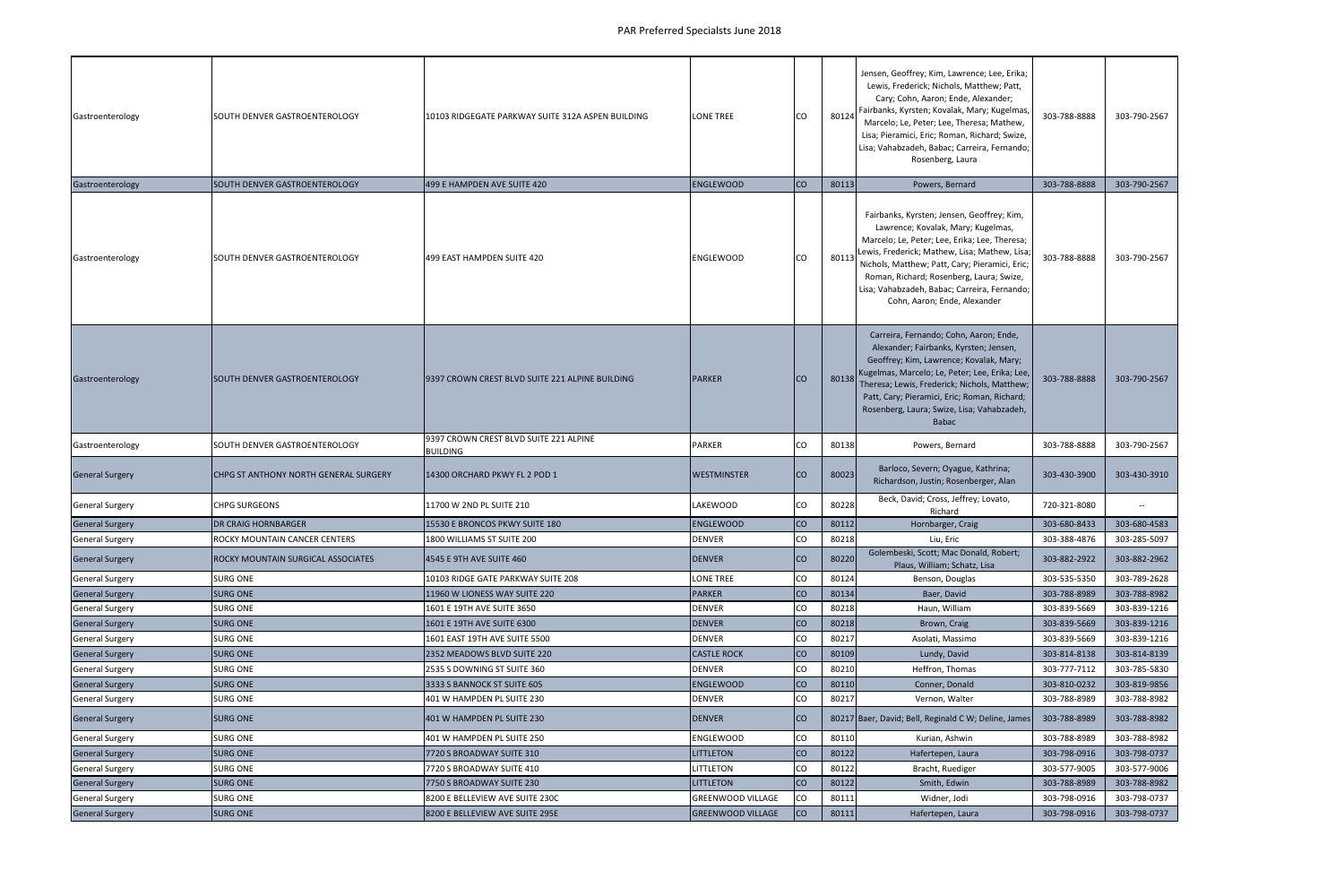| Gastroenterology       | SOUTH DENVER GASTROENTEROLOGY         | 10103 RIDGEGATE PARKWAY SUITE 312A ASPEN BUILDING         | <b>LONE TREE</b>         | <b>CO</b> | 80124 | Jensen, Geoffrey; Kim, Lawrence; Lee, Erika;<br>Lewis, Frederick; Nichols, Matthew; Patt,<br>Cary; Cohn, Aaron; Ende, Alexander;<br>Fairbanks, Kyrsten; Kovalak, Mary; Kugelmas,<br>Marcelo; Le, Peter; Lee, Theresa; Mathew,<br>Lisa; Pieramici, Eric; Roman, Richard; Swize,<br>Lisa; Vahabzadeh, Babac; Carreira, Fernando;<br>Rosenberg, Laura               | 303-788-8888 | 303-790-2567 |
|------------------------|---------------------------------------|-----------------------------------------------------------|--------------------------|-----------|-------|------------------------------------------------------------------------------------------------------------------------------------------------------------------------------------------------------------------------------------------------------------------------------------------------------------------------------------------------------------------|--------------|--------------|
| Gastroenterology       | SOUTH DENVER GASTROENTEROLOGY         | 499 E HAMPDEN AVE SUITE 420                               | <b>ENGLEWOOD</b>         | <b>CO</b> | 80113 | Powers, Bernard                                                                                                                                                                                                                                                                                                                                                  | 303-788-8888 | 303-790-2567 |
| Gastroenterology       | SOUTH DENVER GASTROENTEROLOGY         | 499 EAST HAMPDEN SUITE 420                                | <b>ENGLEWOOD</b>         | <b>CO</b> | 80113 | Fairbanks, Kyrsten; Jensen, Geoffrey; Kim,<br>Lawrence; Kovalak, Mary; Kugelmas,<br>Marcelo; Le, Peter; Lee, Erika; Lee, Theresa;<br>Lewis, Frederick; Mathew, Lisa; Mathew, Lisa;<br>Nichols, Matthew; Patt, Cary; Pieramici, Eric;<br>Roman, Richard; Rosenberg, Laura; Swize,<br>Lisa; Vahabzadeh, Babac; Carreira, Fernando;<br>Cohn, Aaron; Ende, Alexander | 303-788-8888 | 303-790-2567 |
| Gastroenterology       | SOUTH DENVER GASTROENTEROLOGY         | 9397 CROWN CREST BLVD SUITE 221 ALPINE BUILDING           | <b>PARKER</b>            | Ico       | 80138 | Carreira, Fernando; Cohn, Aaron; Ende,<br>Alexander; Fairbanks, Kyrsten; Jensen,<br>Geoffrey; Kim, Lawrence; Kovalak, Mary;<br>Kugelmas, Marcelo; Le, Peter; Lee, Erika; Lee,<br>Theresa; Lewis, Frederick; Nichols, Matthew;<br>Patt, Cary; Pieramici, Eric; Roman, Richard;<br>Rosenberg, Laura; Swize, Lisa; Vahabzadeh,<br><b>Babac</b>                      | 303-788-8888 | 303-790-2567 |
| Gastroenterology       | SOUTH DENVER GASTROENTEROLOGY         | 9397 CROWN CREST BLVD SUITE 221 ALPINE<br><b>BUILDING</b> | <b>PARKER</b>            | lCO       | 80138 | Powers, Bernard                                                                                                                                                                                                                                                                                                                                                  | 303-788-8888 | 303-790-2567 |
| <b>General Surgery</b> | CHPG ST ANTHONY NORTH GENERAL SURGERY | 14300 ORCHARD PKWY FL 2 POD 1                             | WESTMINSTER              | <b>CO</b> | 80023 | Barloco, Severn; Oyague, Kathrina;<br>Richardson, Justin; Rosenberger, Alan                                                                                                                                                                                                                                                                                      | 303-430-3900 | 303-430-3910 |
| <b>General Surgery</b> | CHPG SURGEONS                         | 11700 W 2ND PL SUITE 210                                  | LAKEWOOD                 | CO        | 80228 | Beck, David; Cross, Jeffrey; Lovato,<br>Richard                                                                                                                                                                                                                                                                                                                  | 720-321-8080 | $\sim$       |
| <b>General Surgery</b> | <b>DR CRAIG HORNBARGER</b>            | 15530 E BRONCOS PKWY SUITE 180                            | ENGLEWOOD                | <b>CO</b> | 80112 | Hornbarger, Craig                                                                                                                                                                                                                                                                                                                                                | 303-680-8433 | 303-680-4583 |
| <b>General Surgery</b> | ROCKY MOUNTAIN CANCER CENTERS         | 1800 WILLIAMS ST SUITE 200                                | <b>DENVER</b>            | CO        | 80218 | Liu, Eric                                                                                                                                                                                                                                                                                                                                                        | 303-388-4876 | 303-285-5097 |
| <b>General Surgery</b> | ROCKY MOUNTAIN SURGICAL ASSOCIATES    | 4545 E 9TH AVE SUITE 460                                  | <b>DENVER</b>            | ICO       | 80220 | Golembeski, Scott; Mac Donald, Robert;<br>Plaus, William; Schatz, Lisa                                                                                                                                                                                                                                                                                           | 303-882-2922 | 303-882-2962 |
| <b>General Surgery</b> | SURG ONE                              | 10103 RIDGE GATE PARKWAY SUITE 208                        | LONE TREE                | CO        | 80124 | Benson, Douglas                                                                                                                                                                                                                                                                                                                                                  | 303-535-5350 | 303-789-2628 |
| <b>General Surgery</b> | <b>SURG ONE</b>                       | 11960 W LIONESS WAY SUITE 220                             | <b>PARKER</b>            | <b>CO</b> | 80134 | Baer, David                                                                                                                                                                                                                                                                                                                                                      | 303-788-8989 | 303-788-8982 |
| <b>General Surgery</b> | SURG ONE                              | 1601 E 19TH AVE SUITE 3650                                | <b>DENVER</b>            | CO        | 80218 | Haun, William                                                                                                                                                                                                                                                                                                                                                    | 303-839-5669 | 303-839-1216 |
| <b>General Surgery</b> | <b>SURG ONE</b>                       | 1601 E 19TH AVE SUITE 6300                                | <b>DENVER</b>            | co        | 80218 | Brown, Craig                                                                                                                                                                                                                                                                                                                                                     | 303-839-5669 | 303-839-1216 |
| <b>General Surgery</b> | SURG ONE                              | 1601 EAST 19TH AVE SUITE 5500                             | <b>DENVER</b>            | CO        | 80217 | Asolati, Massimo                                                                                                                                                                                                                                                                                                                                                 | 303-839-5669 | 303-839-1216 |
| <b>General Surgery</b> | <b>SURG ONE</b>                       | 2352 MEADOWS BLVD SUITE 220                               | <b>CASTLE ROCK</b>       | co        | 80109 | Lundy, David                                                                                                                                                                                                                                                                                                                                                     | 303-814-8138 | 303-814-8139 |
| <b>General Surgery</b> | SURG ONE                              | 2535 S DOWNING ST SUITE 360                               | <b>DENVER</b>            | CO        | 80210 | Heffron, Thomas                                                                                                                                                                                                                                                                                                                                                  | 303-777-7112 | 303-785-5830 |
| <b>General Surgery</b> | <b>SURG ONE</b>                       | 3333 S BANNOCK ST SUITE 605                               | <b>ENGLEWOOD</b>         | <b>CO</b> | 80110 | Conner, Donald                                                                                                                                                                                                                                                                                                                                                   | 303-810-0232 | 303-819-9856 |
| <b>General Surgery</b> | SURG ONE                              | 401 W HAMPDEN PL SUITE 230                                | <b>DENVER</b>            | CO        | 80217 | Vernon, Walter                                                                                                                                                                                                                                                                                                                                                   | 303-788-8989 | 303-788-8982 |
| <b>General Surgery</b> | <b>SURG ONE</b>                       | 401 W HAMPDEN PL SUITE 230                                | <b>DENVER</b>            | Ico       |       | 80217 Baer, David; Bell, Reginald C W; Deline, James                                                                                                                                                                                                                                                                                                             | 303-788-8989 | 303-788-8982 |
| <b>General Surgery</b> | SURG ONE                              | 401 W HAMPDEN PL SUITE 250                                | ENGLEWOOD                | CO        | 80110 | Kurian, Ashwin                                                                                                                                                                                                                                                                                                                                                   | 303-788-8989 | 303-788-8982 |
| <b>General Surgery</b> | <b>SURG ONE</b>                       | 7720 S BROADWAY SUITE 310                                 | <b>LITTLETON</b>         | <b>CO</b> | 80122 | Hafertepen, Laura                                                                                                                                                                                                                                                                                                                                                | 303-798-0916 | 303-798-0737 |
| <b>General Surgery</b> | SURG ONE                              | 7720 S BROADWAY SUITE 410                                 | LITTLETON                | CO        | 80122 | Bracht, Ruediger                                                                                                                                                                                                                                                                                                                                                 | 303-577-9005 | 303-577-9006 |
| <b>General Surgery</b> | <b>SURG ONE</b>                       | 7750 S BROADWAY SUITE 230                                 | <b>LITTLETON</b>         | <b>CO</b> | 80122 | Smith, Edwin                                                                                                                                                                                                                                                                                                                                                     | 303-788-8989 | 303-788-8982 |
| <b>General Surgery</b> | SURG ONE                              | 8200 E BELLEVIEW AVE SUITE 230C                           | <b>GREENWOOD VILLAGE</b> | <b>CO</b> | 80111 | Widner, Jodi                                                                                                                                                                                                                                                                                                                                                     | 303-798-0916 | 303-798-0737 |
| <b>General Surgery</b> | <b>SURG ONE</b>                       | 8200 E BELLEVIEW AVE SUITE 295E                           | <b>GREENWOOD VILLAGE</b> | $ $ co    | 80111 | Hafertepen, Laura                                                                                                                                                                                                                                                                                                                                                | 303-798-0916 | 303-798-0737 |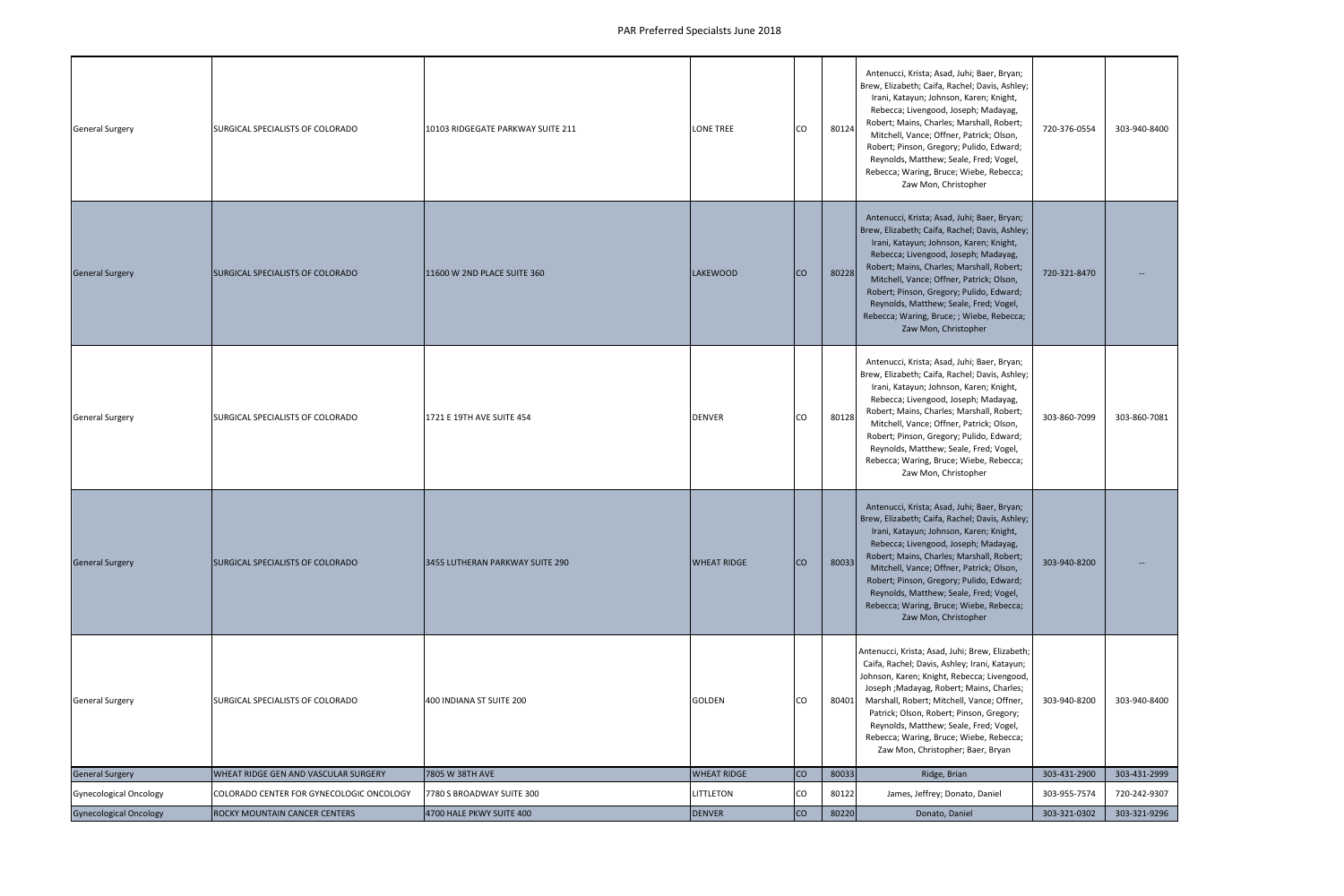| <b>General Surgery</b>        | SURGICAL SPECIALISTS OF COLORADO         | 10103 RIDGEGATE PARKWAY SUITE 211 | <b>LONE TREE</b>   | <b>CO</b> | 80124 | Antenucci, Krista; Asad, Juhi; Baer, Bryan;<br>Brew, Elizabeth; Caifa, Rachel; Davis, Ashley;<br>Irani, Katayun; Johnson, Karen; Knight,<br>Rebecca; Livengood, Joseph; Madayag,<br>Robert; Mains, Charles; Marshall, Robert;<br>Mitchell, Vance; Offner, Patrick; Olson,<br>Robert; Pinson, Gregory; Pulido, Edward;<br>Reynolds, Matthew; Seale, Fred; Vogel,<br>Rebecca; Waring, Bruce; Wiebe, Rebecca;<br>Zaw Mon, Christopher   | 720-376-0554 | 303-940-8400             |
|-------------------------------|------------------------------------------|-----------------------------------|--------------------|-----------|-------|--------------------------------------------------------------------------------------------------------------------------------------------------------------------------------------------------------------------------------------------------------------------------------------------------------------------------------------------------------------------------------------------------------------------------------------|--------------|--------------------------|
| <b>General Surgery</b>        | <b>SURGICAL SPECIALISTS OF COLORADO</b>  | 11600 W 2ND PLACE SUITE 360       | <b>LAKEWOOD</b>    | Ico       | 80228 | Antenucci, Krista; Asad, Juhi; Baer, Bryan;<br>Brew, Elizabeth; Caifa, Rachel; Davis, Ashley;<br>Irani, Katayun; Johnson, Karen; Knight,<br>Rebecca; Livengood, Joseph; Madayag,<br>Robert; Mains, Charles; Marshall, Robert;<br>Mitchell, Vance; Offner, Patrick; Olson,<br>Robert; Pinson, Gregory; Pulido, Edward;<br>Reynolds, Matthew; Seale, Fred; Vogel,<br>Rebecca; Waring, Bruce; ; Wiebe, Rebecca;<br>Zaw Mon, Christopher | 720-321-8470 |                          |
| <b>General Surgery</b>        | SURGICAL SPECIALISTS OF COLORADO         | 1721 E 19TH AVE SUITE 454         | <b>DENVER</b>      | CO        | 80128 | Antenucci, Krista; Asad, Juhi; Baer, Bryan;<br>Brew, Elizabeth; Caifa, Rachel; Davis, Ashley;<br>Irani, Katayun; Johnson, Karen; Knight,<br>Rebecca; Livengood, Joseph; Madayag,<br>Robert; Mains, Charles; Marshall, Robert;<br>Mitchell, Vance; Offner, Patrick; Olson,<br>Robert; Pinson, Gregory; Pulido, Edward;<br>Reynolds, Matthew; Seale, Fred; Vogel,<br>Rebecca; Waring, Bruce; Wiebe, Rebecca;<br>Zaw Mon, Christopher   | 303-860-7099 | 303-860-7081             |
| <b>General Surgery</b>        | <b>SURGICAL SPECIALISTS OF COLORADO</b>  | 3455 LUTHERAN PARKWAY SUITE 290   | <b>WHEAT RIDGE</b> | Ico       | 80033 | Antenucci, Krista; Asad, Juhi; Baer, Bryan;<br>Brew, Elizabeth; Caifa, Rachel; Davis, Ashley;<br>Irani, Katayun; Johnson, Karen; Knight,<br>Rebecca; Livengood, Joseph; Madayag,<br>Robert; Mains, Charles; Marshall, Robert;<br>Mitchell, Vance; Offner, Patrick; Olson,<br>Robert; Pinson, Gregory; Pulido, Edward;<br>Reynolds, Matthew; Seale, Fred; Vogel,<br>Rebecca; Waring, Bruce; Wiebe, Rebecca;<br>Zaw Mon, Christopher   | 303-940-8200 | $\overline{\phantom{a}}$ |
| <b>General Surgery</b>        | SURGICAL SPECIALISTS OF COLORADO         | 400 INDIANA ST SUITE 200          | GOLDEN             | <b>CO</b> | 80401 | Antenucci, Krista; Asad, Juhi; Brew, Elizabeth;<br>Caifa, Rachel; Davis, Ashley; Irani, Katayun;<br>Johnson, Karen; Knight, Rebecca; Livengood,<br>Joseph ; Madayag, Robert; Mains, Charles;<br>Marshall, Robert; Mitchell, Vance; Offner,<br>Patrick; Olson, Robert; Pinson, Gregory;<br>Reynolds, Matthew; Seale, Fred; Vogel,<br>Rebecca; Waring, Bruce; Wiebe, Rebecca;<br>Zaw Mon, Christopher; Baer, Bryan                     | 303-940-8200 | 303-940-8400             |
| <b>General Surgery</b>        | WHEAT RIDGE GEN AND VASCULAR SURGERY     | 7805 W 38TH AVE                   | <b>WHEAT RIDGE</b> | <b>CO</b> | 80033 | Ridge, Brian                                                                                                                                                                                                                                                                                                                                                                                                                         | 303-431-2900 | 303-431-2999             |
| <b>Gynecological Oncology</b> | COLORADO CENTER FOR GYNECOLOGIC ONCOLOGY | 7780 S BROADWAY SUITE 300         | LITTLETON          | CO        | 80122 | James, Jeffrey; Donato, Daniel                                                                                                                                                                                                                                                                                                                                                                                                       | 303-955-7574 | 720-242-9307             |
| <b>Gynecological Oncology</b> | ROCKY MOUNTAIN CANCER CENTERS            | 4700 HALE PKWY SUITE 400          | DENVER             | <b>CO</b> | 80220 | Donato, Daniel                                                                                                                                                                                                                                                                                                                                                                                                                       | 303-321-0302 | 303-321-9296             |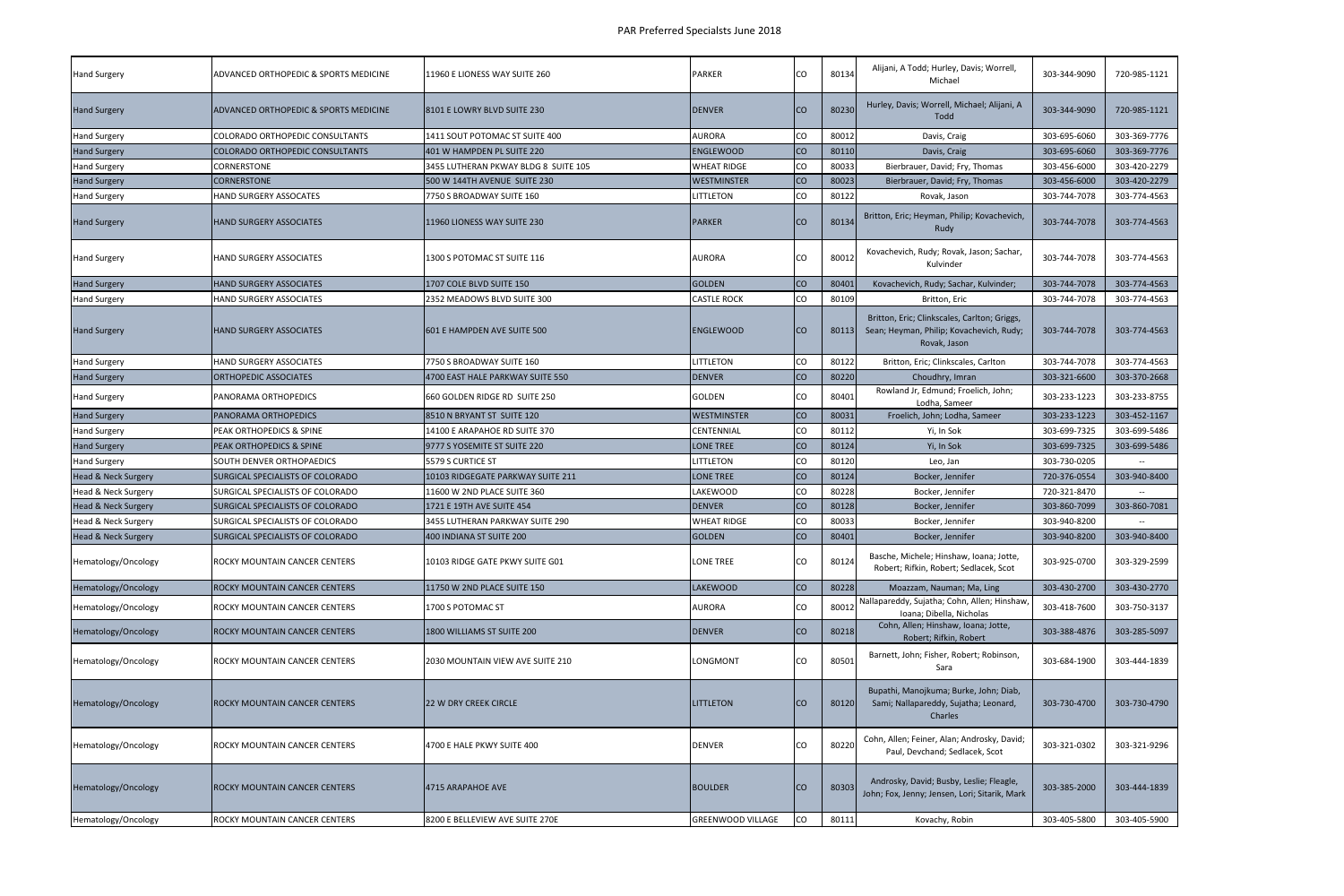| <b>Hand Surgery</b>            | ADVANCED ORTHOPEDIC & SPORTS MEDICINE   | 11960 E LIONESS WAY SUITE 260        | <b>PARKER</b>      | CO        | 80134 | Alijani, A Todd; Hurley, Davis; Worrell,<br>Michael                                                      | 303-344-9090 | 720-985-1121 |
|--------------------------------|-----------------------------------------|--------------------------------------|--------------------|-----------|-------|----------------------------------------------------------------------------------------------------------|--------------|--------------|
| <b>Hand Surgery</b>            | ADVANCED ORTHOPEDIC & SPORTS MEDICINE   | 8101 E LOWRY BLVD SUITE 230          | <b>DENVER</b>      | <b>CO</b> | 80230 | Hurley, Davis; Worrell, Michael; Alijani, A<br>Todd                                                      | 303-344-9090 | 720-985-1121 |
| <b>Hand Surgery</b>            | COLORADO ORTHOPEDIC CONSULTANTS         | 1411 SOUT POTOMAC ST SUITE 400       | AURORA             | <b>CO</b> | 80012 | Davis, Craig                                                                                             | 303-695-6060 | 303-369-7776 |
| <b>Hand Surgery</b>            | <b>COLORADO ORTHOPEDIC CONSULTANTS</b>  | 401 W HAMPDEN PL SUITE 220           | <b>ENGLEWOOD</b>   | <b>CO</b> | 80110 | Davis, Craig                                                                                             | 303-695-6060 | 303-369-7776 |
| <b>Hand Surgery</b>            | CORNERSTONE                             | 3455 LUTHERAN PKWAY BLDG 8 SUITE 105 | <b>WHEAT RIDGE</b> | CO        | 80033 | Bierbrauer, David; Fry, Thomas                                                                           | 303-456-6000 | 303-420-2279 |
| <b>Hand Surgery</b>            | <b>CORNERSTONE</b>                      | 500 W 144TH AVENUE SUITE 230         | <b>WESTMINSTER</b> | co        | 80023 | Bierbrauer, David; Fry, Thomas                                                                           | 303-456-6000 | 303-420-2279 |
| <b>Hand Surgery</b>            | HAND SURGERY ASSOCATES                  | 7750 S BROADWAY SUITE 160            | <b>LITTLETON</b>   | CO        | 80122 | Rovak, Jason                                                                                             | 303-744-7078 | 303-774-4563 |
| <b>Hand Surgery</b>            | HAND SURGERY ASSOCIATES                 | 11960 LIONESS WAY SUITE 230          | <b>PARKER</b>      | <b>CO</b> | 80134 | Britton, Eric; Heyman, Philip; Kovachevich,<br>Rudy                                                      | 303-744-7078 | 303-774-4563 |
| <b>Hand Surgery</b>            | HAND SURGERY ASSOCIATES                 | 1300 S POTOMAC ST SUITE 116          | <b>AURORA</b>      | CO        | 80012 | Kovachevich, Rudy; Rovak, Jason; Sachar,<br>Kulvinder                                                    | 303-744-7078 | 303-774-4563 |
| <b>Hand Surgery</b>            | HAND SURGERY ASSOCIATES                 | 1707 COLE BLVD SUITE 150             | <b>GOLDEN</b>      | <b>CO</b> | 80401 | Kovachevich, Rudy; Sachar, Kulvinder;                                                                    | 303-744-7078 | 303-774-4563 |
| <b>Hand Surgery</b>            | HAND SURGERY ASSOCIATES                 | 2352 MEADOWS BLVD SUITE 300          | <b>CASTLE ROCK</b> | CO        | 80109 | Britton, Eric                                                                                            | 303-744-7078 | 303-774-4563 |
| <b>Hand Surgery</b>            | HAND SURGERY ASSOCIATES                 | 601 E HAMPDEN AVE SUITE 500          | <b>ENGLEWOOD</b>   | <b>CO</b> | 80113 | Britton, Eric; Clinkscales, Carlton; Griggs,<br>Sean; Heyman, Philip; Kovachevich, Rudy;<br>Rovak, Jason | 303-744-7078 | 303-774-4563 |
| <b>Hand Surgery</b>            | HAND SURGERY ASSOCIATES                 | 7750 S BROADWAY SUITE 160            | LITTLETON          | CO        | 80122 | Britton, Eric; Clinkscales, Carlton                                                                      | 303-744-7078 | 303-774-4563 |
| <b>Hand Surgery</b>            | <b>ORTHOPEDIC ASSOCIATES</b>            | 4700 EAST HALE PARKWAY SUITE 550     | <b>DENVER</b>      | <b>CO</b> | 80220 | Choudhry, Imran                                                                                          | 303-321-6600 | 303-370-2668 |
| <b>Hand Surgery</b>            | PANORAMA ORTHOPEDICS                    | 660 GOLDEN RIDGE RD SUITE 250        | GOLDEN             | CO.       | 80401 | Rowland Jr, Edmund; Froelich, John;<br>Lodha, Sameer                                                     | 303-233-1223 | 303-233-8755 |
| <b>Hand Surgery</b>            | PANORAMA ORTHOPEDICS                    | 8510 N BRYANT ST SUITE 120           | <b>WESTMINSTER</b> | <b>CO</b> | 80031 | Froelich, John; Lodha, Sameer                                                                            | 303-233-1223 | 303-452-1167 |
| <b>Hand Surgery</b>            | PEAK ORTHOPEDICS & SPINE                | 14100 E ARAPAHOE RD SUITE 370        | CENTENNIAL         | CO        | 80112 | Yi, In Sok                                                                                               | 303-699-7325 | 303-699-5486 |
| <b>Hand Surgery</b>            | PEAK ORTHOPEDICS & SPINE                | 9777 S YOSEMITE ST SUITE 220         | <b>LONE TREE</b>   | <b>CO</b> | 80124 | Yi, In Sok                                                                                               | 303-699-7325 | 303-699-5486 |
| <b>Hand Surgery</b>            | SOUTH DENVER ORTHOPAEDICS               | 5579 S CURTICE ST                    | LITTLETON          | CO        | 80120 | Leo, Jan                                                                                                 | 303-730-0205 |              |
| Head & Neck Surgery            | SURGICAL SPECIALISTS OF COLORADO        | 10103 RIDGEGATE PARKWAY SUITE 211    | <b>LONE TREE</b>   | <b>CO</b> | 80124 | Bocker, Jennifer                                                                                         | 720-376-0554 | 303-940-8400 |
| Head & Neck Surgery            | SURGICAL SPECIALISTS OF COLORADO        | 11600 W 2ND PLACE SUITE 360          | LAKEWOOD           | CO        | 80228 | Bocker, Jennifer                                                                                         | 720-321-8470 |              |
| <b>Head &amp; Neck Surgery</b> | <b>SURGICAL SPECIALISTS OF COLORADO</b> | 1721 E 19TH AVE SUITE 454            | <b>DENVER</b>      | <b>CO</b> | 80128 | Bocker, Jennifer                                                                                         | 303-860-7099 | 303-860-7081 |
| Head & Neck Surgery            | SURGICAL SPECIALISTS OF COLORADO        | 3455 LUTHERAN PARKWAY SUITE 290      | <b>WHEAT RIDGE</b> | CO        | 80033 | Bocker, Jennifer                                                                                         | 303-940-8200 |              |
| <b>Head &amp; Neck Surgery</b> | <b>SURGICAL SPECIALISTS OF COLORADO</b> | 400 INDIANA ST SUITE 200             | <b>GOLDEN</b>      | <b>CO</b> | 80401 | Bocker, Jennifer                                                                                         | 303-940-8200 | 303-940-8400 |
| Hematology/Oncology            | ROCKY MOUNTAIN CANCER CENTERS           | 10103 RIDGE GATE PKWY SUITE G01      | LONE TREE          | CO        | 80124 | Basche, Michele; Hinshaw, Ioana; Jotte,<br>Robert; Rifkin, Robert; Sedlacek, Scot                        | 303-925-0700 | 303-329-2599 |
| Hematology/Oncology            | ROCKY MOUNTAIN CANCER CENTERS           | 11750 W 2ND PLACE SUITE 150          | <b>LAKEWOOD</b>    | CO        | 80228 | Moazzam, Nauman; Ma, Ling                                                                                | 303-430-2700 | 303-430-2770 |
| Hematology/Oncology            | ROCKY MOUNTAIN CANCER CENTERS           | 1700 S POTOMAC ST                    | AURORA             | co        | 80012 | Nallapareddy, Sujatha; Cohn, Allen; Hinshaw,<br>Ioana; Dibella, Nicholas                                 | 303-418-7600 | 303-750-3137 |
| Hematology/Oncology            | ROCKY MOUNTAIN CANCER CENTERS           | 1800 WILLIAMS ST SUITE 200           | <b>DENVER</b>      | <b>CO</b> | 80218 | Cohn, Allen; Hinshaw, Ioana; Jotte,<br>Robert; Rifkin, Robert                                            | 303-388-4876 | 303-285-5097 |
| Hematology/Oncology            | ROCKY MOUNTAIN CANCER CENTERS           | 2030 MOUNTAIN VIEW AVE SUITE 210     | LONGMONT           | CO        | 80501 | Barnett, John; Fisher, Robert; Robinson,<br>Sara                                                         | 303-684-1900 | 303-444-1839 |
| Hematology/Oncology            | ROCKY MOUNTAIN CANCER CENTERS           | 22 W DRY CREEK CIRCLE                | <b>LITTLETON</b>   | <b>CO</b> | 80120 | Bupathi, Manojkuma; Burke, John; Diab,<br>Sami; Nallapareddy, Sujatha; Leonard,<br>Charles               | 303-730-4700 | 303-730-4790 |
| Hematology/Oncology            | ROCKY MOUNTAIN CANCER CENTERS           | 4700 E HALE PKWY SUITE 400           | <b>DENVER</b>      | CO        | 80220 | Cohn, Allen; Feiner, Alan; Androsky, David;<br>Paul, Devchand; Sedlacek, Scot                            | 303-321-0302 | 303-321-9296 |
| Hematology/Oncology            | ROCKY MOUNTAIN CANCER CENTERS           | 4715 ARAPAHOE AVE                    | <b>BOULDER</b>     | <b>CO</b> | 80303 | Androsky, David; Busby, Leslie; Fleagle,<br>John; Fox, Jenny; Jensen, Lori; Sitarik, Mark                | 303-385-2000 | 303-444-1839 |
| Hematology/Oncology            | ROCKY MOUNTAIN CANCER CENTERS           | 8200 E BELLEVIEW AVE SUITE 270E      | GREENWOOD VILLAGE  | co        | 80111 | Kovachy, Robin                                                                                           | 303-405-5800 | 303-405-5900 |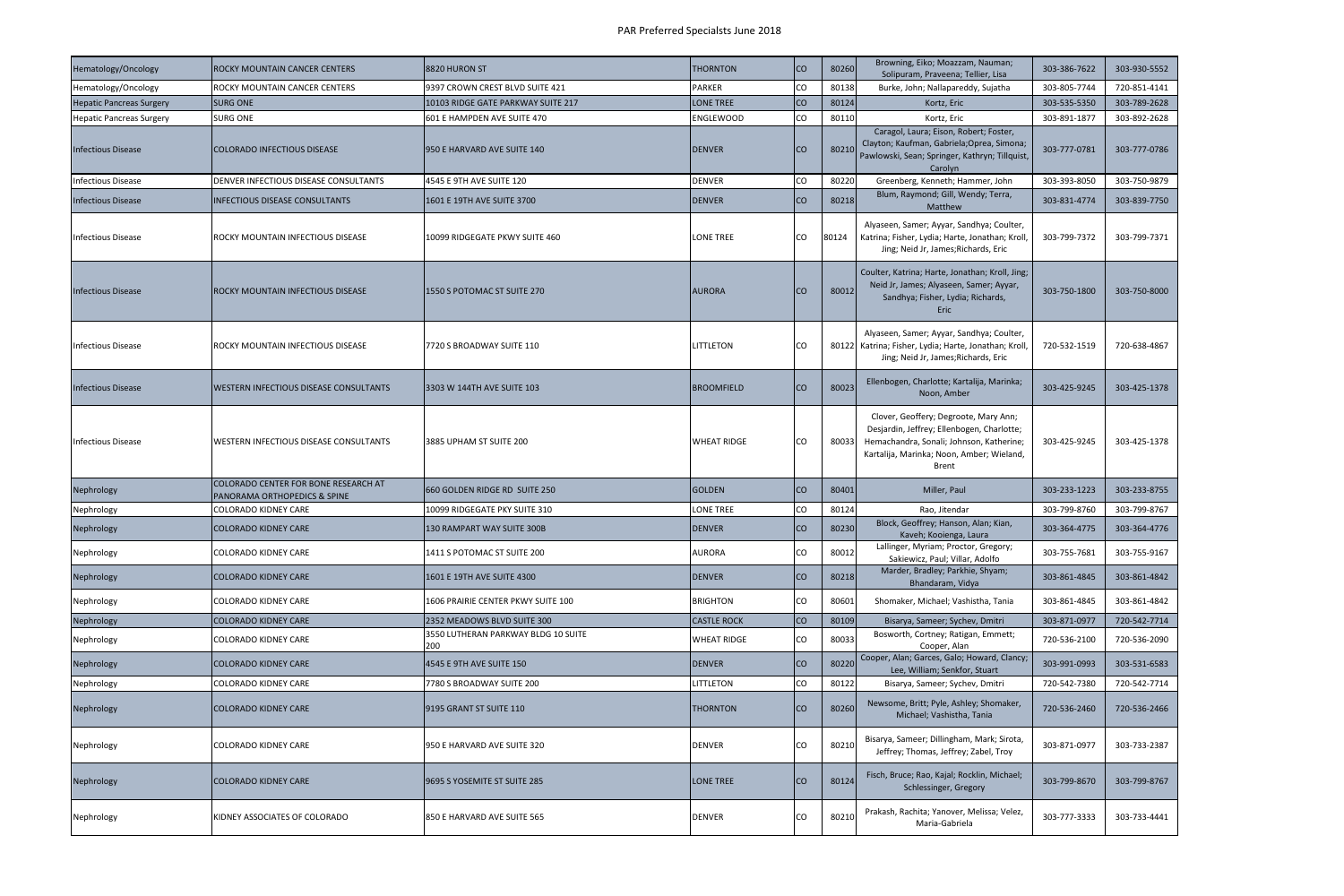| Hematology/Oncology             | ROCKY MOUNTAIN CANCER CENTERS                                        | 8820 HURON ST                              | <b>THORNTON</b>    | Ico       | 80260 | Browning, Eiko; Moazzam, Nauman;<br>Solipuram, Praveena; Tellier, Lisa                                                                                                                       | 303-386-7622 | 303-930-5552 |
|---------------------------------|----------------------------------------------------------------------|--------------------------------------------|--------------------|-----------|-------|----------------------------------------------------------------------------------------------------------------------------------------------------------------------------------------------|--------------|--------------|
| Hematology/Oncology             | ROCKY MOUNTAIN CANCER CENTERS                                        | 9397 CROWN CREST BLVD SUITE 421            | <b>PARKER</b>      | <b>CO</b> | 80138 | Burke, John; Nallapareddy, Sujatha                                                                                                                                                           | 303-805-7744 | 720-851-4141 |
| <b>Hepatic Pancreas Surgery</b> | <b>SURG ONE</b>                                                      | 10103 RIDGE GATE PARKWAY SUITE 217         | <b>LONE TREE</b>   | Ico       | 80124 | Kortz, Eric                                                                                                                                                                                  | 303-535-5350 | 303-789-2628 |
| <b>Hepatic Pancreas Surgery</b> | SURG ONE                                                             | 601 E HAMPDEN AVE SUITE 470                | <b>ENGLEWOOD</b>   | CO        | 80110 | Kortz, Eric                                                                                                                                                                                  | 303-891-1877 | 303-892-2628 |
| <b>Infectious Disease</b>       | COLORADO INFECTIOUS DISEASE                                          | 950 E HARVARD AVE SUITE 140                | <b>DENVER</b>      | lco       | 80210 | Caragol, Laura; Eison, Robert; Foster,<br>Clayton; Kaufman, Gabriela; Oprea, Simona;<br>Pawlowski, Sean; Springer, Kathryn; Tillquist,<br>Carolyn                                            | 303-777-0781 | 303-777-0786 |
| <b>Infectious Disease</b>       | DENVER INFECTIOUS DISEASE CONSULTANTS                                | 4545 E 9TH AVE SUITE 120                   | <b>DENVER</b>      | CO        | 80220 | Greenberg, Kenneth; Hammer, John                                                                                                                                                             | 303-393-8050 | 303-750-9879 |
| <b>Infectious Disease</b>       | <b>INFECTIOUS DISEASE CONSULTANTS</b>                                | 1601 E 19TH AVE SUITE 3700                 | <b>DENVER</b>      | ICO.      | 80218 | Blum, Raymond; Gill, Wendy; Terra,<br>Matthew                                                                                                                                                | 303-831-4774 | 303-839-7750 |
| <b>Infectious Disease</b>       | ROCKY MOUNTAIN INFECTIOUS DISEASE                                    | 10099 RIDGEGATE PKWY SUITE 460             | LONE TREE          | ICO       | 80124 | Alyaseen, Samer; Ayyar, Sandhya; Coulter,<br>Katrina; Fisher, Lydia; Harte, Jonathan; Kroll,<br>Jing; Neid Jr, James; Richards, Eric                                                         | 303-799-7372 | 303-799-7371 |
| <b>Infectious Disease</b>       | ROCKY MOUNTAIN INFECTIOUS DISEASE                                    | 1550 S POTOMAC ST SUITE 270                | <b>AURORA</b>      | ICO       | 80012 | Coulter, Katrina; Harte, Jonathan; Kroll, Jing;<br>Neid Jr, James; Alyaseen, Samer; Ayyar,<br>Sandhya; Fisher, Lydia; Richards,<br><b>Eric</b>                                               | 303-750-1800 | 303-750-8000 |
| <b>Infectious Disease</b>       | ROCKY MOUNTAIN INFECTIOUS DISEASE                                    | 7720 S BROADWAY SUITE 110                  | LITTLETON          | lco       |       | Alyaseen, Samer; Ayyar, Sandhya; Coulter,<br>80122 Katrina; Fisher, Lydia; Harte, Jonathan; Kroll,<br>Jing; Neid Jr, James; Richards, Eric                                                   | 720-532-1519 | 720-638-4867 |
| <b>Infectious Disease</b>       | WESTERN INFECTIOUS DISEASE CONSULTANTS                               | 3303 W 144TH AVE SUITE 103                 | <b>BROOMFIELD</b>  | ICO       | 80023 | Ellenbogen, Charlotte; Kartalija, Marinka;<br>Noon, Amber                                                                                                                                    | 303-425-9245 | 303-425-1378 |
| <b>Infectious Disease</b>       | WESTERN INFECTIOUS DISEASE CONSULTANTS                               | 3885 UPHAM ST SUITE 200                    | <b>WHEAT RIDGE</b> | ICO       | 80033 | Clover, Geoffery; Degroote, Mary Ann;<br>Desjardin, Jeffrey; Ellenbogen, Charlotte;<br>Hemachandra, Sonali; Johnson, Katherine;<br>Kartalija, Marinka; Noon, Amber; Wieland,<br><b>Brent</b> | 303-425-9245 | 303-425-1378 |
| Nephrology                      | COLORADO CENTER FOR BONE RESEARCH AT<br>PANORAMA ORTHOPEDICS & SPINE | 660 GOLDEN RIDGE RD SUITE 250              | <b>GOLDEN</b>      | ICO.      | 80401 | Miller, Paul                                                                                                                                                                                 | 303-233-1223 | 303-233-8755 |
| Nephrology                      | <b>COLORADO KIDNEY CARE</b>                                          | 10099 RIDGEGATE PKY SUITE 310              | LONE TREE          | CO        | 80124 | Rao, Jitendar                                                                                                                                                                                | 303-799-8760 | 303-799-8767 |
| Nephrology                      | <b>COLORADO KIDNEY CARE</b>                                          | 130 RAMPART WAY SUITE 300B                 | <b>DENVER</b>      | Ico       | 80230 | Block, Geoffrey; Hanson, Alan; Kian,<br>Kaveh; Kooienga, Laura                                                                                                                               | 303-364-4775 | 303-364-4776 |
| Nephrology                      | COLORADO KIDNEY CARE                                                 | 1411 S POTOMAC ST SUITE 200                | <b>AURORA</b>      | lco       | 80012 | Lallinger, Myriam; Proctor, Gregory;<br>Sakiewicz, Paul; Villar, Adolfo                                                                                                                      | 303-755-7681 | 303-755-9167 |
| Nephrology                      | COLORADO KIDNEY CARE                                                 | 1601 E 19TH AVE SUITE 4300                 | <b>DENVER</b>      | Ico       | 80218 | Marder, Bradley; Parkhie, Shyam;<br>Bhandaram, Vidya                                                                                                                                         | 303-861-4845 | 303-861-4842 |
| Nephrology                      | COLORADO KIDNEY CARE                                                 | 1606 PRAIRIE CENTER PKWY SUITE 100         | <b>BRIGHTON</b>    | lco       | 80601 | Shomaker, Michael; Vashistha, Tania                                                                                                                                                          | 303-861-4845 | 303-861-4842 |
| Nephrology                      | <b>COLORADO KIDNEY CARE</b>                                          | 2352 MEADOWS BLVD SUITE 300                | <b>CASTLE ROCK</b> | Ico       | 80109 | Bisarya, Sameer; Sychev, Dmitri                                                                                                                                                              | 303-871-0977 | 720-542-7714 |
| Nephrology                      | COLORADO KIDNEY CARE                                                 | 3550 LUTHERAN PARKWAY BLDG 10 SUITE<br>200 | <b>WHEAT RIDGE</b> | <b>CO</b> | 80033 | Bosworth, Cortney; Ratigan, Emmett;<br>Cooper, Alan                                                                                                                                          | 720-536-2100 | 720-536-2090 |
| Nephrology                      | COLORADO KIDNEY CARE                                                 | 4545 E 9TH AVE SUITE 150                   | <b>DENVER</b>      | Ico       | 80220 | Cooper, Alan; Garces, Galo; Howard, Clancy;<br>Lee, William; Senkfor, Stuart                                                                                                                 | 303-991-0993 | 303-531-6583 |
| Nephrology                      | COLORADO KIDNEY CARE                                                 | 7780 S BROADWAY SUITE 200                  | LITTLETON          | <b>CO</b> | 80122 | Bisarya, Sameer; Sychev, Dmitri                                                                                                                                                              | 720-542-7380 | 720-542-7714 |
| Nephrology                      | COLORADO KIDNEY CARE                                                 | 9195 GRANT ST SUITE 110                    | <b>THORNTON</b>    | Ico       | 80260 | Newsome, Britt; Pyle, Ashley; Shomaker,<br>Michael; Vashistha, Tania                                                                                                                         | 720-536-2460 | 720-536-2466 |
| Nephrology                      | COLORADO KIDNEY CARE                                                 | 950 E HARVARD AVE SUITE 320                | <b>DENVER</b>      | ICO       | 80210 | Bisarya, Sameer; Dillingham, Mark; Sirota,<br>Jeffrey; Thomas, Jeffrey; Zabel, Troy                                                                                                          | 303-871-0977 | 303-733-2387 |
| Nephrology                      | COLORADO KIDNEY CARE                                                 | 9695 S YOSEMITE ST SUITE 285               | LONE TREE          | Ico       | 80124 | Fisch, Bruce; Rao, Kajal; Rocklin, Michael;<br>Schlessinger, Gregory                                                                                                                         | 303-799-8670 | 303-799-8767 |
| Nephrology                      | KIDNEY ASSOCIATES OF COLORADO                                        | 850 E HARVARD AVE SUITE 565                | <b>DENVER</b>      |           | 8021  | Prakash, Rachita; Yanover, Melissa; Velez,<br>Maria-Gabriela                                                                                                                                 | 303-777-3333 | 303-733-4441 |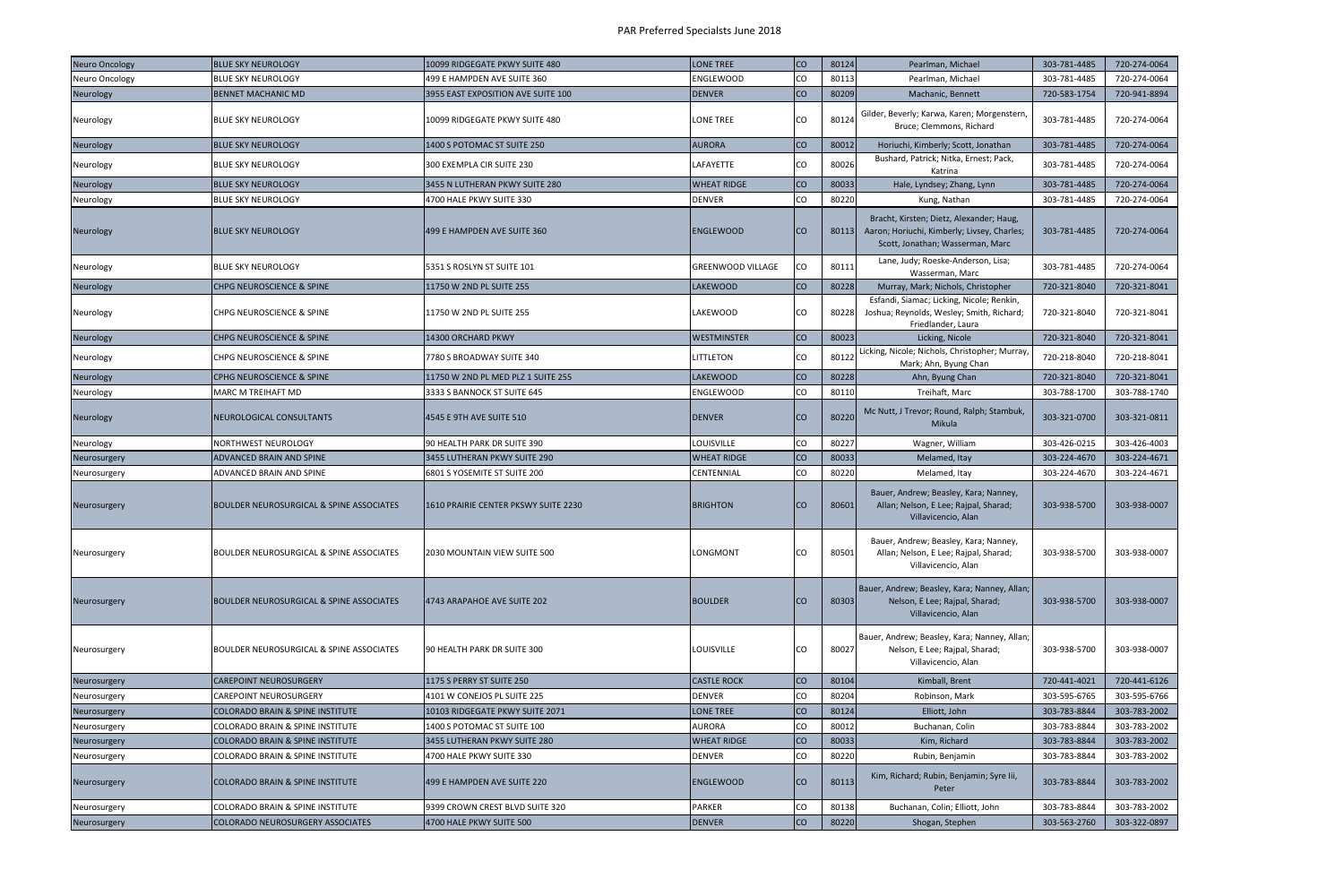| <b>Neuro Oncology</b> | <b>BLUE SKY NEUROLOGY</b>                   | 10099 RIDGEGATE PKWY SUITE 480       | <b>LONE TREE</b>         | co          | 80124 | Pearlman, Michael                                                                                                           | 303-781-4485 | 720-274-0064 |
|-----------------------|---------------------------------------------|--------------------------------------|--------------------------|-------------|-------|-----------------------------------------------------------------------------------------------------------------------------|--------------|--------------|
| Neuro Oncology        | <b>BLUE SKY NEUROLOGY</b>                   | 499 E HAMPDEN AVE SUITE 360          | <b>ENGLEWOOD</b>         | CO          | 80113 | Pearlman, Michael                                                                                                           | 303-781-4485 | 720-274-0064 |
| Neurology             | <b>BENNET MACHANIC MD</b>                   | 3955 EAST EXPOSITION AVE SUITE 100   | <b>DENVER</b>            | <b>CO</b>   | 80209 | Machanic, Bennett                                                                                                           | 720-583-1754 | 720-941-8894 |
| Neurology             | BLUE SKY NEUROLOGY                          | 10099 RIDGEGATE PKWY SUITE 480       | LONE TREE                | CO          | 80124 | Gilder, Beverly; Karwa, Karen; Morgenstern<br>Bruce; Clemmons, Richard                                                      | 303-781-4485 | 720-274-0064 |
| Neurology             | BLUE SKY NEUROLOGY                          | 1400 S POTOMAC ST SUITE 250          | <b>AURORA</b>            | co          | 80012 | Horiuchi, Kimberly; Scott, Jonathan                                                                                         | 303-781-4485 | 720-274-0064 |
| Neurology             | BLUE SKY NEUROLOGY                          | 300 EXEMPLA CIR SUITE 230            | LAFAYETTE                | Ico         | 80026 | Bushard, Patrick; Nitka, Ernest; Pack,<br>Katrina                                                                           | 303-781-4485 | 720-274-0064 |
| Neurology             | <b>BLUE SKY NEUROLOGY</b>                   | 3455 N LUTHERAN PKWY SUITE 280       | <b>WHEAT RIDGE</b>       | <b>CO</b>   | 80033 | Hale, Lyndsey; Zhang, Lynn                                                                                                  | 303-781-4485 | 720-274-0064 |
| Neurology             | BLUE SKY NEUROLOGY                          | 4700 HALE PKWY SUITE 330             | <b>DENVER</b>            | CO          | 80220 | Kung, Nathan                                                                                                                | 303-781-4485 | 720-274-0064 |
| <b>Neurology</b>      | <b>BLUE SKY NEUROLOGY</b>                   | 499 E HAMPDEN AVE SUITE 360          | <b>ENGLEWOOD</b>         | ICO.        | 80113 | Bracht, Kirsten; Dietz, Alexander; Haug,<br>Aaron; Horiuchi, Kimberly; Livsey, Charles;<br>Scott, Jonathan; Wasserman, Marc | 303-781-4485 | 720-274-0064 |
| Neurology             | BLUE SKY NEUROLOGY                          | 5351 S ROSLYN ST SUITE 101           | <b>GREENWOOD VILLAGE</b> | <b>CO</b>   | 80111 | Lane, Judy; Roeske-Anderson, Lisa;<br>Wasserman, Marc                                                                       | 303-781-4485 | 720-274-0064 |
| Neurology             | CHPG NEUROSCIENCE & SPINE                   | 11750 W 2ND PL SUITE 255             | LAKEWOOD                 | <b>CO</b>   | 80228 | Murray, Mark; Nichols, Christopher                                                                                          | 720-321-8040 | 720-321-8041 |
| Neurology             | CHPG NEUROSCIENCE & SPINE                   | 11750 W 2ND PL SUITE 255             | LAKEWOOD                 | CO          | 80228 | Esfandi, Siamac; Licking, Nicole; Renkin,<br>Joshua; Reynolds, Wesley; Smith, Richard;<br>Friedlander, Laura                | 720-321-8040 | 720-321-8041 |
| Neurology             | <b>CHPG NEUROSCIENCE &amp; SPINE</b>        | 14300 ORCHARD PKWY                   | <b>WESTMINSTER</b>       | co          | 80023 | Licking, Nicole                                                                                                             | 720-321-8040 | 720-321-8041 |
| Neurology             | CHPG NEUROSCIENCE & SPINE                   | 7780 S BROADWAY SUITE 340            | LITTLETON                | <b>CO</b>   | 80122 | Licking, Nicole; Nichols, Christopher; Murray,<br>Mark; Ahn, Byung Chan                                                     | 720-218-8040 | 720-218-8041 |
| Neurology             | CPHG NEUROSCIENCE & SPINE                   | 11750 W 2ND PL MED PLZ 1 SUITE 255   | <b>LAKEWOOD</b>          | co          | 80228 | Ahn, Byung Chan                                                                                                             | 720-321-8040 | 720-321-8041 |
| Neurology             | MARC M TREIHAFT MD                          | 3333 S BANNOCK ST SUITE 645          | <b>ENGLEWOOD</b>         | co          | 80110 | Treihaft, Marc                                                                                                              | 303-788-1700 | 303-788-1740 |
| Neurology             | NEUROLOGICAL CONSULTANTS                    | 4545 E 9TH AVE SUITE 510             | <b>DENVER</b>            | <b>CO</b>   | 80220 | Mc Nutt, J Trevor; Round, Ralph; Stambuk,<br>Mikula                                                                         | 303-321-0700 | 303-321-0811 |
| Neurology             | NORTHWEST NEUROLOGY                         | 90 HEALTH PARK DR SUITE 390          | LOUISVILLE               | CO          | 80227 | Wagner, William                                                                                                             | 303-426-0215 | 303-426-4003 |
| Neurosurgery          | <b>ADVANCED BRAIN AND SPINE</b>             | 3455 LUTHERAN PKWY SUITE 290         | <b>WHEAT RIDGE</b>       | <b>CO</b>   | 80033 | Melamed, Itay                                                                                                               | 303-224-4670 | 303-224-4671 |
| Neurosurgery          | ADVANCED BRAIN AND SPINE                    | 5801 S YOSEMITE ST SUITE 200         | CENTENNIAL               | co          | 80220 | Melamed, Itay                                                                                                               | 303-224-4670 | 303-224-4671 |
| Neurosurgery          | BOULDER NEUROSURGICAL & SPINE ASSOCIATES    | 1610 PRAIRIE CENTER PKSWY SUITE 2230 | <b>BRIGHTON</b>          | ICO         | 80601 | Bauer, Andrew; Beasley, Kara; Nanney,<br>Allan; Nelson, E Lee; Rajpal, Sharad;<br>Villavicencio, Alan                       | 303-938-5700 | 303-938-0007 |
| Neurosurgery          | BOULDER NEUROSURGICAL & SPINE ASSOCIATES    | 2030 MOUNTAIN VIEW SUITE 500         | LONGMONT                 | ICO.        | 80501 | Bauer, Andrew; Beasley, Kara; Nanney,<br>Allan; Nelson, E Lee; Rajpal, Sharad;<br>Villavicencio, Alan                       | 303-938-5700 | 303-938-0007 |
| Neurosurgery          | BOULDER NEUROSURGICAL & SPINE ASSOCIATES    | 4743 ARAPAHOE AVE SUITE 202          | <b>BOULDER</b>           | ICO.        | 80303 | Bauer, Andrew; Beasley, Kara; Nanney, Allan;<br>Nelson, E Lee; Rajpal, Sharad;<br>Villavicencio, Alan                       | 303-938-5700 | 303-938-0007 |
| Neurosurgery          | BOULDER NEUROSURGICAL & SPINE ASSOCIATES    | 90 HEALTH PARK DR SUITE 300          | LOUISVILLE               | CO          | 80027 | Bauer, Andrew; Beasley, Kara; Nanney, Allan;<br>Nelson, E Lee; Rajpal, Sharad;<br>Villavicencio, Alan                       | 303-938-5700 | 303-938-0007 |
| Neurosurgery          | <b>CAREPOINT NEUROSURGERY</b>               | 1175 S PERRY ST SUITE 250            | <b>CASTLE ROCK</b>       | co          | 80104 | Kimball, Brent                                                                                                              | 720-441-4021 | 720-441-6126 |
| Neurosurgery          | <b>CAREPOINT NEUROSURGERY</b>               | 4101 W CONEJOS PL SUITE 225          | <b>DENVER</b>            | co          | 80204 | Robinson, Mark                                                                                                              | 303-595-6765 | 303-595-6766 |
| Neurosurgery          | <b>COLORADO BRAIN &amp; SPINE INSTITUTE</b> | 10103 RIDGEGATE PKWY SUITE 2071      | <b>LONE TREE</b>         | co          | 80124 | Elliott, John                                                                                                               | 303-783-8844 | 303-783-2002 |
| Neurosurgery          | COLORADO BRAIN & SPINE INSTITUTE            | 1400 S POTOMAC ST SUITE 100          | <b>AURORA</b>            | CO          | 80012 | Buchanan, Colin                                                                                                             | 303-783-8844 | 303-783-2002 |
| Neurosurgery          | COLORADO BRAIN & SPINE INSTITUTE            | 3455 LUTHERAN PKWY SUITE 280         | <b>WHEAT RIDGE</b>       | co          | 80033 | Kim, Richard                                                                                                                | 303-783-8844 | 303-783-2002 |
| Neurosurgery          | <b>COLORADO BRAIN &amp; SPINE INSTITUTE</b> | 4700 HALE PKWY SUITE 330             | <b>DENVER</b>            | <b>co</b>   | 80220 | Rubin, Benjamin                                                                                                             | 303-783-8844 | 303-783-2002 |
| Neurosurgery          | COLORADO BRAIN & SPINE INSTITUTE            | 499 E HAMPDEN AVE SUITE 220          | <b>ENGLEWOOD</b>         | <b>I</b> co | 80113 | Kim, Richard; Rubin, Benjamin; Syre lii,<br>Peter                                                                           | 303-783-8844 | 303-783-2002 |
| Neurosurgery          | <b>COLORADO BRAIN &amp; SPINE INSTITUTE</b> | 9399 CROWN CREST BLVD SUITE 320      | <b>PARKER</b>            | <b>CO</b>   | 80138 | Buchanan, Colin; Elliott, John                                                                                              | 303-783-8844 | 303-783-2002 |
| Neurosurgery          | <b>COLORADO NEUROSURGERY ASSOCIATES</b>     | 4700 HALE PKWY SUITE 500             | <b>DENVER</b>            | co          | 80220 | Shogan, Stephen                                                                                                             | 303-563-2760 | 303-322-0897 |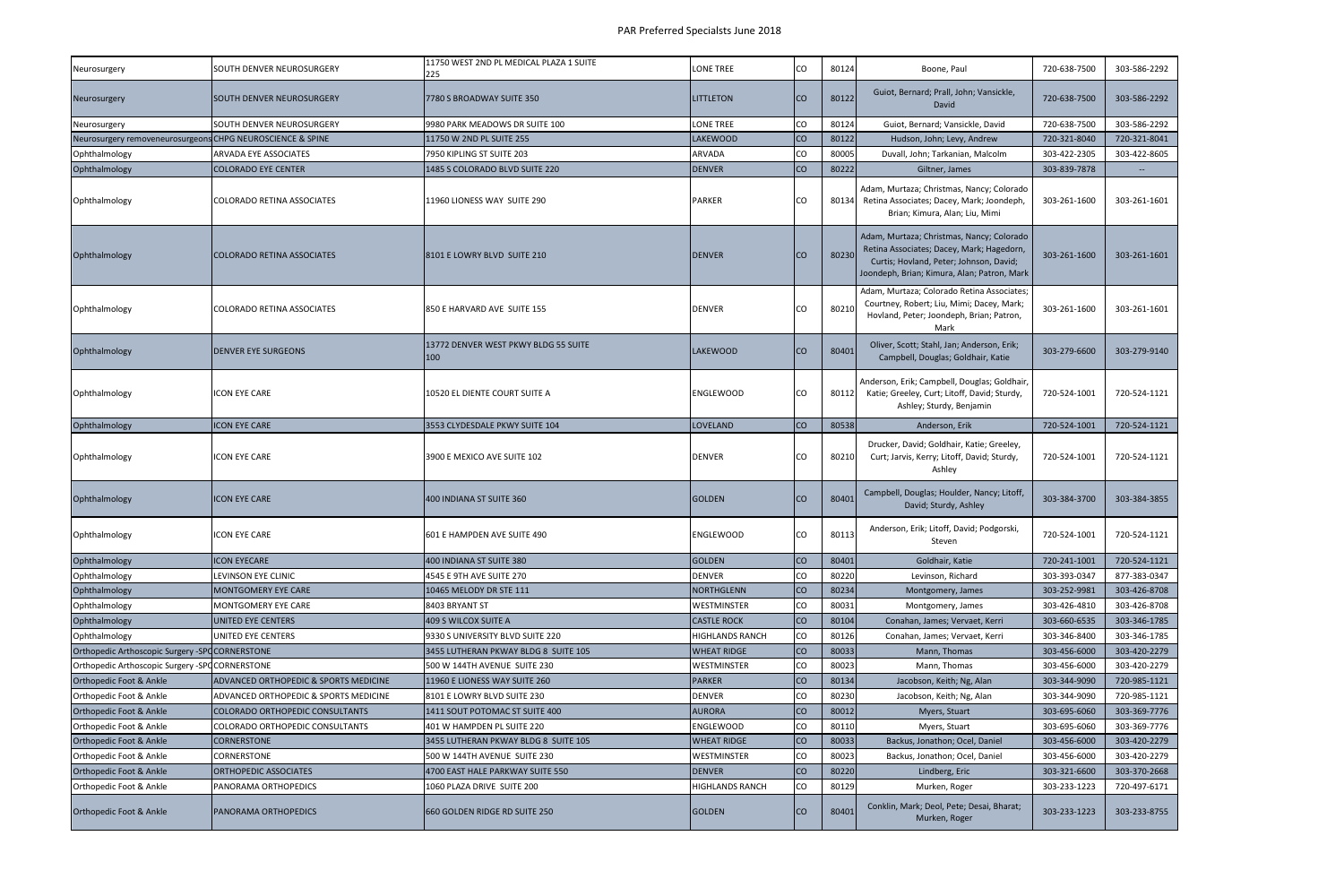| <b>Neurosurgery</b>                                        | SOUTH DENVER NEUROSURGERY                        | 11750 WEST 2ND PL MEDICAL PLAZA 1 SUITE<br>225 | <b>LONE TREE</b>       | ICO       | 80124 | Boone, Paul                                                                                                                                                                      | 720-638-7500 | 303-586-2292 |
|------------------------------------------------------------|--------------------------------------------------|------------------------------------------------|------------------------|-----------|-------|----------------------------------------------------------------------------------------------------------------------------------------------------------------------------------|--------------|--------------|
| <b>Neurosurgery</b>                                        | ISOUTH DENVER NEUROSURGERY                       | 7780 S BROADWAY SUITE 350                      | <b>LITTLETON</b>       | Ico       | 80122 | Guiot, Bernard; Prall, John; Vansickle,<br>David                                                                                                                                 | 720-638-7500 | 303-586-2292 |
| Neurosurgery                                               | SOUTH DENVER NEUROSURGERY                        | 9980 PARK MEADOWS DR SUITE 100                 | <b>LONE TREE</b>       | lco       | 80124 | Guiot, Bernard; Vansickle, David                                                                                                                                                 | 720-638-7500 | 303-586-2292 |
| Neurosurgery removeneurosurgeons CHPG NEUROSCIENCE & SPINE |                                                  | 11750 W 2ND PL SUITE 255                       | <b>LAKEWOOD</b>        | <b>CO</b> | 80122 | Hudson, John; Levy, Andrew                                                                                                                                                       | 720-321-8040 | 720-321-8041 |
| Ophthalmology                                              | <b>ARVADA EYE ASSOCIATES</b>                     | 7950 KIPLING ST SUITE 203                      | <b>ARVADA</b>          | lco       | 80005 | Duvall, John; Tarkanian, Malcolm                                                                                                                                                 | 303-422-2305 | 303-422-8605 |
| Ophthalmology                                              | <b>COLORADO EYE CENTER</b>                       | 1485 S COLORADO BLVD SUITE 220                 | <b>DENVER</b>          | lco       | 80222 | Giltner, James                                                                                                                                                                   | 303-839-7878 | $\sim$       |
| Ophthalmology                                              | <b>COLORADO RETINA ASSOCIATES</b>                | 11960 LIONESS WAY SUITE 290                    | <b>PARKER</b>          | CO        | 80134 | Adam, Murtaza; Christmas, Nancy; Colorado<br>Retina Associates; Dacey, Mark; Joondeph,<br>Brian; Kimura, Alan; Liu, Mimi                                                         | 303-261-1600 | 303-261-1601 |
| Ophthalmology                                              | <b>COLORADO RETINA ASSOCIATES</b>                | 8101 E LOWRY BLVD SUITE 210                    | <b>DENVER</b>          | ICO       | 80230 | Adam, Murtaza; Christmas, Nancy; Colorado<br>Retina Associates; Dacey, Mark; Hagedorn,<br>Curtis; Hovland, Peter; Johnson, David;<br>Joondeph, Brian; Kimura, Alan; Patron, Mark | 303-261-1600 | 303-261-1601 |
| Ophthalmology                                              | COLORADO RETINA ASSOCIATES                       | 850 E HARVARD AVE SUITE 155                    | <b>DENVER</b>          | cо        | 80210 | Adam, Murtaza; Colorado Retina Associates;<br>Courtney, Robert; Liu, Mimi; Dacey, Mark;<br>Hovland, Peter; Joondeph, Brian; Patron,<br>Mark                                      | 303-261-1600 | 303-261-1601 |
| Ophthalmology                                              | <b>DENVER EYE SURGEONS</b>                       | 13772 DENVER WEST PKWY BLDG 55 SUITE<br>100    | <b>LAKEWOOD</b>        | ICO       | 80401 | Oliver, Scott; Stahl, Jan; Anderson, Erik;<br>Campbell, Douglas; Goldhair, Katie                                                                                                 | 303-279-6600 | 303-279-9140 |
| Ophthalmology                                              | ICON EYE CARE                                    | 10520 EL DIENTE COURT SUITE A                  | <b>ENGLEWOOD</b>       | <b>CO</b> | 80112 | Anderson, Erik; Campbell, Douglas; Goldhair,<br>Katie; Greeley, Curt; Litoff, David; Sturdy,<br>Ashley; Sturdy, Benjamin                                                         | 720-524-1001 | 720-524-1121 |
| Ophthalmology                                              | <b>ICON EYE CARE</b>                             | 3553 CLYDESDALE PKWY SUITE 104                 | <b>LOVELAND</b>        | <b>CO</b> | 80538 | Anderson, Erik                                                                                                                                                                   | 720-524-1001 | 720-524-1121 |
| Ophthalmology                                              | ICON EYE CARE                                    | 3900 E MEXICO AVE SUITE 102                    | <b>DENVER</b>          | CO        | 80210 | Drucker, David; Goldhair, Katie; Greeley,<br>Curt; Jarvis, Kerry; Litoff, David; Sturdy,<br>Ashley                                                                               | 720-524-1001 | 720-524-1121 |
| Ophthalmology                                              | ICON EYE CARE                                    | 400 INDIANA ST SUITE 360                       | <b>GOLDEN</b>          | ICO       | 80401 | Campbell, Douglas; Houlder, Nancy; Litoff,<br>David; Sturdy, Ashley                                                                                                              | 303-384-3700 | 303-384-3855 |
| Ophthalmology                                              | ICON EYE CARE                                    | 601 E HAMPDEN AVE SUITE 490                    | <b>ENGLEWOOD</b>       | CO        | 80113 | Anderson, Erik; Litoff, David; Podgorski,<br>Steven                                                                                                                              | 720-524-1001 | 720-524-1121 |
| Ophthalmology                                              | <b>ICON EYECARE</b>                              | 400 INDIANA ST SUITE 380                       | <b>GOLDEN</b>          | <b>CO</b> | 80401 | Goldhair, Katie                                                                                                                                                                  | 720-241-1001 | 720-524-1121 |
| Ophthalmology                                              | LEVINSON EYE CLINIC                              | 4545 E 9TH AVE SUITE 270                       | <b>DENVER</b>          | CO        | 80220 | Levinson, Richard                                                                                                                                                                | 303-393-0347 | 877-383-0347 |
| Ophthalmology                                              | MONTGOMERY EYE CARE                              | 10465 MELODY DR STE 111                        | NORTHGLENN             | Ico       | 80234 | Montgomery, James                                                                                                                                                                | 303-252-9981 | 303-426-8708 |
| Ophthalmology                                              | <b>MONTGOMERY EYE CARE</b>                       | 8403 BRYANT ST                                 | <b>WESTMINSTER</b>     | lco       | 80031 | Montgomery, James                                                                                                                                                                | 303-426-4810 | 303-426-8708 |
| Ophthalmology                                              | UNITED EYE CENTERS                               | 409 S WILCOX SUITE A                           | <b>CASTLE ROCK</b>     | Ico       | 80104 | Conahan, James; Vervaet, Kerri                                                                                                                                                   | 303-660-6535 | 303-346-1785 |
| Ophthalmology                                              | UNITED EYE CENTERS                               | 9330 S UNIVERSITY BLVD SUITE 220               | <b>HIGHLANDS RANCH</b> | lco       | 80126 | Conahan, James; Vervaet, Kerri                                                                                                                                                   | 303-346-8400 | 303-346-1785 |
| Orthopedic Arthoscopic Surgery -SPOCORNERSTONE             |                                                  | 3455 LUTHERAN PKWAY BLDG 8 SUITE 105           | <b>WHEAT RIDGE</b>     | <b>CO</b> | 80033 | Mann, Thomas                                                                                                                                                                     | 303-456-6000 | 303-420-2279 |
| Orthopedic Arthoscopic Surgery -SPOCORNERSTONE             |                                                  | 500 W 144TH AVENUE SUITE 230                   | WESTMINSTER            | CO        | 80023 | Mann, Thomas                                                                                                                                                                     | 303-456-6000 | 303-420-2279 |
| Orthopedic Foot & Ankle                                    | <b>ADVANCED ORTHOPEDIC &amp; SPORTS MEDICINE</b> | 11960 E LIONESS WAY SUITE 260                  | <b>PARKER</b>          | Ico       | 80134 | Jacobson, Keith; Ng, Alan                                                                                                                                                        | 303-344-9090 | 720-985-1121 |
| Orthopedic Foot & Ankle                                    | ADVANCED ORTHOPEDIC & SPORTS MEDICINE            | 8101 E LOWRY BLVD SUITE 230                    | <b>DENVER</b>          | CO        | 80230 | Jacobson, Keith; Ng, Alan                                                                                                                                                        | 303-344-9090 | 720-985-1121 |
| <b>Orthopedic Foot &amp; Ankle</b>                         | COLORADO ORTHOPEDIC CONSULTANTS                  | 1411 SOUT POTOMAC ST SUITE 400                 | <b>AURORA</b>          | lco       | 80012 | Myers, Stuart                                                                                                                                                                    | 303-695-6060 | 303-369-7776 |
| Orthopedic Foot & Ankle                                    | COLORADO ORTHOPEDIC CONSULTANTS                  | 401 W HAMPDEN PL SUITE 220                     | <b>ENGLEWOOD</b>       | Ico       | 80110 | Myers, Stuart                                                                                                                                                                    | 303-695-6060 | 303-369-7776 |
| Orthopedic Foot & Ankle                                    | <b>CORNERSTONE</b>                               | 3455 LUTHERAN PKWAY BLDG 8 SUITE 105           | <b>WHEAT RIDGE</b>     | Ico       | 80033 | Backus, Jonathon; Ocel, Daniel                                                                                                                                                   | 303-456-6000 | 303-420-2279 |
| Orthopedic Foot & Ankle                                    | <b>CORNERSTONE</b>                               | 500 W 144TH AVENUE SUITE 230                   | <b>WESTMINSTER</b>     | lco       | 80023 | Backus, Jonathon; Ocel, Daniel                                                                                                                                                   | 303-456-6000 | 303-420-2279 |
| Orthopedic Foot & Ankle                                    | ORTHOPEDIC ASSOCIATES                            | 4700 EAST HALE PARKWAY SUITE 550               | <b>DENVER</b>          | Ico       | 80220 | Lindberg, Eric                                                                                                                                                                   | 303-321-6600 | 303-370-2668 |
| Orthopedic Foot & Ankle                                    | PANORAMA ORTHOPEDICS                             | 1060 PLAZA DRIVE SUITE 200                     | <b>HIGHLANDS RANCH</b> | lco       | 80129 | Murken, Roger                                                                                                                                                                    | 303-233-1223 | 720-497-6171 |
| Orthopedic Foot & Ankle                                    | <b>PANORAMA ORTHOPEDICS</b>                      | 660 GOLDEN RIDGE RD SUITE 250                  | GOLDEN                 | ICO       | 80401 | Conklin, Mark; Deol, Pete; Desai, Bharat;<br>Murken, Roger                                                                                                                       | 303-233-1223 | 303-233-8755 |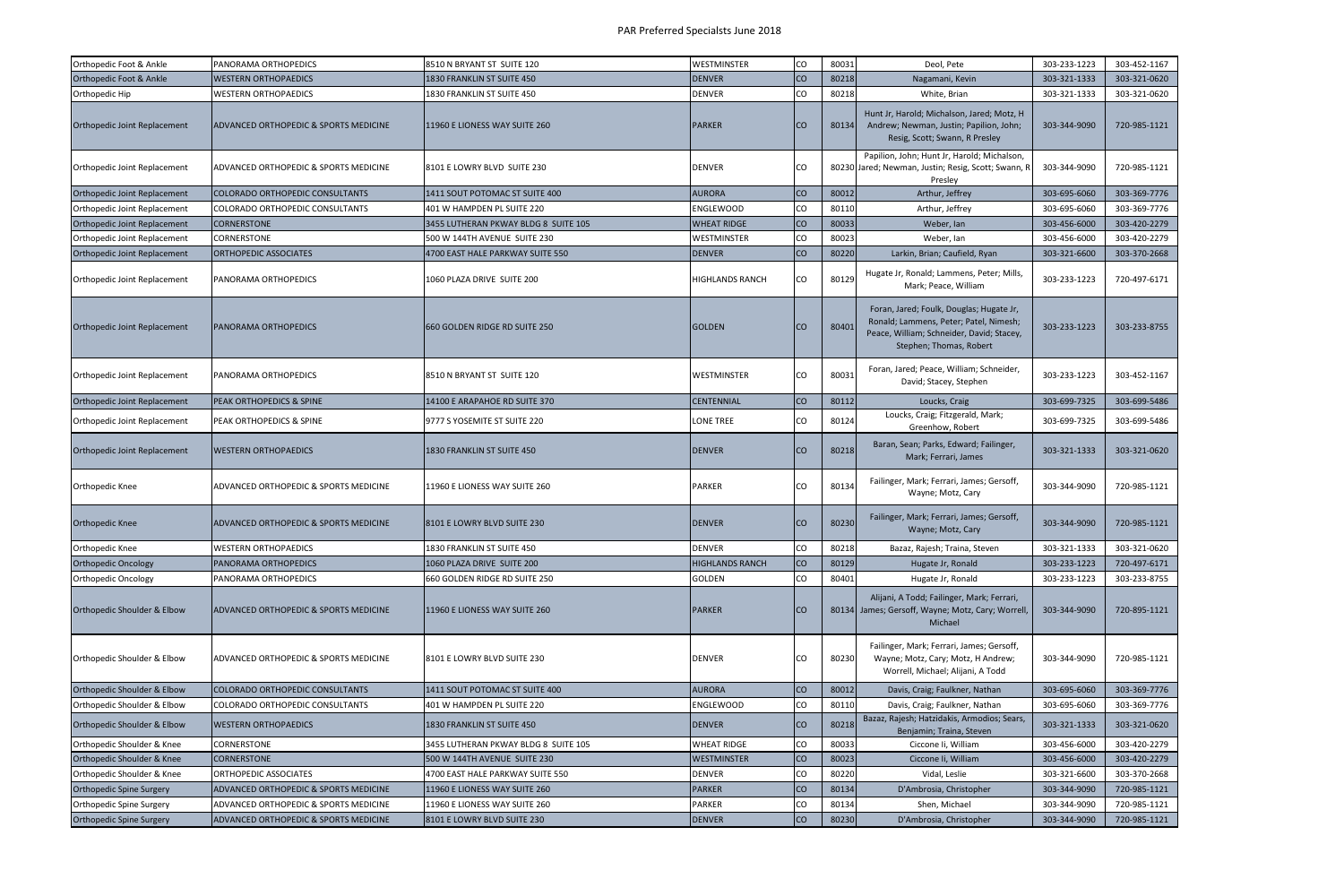| Orthopedic Foot & Ankle             | PANORAMA ORTHOPEDICS                   | 8510 N BRYANT ST SUITE 120           | <b>WESTMINSTER</b>     | CO        | 80031 | Deol, Pete                                                                                                                                                 | 303-233-1223 | 303-452-1167 |
|-------------------------------------|----------------------------------------|--------------------------------------|------------------------|-----------|-------|------------------------------------------------------------------------------------------------------------------------------------------------------------|--------------|--------------|
| Orthopedic Foot & Ankle             | <b>WESTERN ORTHOPAEDICS</b>            | 1830 FRANKLIN ST SUITE 450           | <b>DENVER</b>          | <b>CO</b> | 80218 | Nagamani, Kevin                                                                                                                                            | 303-321-1333 | 303-321-0620 |
| Orthopedic Hip                      | WESTERN ORTHOPAEDICS                   | 1830 FRANKLIN ST SUITE 450           | DENVER                 | CO        | 80218 | White, Brian                                                                                                                                               | 303-321-1333 | 303-321-0620 |
| <b>Orthopedic Joint Replacement</b> | ADVANCED ORTHOPEDIC & SPORTS MEDICINE  | 11960 E LIONESS WAY SUITE 260        | <b>PARKER</b>          | CO.       | 80134 | Hunt Jr, Harold; Michalson, Jared; Motz, H<br>Andrew; Newman, Justin; Papilion, John;<br>Resig, Scott; Swann, R Presley                                    | 303-344-9090 | 720-985-1121 |
| Orthopedic Joint Replacement        | ADVANCED ORTHOPEDIC & SPORTS MEDICINE  | 8101 E LOWRY BLVD SUITE 230          | <b>DENVER</b>          | CO.       |       | Papilion, John; Hunt Jr, Harold; Michalson,<br>80230 Jared; Newman, Justin; Resig, Scott; Swann, R<br>Presley                                              | 303-344-9090 | 720-985-1121 |
| Orthopedic Joint Replacement        | COLORADO ORTHOPEDIC CONSULTANTS        | 1411 SOUT POTOMAC ST SUITE 400       | <b>AURORA</b>          | <b>CO</b> | 80012 | Arthur, Jeffrey                                                                                                                                            | 303-695-6060 | 303-369-7776 |
| Orthopedic Joint Replacement        | COLORADO ORTHOPEDIC CONSULTANTS        | 401 W HAMPDEN PL SUITE 220           | ENGLEWOOD              | CO        | 80110 | Arthur, Jeffrey                                                                                                                                            | 303-695-6060 | 303-369-7776 |
| Orthopedic Joint Replacement        | <b>CORNERSTONE</b>                     | 3455 LUTHERAN PKWAY BLDG 8 SUITE 105 | <b>WHEAT RIDGE</b>     | <b>CO</b> | 80033 | Weber, Ian                                                                                                                                                 | 303-456-6000 | 303-420-2279 |
| Orthopedic Joint Replacement        | CORNERSTONE                            | 500 W 144TH AVENUE SUITE 230         | WESTMINSTER            | CO        | 80023 | Weber, Ian                                                                                                                                                 | 303-456-6000 | 303-420-2279 |
| Orthopedic Joint Replacement        | <b>ORTHOPEDIC ASSOCIATES</b>           | 4700 EAST HALE PARKWAY SUITE 550     | <b>DENVER</b>          | <b>CO</b> | 80220 | Larkin, Brian; Caufield, Ryan                                                                                                                              | 303-321-6600 | 303-370-2668 |
| Orthopedic Joint Replacement        | PANORAMA ORTHOPEDICS                   | 1060 PLAZA DRIVE SUITE 200           | <b>HIGHLANDS RANCH</b> | CO        | 80129 | Hugate Jr, Ronald; Lammens, Peter; Mills,<br>Mark; Peace, William                                                                                          | 303-233-1223 | 720-497-6171 |
| <b>Orthopedic Joint Replacement</b> | <b>PANORAMA ORTHOPEDICS</b>            | <b>660 GOLDEN RIDGE RD SUITE 250</b> | <b>GOLDEN</b>          | CO        | 80401 | Foran, Jared; Foulk, Douglas; Hugate Jr,<br>Ronald; Lammens, Peter; Patel, Nimesh;<br>Peace, William; Schneider, David; Stacey,<br>Stephen; Thomas, Robert | 303-233-1223 | 303-233-8755 |
| Orthopedic Joint Replacement        | PANORAMA ORTHOPEDICS                   | 8510 N BRYANT ST SUITE 120           | WESTMINSTER            | CO        | 80031 | Foran, Jared; Peace, William; Schneider,<br>David; Stacey, Stephen                                                                                         | 303-233-1223 | 303-452-1167 |
| Orthopedic Joint Replacement        | PEAK ORTHOPEDICS & SPINE               | 14100 E ARAPAHOE RD SUITE 370        | <b>CENTENNIAL</b>      | <b>CO</b> | 80112 | Loucks, Craig                                                                                                                                              | 303-699-7325 | 303-699-5486 |
| Orthopedic Joint Replacement        | PEAK ORTHOPEDICS & SPINE               | 9777 S YOSEMITE ST SUITE 220         | <b>LONE TREE</b>       | CO        | 80124 | Loucks, Craig; Fitzgerald, Mark;<br>Greenhow, Robert                                                                                                       | 303-699-7325 | 303-699-5486 |
| <b>Orthopedic Joint Replacement</b> | <b>WESTERN ORTHOPAEDICS</b>            | 1830 FRANKLIN ST SUITE 450           | <b>DENVER</b>          | CO        | 80218 | Baran, Sean; Parks, Edward; Failinger,<br>Mark; Ferrari, James                                                                                             | 303-321-1333 | 303-321-0620 |
| <b>Orthopedic Knee</b>              | ADVANCED ORTHOPEDIC & SPORTS MEDICINE  | 11960 E LIONESS WAY SUITE 260        | PARKER                 | CO        | 80134 | Failinger, Mark; Ferrari, James; Gersoff,<br>Wayne; Motz, Cary                                                                                             | 303-344-9090 | 720-985-1121 |
| <b>Orthopedic Knee</b>              | ADVANCED ORTHOPEDIC & SPORTS MEDICINE  | 8101 E LOWRY BLVD SUITE 230          | <b>DENVER</b>          | CO.       | 80230 | Failinger, Mark; Ferrari, James; Gersoff,<br>Wayne; Motz, Cary                                                                                             | 303-344-9090 | 720-985-1121 |
| <b>Orthopedic Knee</b>              | <b>WESTERN ORTHOPAEDICS</b>            | 1830 FRANKLIN ST SUITE 450           | <b>DENVER</b>          | CO        | 80218 | Bazaz, Rajesh; Traina, Steven                                                                                                                              | 303-321-1333 | 303-321-0620 |
| <b>Orthopedic Oncology</b>          | PANORAMA ORTHOPEDICS                   | 1060 PLAZA DRIVE SUITE 200           | <b>HIGHLANDS RANCH</b> | <b>CO</b> | 80129 | Hugate Jr, Ronald                                                                                                                                          | 303-233-1223 | 720-497-6171 |
| <b>Orthopedic Oncology</b>          | PANORAMA ORTHOPEDICS                   | 660 GOLDEN RIDGE RD SUITE 250        | GOLDEN                 | CO        | 80401 | Hugate Jr, Ronald                                                                                                                                          | 303-233-1223 | 303-233-8755 |
| Orthopedic Shoulder & Elbow         | ADVANCED ORTHOPEDIC & SPORTS MEDICINE  | 11960 E LIONESS WAY SUITE 260        | PARKER                 | CO        |       | Alijani, A Todd; Failinger, Mark; Ferrari,<br>80134 James; Gersoff, Wayne; Motz, Cary; Worrell,<br>Michael                                                 | 303-344-9090 | 720-895-1121 |
| Orthopedic Shoulder & Elbow         | ADVANCED ORTHOPEDIC & SPORTS MEDICINE  | 8101 E LOWRY BLVD SUITE 230          | <b>DENVER</b>          | CO        | 80230 | Failinger, Mark; Ferrari, James; Gersoff,<br>Wayne; Motz, Cary; Motz, H Andrew;<br>Worrell, Michael; Alijani, A Todd                                       | 303-344-9090 | 720-985-1121 |
| Orthopedic Shoulder & Elbow         | <b>COLORADO ORTHOPEDIC CONSULTANTS</b> | 1411 SOUT POTOMAC ST SUITE 400       | <b>AURORA</b>          | <b>CO</b> | 80012 | Davis, Craig; Faulkner, Nathan                                                                                                                             | 303-695-6060 | 303-369-7776 |
| Orthopedic Shoulder & Elbow         | COLORADO ORTHOPEDIC CONSULTANTS        | 401 W HAMPDEN PL SUITE 220           | ENGLEWOOD              | CO        | 80110 | Davis, Craig; Faulkner, Nathan                                                                                                                             | 303-695-6060 | 303-369-7776 |
| Orthopedic Shoulder & Elbow         | <b>WESTERN ORTHOPAEDICS</b>            | 1830 FRANKLIN ST SUITE 450           | <b>DENVER</b>          | <b>CO</b> | 80218 | Bazaz, Rajesh; Hatzidakis, Armodios; Sears,<br>Benjamin; Traina, Steven                                                                                    | 303-321-1333 | 303-321-0620 |
| Orthopedic Shoulder & Knee          | CORNERSTONE                            | 3455 LUTHERAN PKWAY BLDG 8 SUITE 105 | <b>WHEAT RIDGE</b>     | CO        | 80033 | Ciccone Ii, William                                                                                                                                        | 303-456-6000 | 303-420-2279 |
| Orthopedic Shoulder & Knee          | <b>CORNERSTONE</b>                     | 500 W 144TH AVENUE SUITE 230         | WESTMINSTER            | <b>CO</b> | 80023 | Ciccone Ii, William                                                                                                                                        | 303-456-6000 | 303-420-2279 |
| Orthopedic Shoulder & Knee          | <b>ORTHOPEDIC ASSOCIATES</b>           | 4700 EAST HALE PARKWAY SUITE 550     | <b>DENVER</b>          | CO        | 80220 | Vidal, Leslie                                                                                                                                              | 303-321-6600 | 303-370-2668 |
| <b>Orthopedic Spine Surgery</b>     | ADVANCED ORTHOPEDIC & SPORTS MEDICINE  | 11960 E LIONESS WAY SUITE 260        | <b>PARKER</b>          | <b>CO</b> | 80134 | D'Ambrosia, Christopher                                                                                                                                    | 303-344-9090 | 720-985-1121 |
| <b>Orthopedic Spine Surgery</b>     | ADVANCED ORTHOPEDIC & SPORTS MEDICINE  | 11960 E LIONESS WAY SUITE 260        | <b>PARKER</b>          | CO        | 80134 | Shen, Michael                                                                                                                                              | 303-344-9090 | 720-985-1121 |
| <b>Orthopedic Spine Surgery</b>     | ADVANCED ORTHOPEDIC & SPORTS MEDICINE  | 8101 E LOWRY BLVD SUITE 230          | <b>DENVER</b>          | CO        | 80230 | D'Ambrosia, Christopher                                                                                                                                    | 303-344-9090 | 720-985-1121 |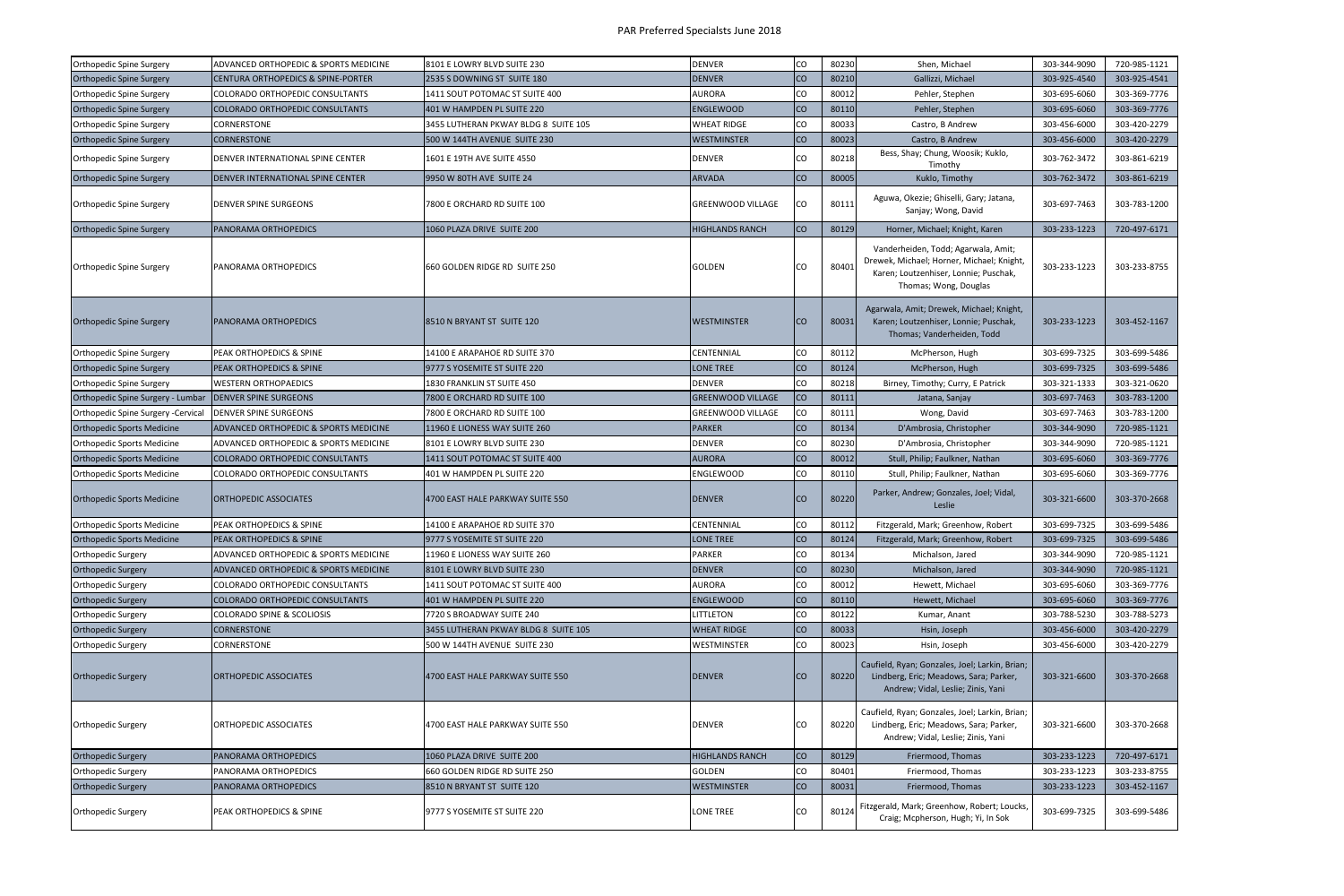| <b>Orthopedic Spine Surgery</b>    | ADVANCED ORTHOPEDIC & SPORTS MEDICINE            | 8101 E LOWRY BLVD SUITE 230          | <b>DENVER</b>            | CO        | 80230 | Shen, Michael                                                                                                                                      | 303-344-9090 | 720-985-1121 |
|------------------------------------|--------------------------------------------------|--------------------------------------|--------------------------|-----------|-------|----------------------------------------------------------------------------------------------------------------------------------------------------|--------------|--------------|
| <b>Orthopedic Spine Surgery</b>    | <b>CENTURA ORTHOPEDICS &amp; SPINE-PORTER</b>    | 2535 S DOWNING ST SUITE 180          | <b>DENVER</b>            | <b>CO</b> | 80210 | Gallizzi, Michael                                                                                                                                  | 303-925-4540 | 303-925-4541 |
| <b>Orthopedic Spine Surgery</b>    | COLORADO ORTHOPEDIC CONSULTANTS                  | 1411 SOUT POTOMAC ST SUITE 400       | AURORA                   | CO        | 80012 | Pehler, Stephen                                                                                                                                    | 303-695-6060 | 303-369-7776 |
| <b>Orthopedic Spine Surgery</b>    | COLORADO ORTHOPEDIC CONSULTANTS                  | 401 W HAMPDEN PL SUITE 220           | <b>ENGLEWOOD</b>         | <b>CO</b> | 80110 | Pehler, Stephen                                                                                                                                    | 303-695-6060 | 303-369-7776 |
| <b>Orthopedic Spine Surgery</b>    | CORNERSTONE                                      | 3455 LUTHERAN PKWAY BLDG 8 SUITE 105 | <b>WHEAT RIDGE</b>       | CO        | 80033 | Castro, B Andrew                                                                                                                                   | 303-456-6000 | 303-420-2279 |
| <b>Orthopedic Spine Surgery</b>    | <b>CORNERSTONE</b>                               | 500 W 144TH AVENUE SUITE 230         | <b>WESTMINSTER</b>       | <b>CO</b> | 80023 | Castro, B Andrew                                                                                                                                   | 303-456-6000 | 303-420-2279 |
| Orthopedic Spine Surgery           | DENVER INTERNATIONAL SPINE CENTER                | 1601 E 19TH AVE SUITE 4550           | <b>DENVER</b>            | Ico       | 80218 | Bess, Shay; Chung, Woosik; Kuklo,<br>Timothy                                                                                                       | 303-762-3472 | 303-861-6219 |
| <b>Orthopedic Spine Surgery</b>    | <b>DENVER INTERNATIONAL SPINE CENTER</b>         | 9950 W 80TH AVE SUITE 24             | <b>ARVADA</b>            | <b>CO</b> | 80005 | Kuklo, Timothy                                                                                                                                     | 303-762-3472 | 303-861-6219 |
| Orthopedic Spine Surgery           | <b>DENVER SPINE SURGEONS</b>                     | 7800 E ORCHARD RD SUITE 100          | <b>GREENWOOD VILLAGE</b> | CO        | 80111 | Aguwa, Okezie; Ghiselli, Gary; Jatana,<br>Sanjay; Wong, David                                                                                      | 303-697-7463 | 303-783-1200 |
| <b>Orthopedic Spine Surgery</b>    | PANORAMA ORTHOPEDICS                             | 1060 PLAZA DRIVE SUITE 200           | <b>HIGHLANDS RANCH</b>   | <b>CO</b> | 80129 | Horner, Michael; Knight, Karen                                                                                                                     | 303-233-1223 | 720-497-6171 |
| <b>Orthopedic Spine Surgery</b>    | <b>PANORAMA ORTHOPEDICS</b>                      | 660 GOLDEN RIDGE RD SUITE 250        | GOLDEN                   | CO        | 80401 | Vanderheiden, Todd; Agarwala, Amit;<br>Drewek, Michael; Horner, Michael; Knight,<br>Karen; Loutzenhiser, Lonnie; Puschak,<br>Thomas; Wong, Douglas | 303-233-1223 | 303-233-8755 |
| <b>Orthopedic Spine Surgery</b>    | <b>PANORAMA ORTHOPEDICS</b>                      | 8510 N BRYANT ST SUITE 120           | <b>WESTMINSTER</b>       | ICO       | 80031 | Agarwala, Amit; Drewek, Michael; Knight,<br>Karen; Loutzenhiser, Lonnie; Puschak,<br>Thomas; Vanderheiden, Todd                                    | 303-233-1223 | 303-452-1167 |
| Orthopedic Spine Surgery           | PEAK ORTHOPEDICS & SPINE                         | 14100 E ARAPAHOE RD SUITE 370        | CENTENNIAL               | co        | 80112 | McPherson, Hugh                                                                                                                                    | 303-699-7325 | 303-699-5486 |
| <b>Orthopedic Spine Surgery</b>    | <b>PEAK ORTHOPEDICS &amp; SPINE</b>              | 9777 S YOSEMITE ST SUITE 220         | <b>LONE TREE</b>         | <b>CO</b> | 80124 | McPherson, Hugh                                                                                                                                    | 303-699-7325 | 303-699-5486 |
| <b>Orthopedic Spine Surgery</b>    | WESTERN ORTHOPAEDICS                             | 1830 FRANKLIN ST SUITE 450           | <b>DENVER</b>            | CO        | 80218 | Birney, Timothy; Curry, E Patrick                                                                                                                  | 303-321-1333 | 303-321-0620 |
| Orthopedic Spine Surgery - Lumbar  | <b>DENVER SPINE SURGEONS</b>                     | 7800 E ORCHARD RD SUITE 100          | <b>GREENWOOD VILLAGE</b> | <b>CO</b> | 80111 | Jatana, Sanjay                                                                                                                                     | 303-697-7463 | 303-783-1200 |
| Orthopedic Spine Surgery -Cervical | DENVER SPINE SURGEONS                            | 7800 E ORCHARD RD SUITE 100          | <b>GREENWOOD VILLAGE</b> | CO        | 80111 | Wong, David                                                                                                                                        | 303-697-7463 | 303-783-1200 |
| <b>Orthopedic Sports Medicine</b>  | <b>ADVANCED ORTHOPEDIC &amp; SPORTS MEDICINE</b> | 11960 E LIONESS WAY SUITE 260        | <b>PARKER</b>            | <b>CO</b> | 80134 | D'Ambrosia, Christopher                                                                                                                            | 303-344-9090 | 720-985-1121 |
| <b>Orthopedic Sports Medicine</b>  | ADVANCED ORTHOPEDIC & SPORTS MEDICINE            | 8101 E LOWRY BLVD SUITE 230          | <b>DENVER</b>            | CO        | 80230 | D'Ambrosia, Christopher                                                                                                                            | 303-344-9090 | 720-985-1121 |
| <b>Orthopedic Sports Medicine</b>  | COLORADO ORTHOPEDIC CONSULTANTS                  | 1411 SOUT POTOMAC ST SUITE 400       | <b>AURORA</b>            | <b>CO</b> | 80012 | Stull, Philip; Faulkner, Nathan                                                                                                                    | 303-695-6060 | 303-369-7776 |
| <b>Orthopedic Sports Medicine</b>  | COLORADO ORTHOPEDIC CONSULTANTS                  | 401 W HAMPDEN PL SUITE 220           | <b>ENGLEWOOD</b>         | CO        | 80110 | Stull, Philip; Faulkner, Nathan                                                                                                                    | 303-695-6060 | 303-369-7776 |
| <b>Orthopedic Sports Medicine</b>  | <b>ORTHOPEDIC ASSOCIATES</b>                     | 4700 EAST HALE PARKWAY SUITE 550     | <b>DENVER</b>            | <b>CO</b> | 80220 | Parker, Andrew; Gonzales, Joel; Vidal,<br>Leslie                                                                                                   | 303-321-6600 | 303-370-2668 |
| <b>Orthopedic Sports Medicine</b>  | PEAK ORTHOPEDICS & SPINE                         | 14100 E ARAPAHOE RD SUITE 370        | CENTENNIAL               | co        | 80112 | Fitzgerald, Mark; Greenhow, Robert                                                                                                                 | 303-699-7325 | 303-699-5486 |
| <b>Orthopedic Sports Medicine</b>  | PEAK ORTHOPEDICS & SPINE                         | 9777 S YOSEMITE ST SUITE 220         | <b>LONE TREE</b>         | <b>CO</b> | 80124 | Fitzgerald, Mark; Greenhow, Robert                                                                                                                 | 303-699-7325 | 303-699-5486 |
| <b>Orthopedic Surgery</b>          | ADVANCED ORTHOPEDIC & SPORTS MEDICINE            | 11960 E LIONESS WAY SUITE 260        | <b>PARKER</b>            | CO        | 80134 | Michalson, Jared                                                                                                                                   | 303-344-9090 | 720-985-1121 |
| <b>Orthopedic Surgery</b>          | ADVANCED ORTHOPEDIC & SPORTS MEDICINE            | 8101 E LOWRY BLVD SUITE 230          | <b>DENVER</b>            | co        | 80230 | Michalson, Jared                                                                                                                                   | 303-344-9090 | 720-985-1121 |
| <b>Orthopedic Surgery</b>          | COLORADO ORTHOPEDIC CONSULTANTS                  | 1411 SOUT POTOMAC ST SUITE 400       | AURORA                   | CO        | 80012 | Hewett, Michael                                                                                                                                    | 303-695-6060 | 303-369-7776 |
| <b>Orthopedic Surgery</b>          | COLORADO ORTHOPEDIC CONSULTANTS                  | 401 W HAMPDEN PL SUITE 220           | <b>ENGLEWOOD</b>         | CO        | 80110 | Hewett, Michael                                                                                                                                    | 303-695-6060 | 303-369-7776 |
| <b>Orthopedic Surgery</b>          | <b>COLORADO SPINE &amp; SCOLIOSIS</b>            | 7720 S BROADWAY SUITE 240            | LITTLETON                | CO        | 80122 | Kumar, Anant                                                                                                                                       | 303-788-5230 | 303-788-5273 |
| <b>Orthopedic Surgery</b>          | <b>CORNERSTONE</b>                               | 3455 LUTHERAN PKWAY BLDG 8 SUITE 105 | <b>WHEAT RIDGE</b>       | co        | 80033 | Hsin, Joseph                                                                                                                                       | 303-456-6000 | 303-420-2279 |
| Orthopedic Surgery                 | CORNERSTONE                                      | 500 W 144TH AVENUE SUITE 230         | WESTMINSTER              | CO        | 80023 | Hsin, Joseph                                                                                                                                       | 303-456-6000 | 303-420-2279 |
| <b>Orthopedic Surgery</b>          | <b>ORTHOPEDIC ASSOCIATES</b>                     | 4700 EAST HALE PARKWAY SUITE 550     | <b>DENVER</b>            | <b>CO</b> | 80220 | Caufield, Ryan; Gonzales, Joel; Larkin, Brian;<br>Lindberg, Eric; Meadows, Sara; Parker,<br>Andrew; Vidal, Leslie; Zinis, Yani                     | 303-321-6600 | 303-370-2668 |
| <b>Orthopedic Surgery</b>          | <b>ORTHOPEDIC ASSOCIATES</b>                     | 4700 EAST HALE PARKWAY SUITE 550     | <b>DENVER</b>            | CO        | 80220 | Caufield, Ryan; Gonzales, Joel; Larkin, Brian;<br>Lindberg, Eric; Meadows, Sara; Parker,<br>Andrew; Vidal, Leslie; Zinis, Yani                     | 303-321-6600 | 303-370-2668 |
| <b>Orthopedic Surgery</b>          | PANORAMA ORTHOPEDICS                             | 1060 PLAZA DRIVE SUITE 200           | <b>HIGHLANDS RANCH</b>   | co        | 80129 | Friermood, Thomas                                                                                                                                  | 303-233-1223 | 720-497-6171 |
| <b>Orthopedic Surgery</b>          | PANORAMA ORTHOPEDICS                             | 660 GOLDEN RIDGE RD SUITE 250        | GOLDEN                   | CO        | 80401 | Friermood, Thomas                                                                                                                                  | 303-233-1223 | 303-233-8755 |
| <b>Orthopedic Surgery</b>          | PANORAMA ORTHOPEDICS                             | 8510 N BRYANT ST SUITE 120           | <b>WESTMINSTER</b>       | CO        | 80031 | Friermood, Thomas                                                                                                                                  | 303-233-1223 | 303-452-1167 |
| <b>Orthopedic Surgery</b>          | PEAK ORTHOPEDICS & SPINE                         | 9777 S YOSEMITE ST SUITE 220         | LONE TREE                | CO        | 80124 | Fitzgerald, Mark; Greenhow, Robert; Loucks,<br>Craig; Mcpherson, Hugh; Yi, In Sok                                                                  | 303-699-7325 | 303-699-5486 |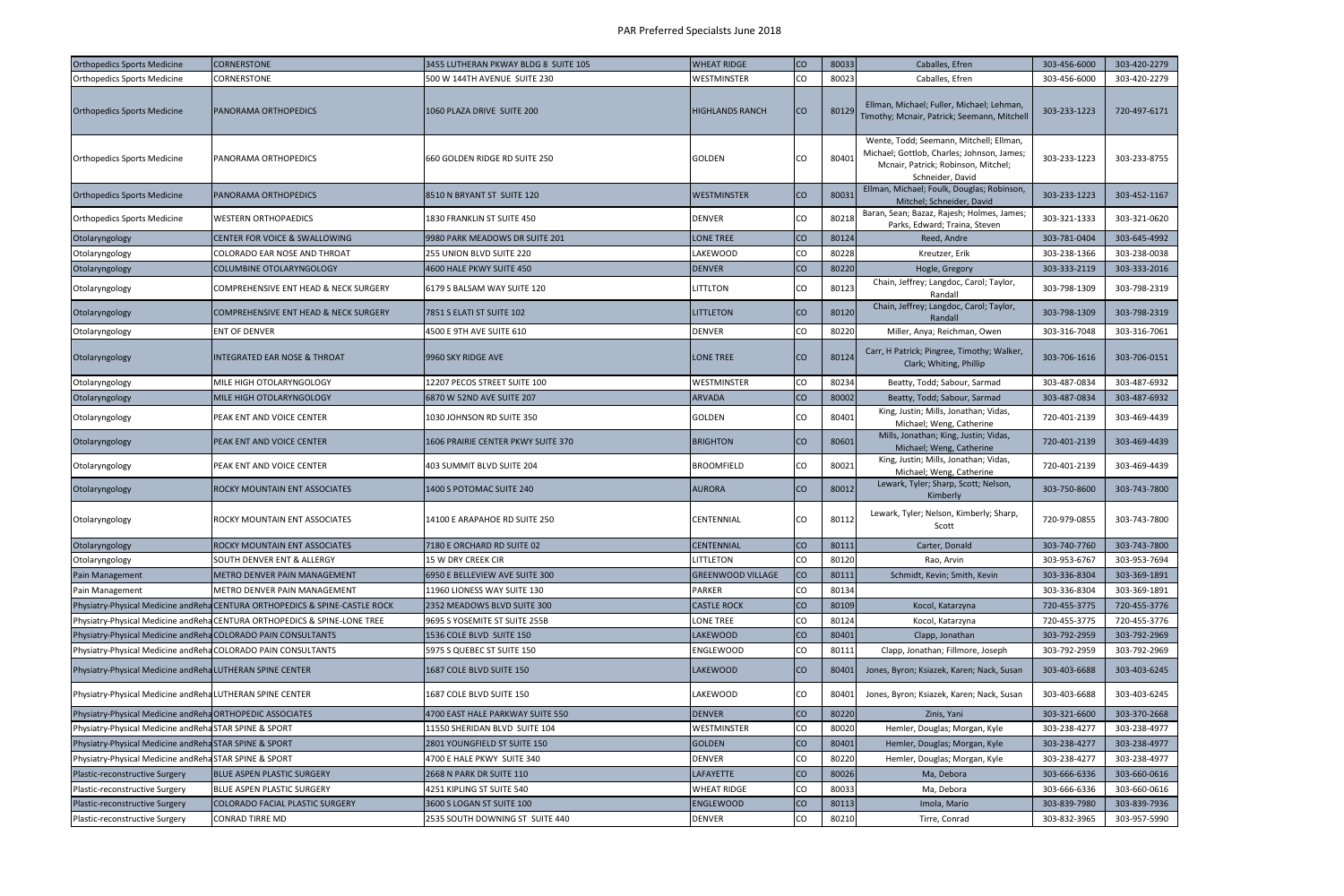| <b>Orthopedics Sports Medicine</b>                             | <b>CORNERSTONE</b>                                                           | 3455 LUTHERAN PKWAY BLDG 8 SUITE 105 | <b>WHEAT RIDGE</b>       | <b>CO</b> | 80033 | Caballes, Efren                                                                                                                                  | 303-456-6000 | 303-420-2279 |
|----------------------------------------------------------------|------------------------------------------------------------------------------|--------------------------------------|--------------------------|-----------|-------|--------------------------------------------------------------------------------------------------------------------------------------------------|--------------|--------------|
| <b>Orthopedics Sports Medicine</b>                             | CORNERSTONE                                                                  | 500 W 144TH AVENUE SUITE 230         | WESTMINSTER              | lco       | 80023 | Caballes, Efren                                                                                                                                  | 303-456-6000 | 303-420-2279 |
| <b>Orthopedics Sports Medicine</b>                             | PANORAMA ORTHOPEDICS                                                         | 1060 PLAZA DRIVE SUITE 200           | <b>HIGHLANDS RANCH</b>   | ICO       | 80129 | Ellman, Michael; Fuller, Michael; Lehman,<br>Timothy; Mcnair, Patrick; Seemann, Mitchell                                                         | 303-233-1223 | 720-497-6171 |
| <b>Orthopedics Sports Medicine</b>                             | PANORAMA ORTHOPEDICS                                                         | 660 GOLDEN RIDGE RD SUITE 250        | <b>GOLDEN</b>            | ICO       | 80401 | Wente, Todd; Seemann, Mitchell; Ellman,<br>Michael; Gottlob, Charles; Johnson, James;<br>Mcnair, Patrick; Robinson, Mitchel;<br>Schneider, David | 303-233-1223 | 303-233-8755 |
| <b>Orthopedics Sports Medicine</b>                             | PANORAMA ORTHOPEDICS                                                         | 8510 N BRYANT ST SUITE 120           | <b>WESTMINSTER</b>       | Ico       | 80031 | Ellman, Michael; Foulk, Douglas; Robinson,<br>Mitchel; Schneider, David                                                                          | 303-233-1223 | 303-452-1167 |
| <b>Orthopedics Sports Medicine</b>                             | <b>WESTERN ORTHOPAEDICS</b>                                                  | 1830 FRANKLIN ST SUITE 450           | <b>DENVER</b>            | ICO       | 8021  | Baran, Sean; Bazaz, Rajesh; Holmes, James;<br>Parks, Edward; Traina, Steven                                                                      | 303-321-1333 | 303-321-0620 |
| Otolaryngology                                                 | CENTER FOR VOICE & SWALLOWING                                                | 9980 PARK MEADOWS DR SUITE 201       | LONE TREE                | Ico       | 80124 | Reed, Andre                                                                                                                                      | 303-781-0404 | 303-645-4992 |
| Otolaryngology                                                 | COLORADO EAR NOSE AND THROAT                                                 | 255 UNION BLVD SUITE 220             | <b>LAKEWOOD</b>          | lco       | 80228 | Kreutzer, Erik                                                                                                                                   | 303-238-1366 | 303-238-0038 |
| Otolaryngology                                                 | <b>COLUMBINE OTOLARYNGOLOGY</b>                                              | 4600 HALE PKWY SUITE 450             | <b>DENVER</b>            | Ico       | 80220 | Hogle, Gregory                                                                                                                                   | 303-333-2119 | 303-333-2016 |
| Otolaryngology                                                 | COMPREHENSIVE ENT HEAD & NECK SURGERY                                        | 6179 S BALSAM WAY SUITE 120          | <b>LITTLTON</b>          | ICO.      | 80123 | Chain, Jeffrey; Langdoc, Carol; Taylor,<br>Randall                                                                                               | 303-798-1309 | 303-798-2319 |
| Otolaryngology                                                 | <b>COMPREHENSIVE ENT HEAD &amp; NECK SURGERY</b>                             | 7851 S ELATI ST SUITE 102            | <b>LITTLETON</b>         | ICO       | 80120 | Chain, Jeffrey; Langdoc, Carol; Taylor,<br>Randall                                                                                               | 303-798-1309 | 303-798-2319 |
| Otolaryngology                                                 | ENT OF DENVER                                                                | 4500 E 9TH AVE SUITE 610             | <b>DENVER</b>            | ICO       | 80220 | Miller, Anya; Reichman, Owen                                                                                                                     | 303-316-7048 | 303-316-7061 |
| Otolaryngology                                                 | <b>INTEGRATED EAR NOSE &amp; THROAT</b>                                      | 9960 SKY RIDGE AVE                   | <b>LONE TREE</b>         | ICO       | 80124 | Carr, H Patrick; Pingree, Timothy; Walker,<br>Clark; Whiting, Phillip                                                                            | 303-706-1616 | 303-706-0151 |
| Otolaryngology                                                 | MILE HIGH OTOLARYNGOLOGY                                                     | 12207 PECOS STREET SUITE 100         | <b>WESTMINSTER</b>       | lco       | 80234 | Beatty, Todd; Sabour, Sarmad                                                                                                                     | 303-487-0834 | 303-487-6932 |
| Otolaryngology                                                 | MILE HIGH OTOLARYNGOLOGY                                                     | 6870 W 52ND AVE SUITE 207            | <b>ARVADA</b>            | Ico       | 80002 | Beatty, Todd; Sabour, Sarmad                                                                                                                     | 303-487-0834 | 303-487-6932 |
| Otolaryngology                                                 | PEAK ENT AND VOICE CENTER                                                    | 1030 JOHNSON RD SUITE 350            | <b>GOLDEN</b>            | ICO       | 80401 | King, Justin; Mills, Jonathan; Vidas,<br>Michael; Weng, Catherine                                                                                | 720-401-2139 | 303-469-4439 |
| Otolaryngology                                                 | PEAK ENT AND VOICE CENTER                                                    | 1606 PRAIRIE CENTER PKWY SUITE 370   | <b>BRIGHTON</b>          | ICO       | 80601 | Mills, Jonathan; King, Justin; Vidas,<br>Michael; Weng, Catherine                                                                                | 720-401-2139 | 303-469-4439 |
| Otolaryngology                                                 | PEAK ENT AND VOICE CENTER                                                    | 403 SUMMIT BLVD SUITE 204            | <b>BROOMFIELD</b>        | ICO       | 80021 | King, Justin; Mills, Jonathan; Vidas,<br>Michael; Weng, Catherine                                                                                | 720-401-2139 | 303-469-4439 |
| Otolaryngology                                                 | ROCKY MOUNTAIN ENT ASSOCIATES                                                | 1400 S POTOMAC SUITE 240             | <b>AURORA</b>            | ICO       | 80012 | Lewark, Tyler; Sharp, Scott; Nelson,<br>Kimberly                                                                                                 | 303-750-8600 | 303-743-7800 |
| Otolaryngology                                                 | ROCKY MOUNTAIN ENT ASSOCIATES                                                | 14100 E ARAPAHOE RD SUITE 250        | <b>CENTENNIAL</b>        | <b>CO</b> | 80112 | Lewark, Tyler; Nelson, Kimberly; Sharp,<br>Scott                                                                                                 | 720-979-0855 | 303-743-7800 |
| Otolaryngology                                                 | ROCKY MOUNTAIN ENT ASSOCIATES                                                | 7180 E ORCHARD RD SUITE 02           | <b>CENTENNIAL</b>        | lco       | 80111 | Carter, Donald                                                                                                                                   | 303-740-7760 | 303-743-7800 |
| Otolaryngology                                                 | SOUTH DENVER ENT & ALLERGY                                                   | 15 W DRY CREEK CIR                   | LITTLETON                | <b>CO</b> | 80120 | Rao, Arvin                                                                                                                                       | 303-953-6767 | 303-953-7694 |
| Pain Management                                                | METRO DENVER PAIN MANAGEMENT                                                 | 6950 E BELLEVIEW AVE SUITE 300       | <b>GREENWOOD VILLAGE</b> | <b>CO</b> | 80111 | Schmidt, Kevin; Smith, Kevin                                                                                                                     | 303-336-8304 | 303-369-1891 |
| Pain Management                                                | METRO DENVER PAIN MANAGEMENT                                                 | 11960 LIONESS WAY SUITE 130          | <b>PARKER</b>            | <b>CO</b> | 80134 |                                                                                                                                                  | 303-336-8304 | 303-369-1891 |
|                                                                | Physiatry-Physical Medicine and Reha CENTURA ORTHOPEDICS & SPINE-CASTLE ROCK | 2352 MEADOWS BLVD SUITE 300          | <b>CASTLE ROCK</b>       | Ico       | 80109 | Kocol, Katarzyna                                                                                                                                 | 720-455-3775 | 720-455-3776 |
|                                                                | Physiatry-Physical Medicine and Reha CENTURA ORTHOPEDICS & SPINE-LONE TREE   | 9695 S YOSEMITE ST SUITE 255B        | <b>LONE TREE</b>         | lCO       | 80124 | Kocol, Katarzyna                                                                                                                                 | 720-455-3775 | 720-455-3776 |
| Physiatry-Physical Medicine and Reha COLORADO PAIN CONSULTANTS |                                                                              | 1536 COLE BLVD SUITE 150             | LAKEWOOD                 | Ico       | 80401 | Clapp, Jonathan                                                                                                                                  | 303-792-2959 | 303-792-2969 |
| Physiatry-Physical Medicine andReha COLORADO PAIN CONSULTANTS  |                                                                              | 5975 S QUEBEC ST SUITE 150           | <b>ENGLEWOOD</b>         | lco       | 80111 | Clapp, Jonathan; Fillmore, Joseph                                                                                                                | 303-792-2959 | 303-792-2969 |
| Physiatry-Physical Medicine and RehaLUTHERAN SPINE CENTER      |                                                                              | 1687 COLE BLVD SUITE 150             | LAKEWOOD                 | Ico       | 80401 | Jones, Byron; Ksiazek, Karen; Nack, Susan                                                                                                        | 303-403-6688 | 303-403-6245 |
| Physiatry-Physical Medicine and Reha LUTHERAN SPINE CENTER     |                                                                              | 1687 COLE BLVD SUITE 150             | <b>LAKEWOOD</b>          | lco       | 80401 | Jones, Byron; Ksiazek, Karen; Nack, Susan                                                                                                        | 303-403-6688 | 303-403-6245 |
| Physiatry-Physical Medicine and Reha ORTHOPEDIC ASSOCIATES     |                                                                              | 4700 EAST HALE PARKWAY SUITE 550     | <b>DENVER</b>            | <b>CO</b> | 80220 | Zinis, Yani                                                                                                                                      | 303-321-6600 | 303-370-2668 |
| Physiatry-Physical Medicine andRehaSTAR SPINE & SPORT          |                                                                              | 11550 SHERIDAN BLVD SUITE 104        | WESTMINSTER              | <b>CO</b> | 80020 | Hemler, Douglas; Morgan, Kyle                                                                                                                    | 303-238-4277 | 303-238-4977 |
| Physiatry-Physical Medicine andReha STAR SPINE & SPORT         |                                                                              | 2801 YOUNGFIELD ST SUITE 150         | GOLDEN                   | lco       | 80401 | Hemler, Douglas; Morgan, Kyle                                                                                                                    | 303-238-4277 | 303-238-4977 |
| Physiatry-Physical Medicine andRehaSTAR SPINE & SPORT          |                                                                              | 4700 E HALE PKWY SUITE 340           | <b>DENVER</b>            | <b>CO</b> | 80220 | Hemler, Douglas; Morgan, Kyle                                                                                                                    | 303-238-4277 | 303-238-4977 |
| Plastic-reconstructive Surgery                                 | BLUE ASPEN PLASTIC SURGERY                                                   | 2668 N PARK DR SUITE 110             | <b>LAFAYETTE</b>         | lco       | 80026 | Ma, Debora                                                                                                                                       | 303-666-6336 | 303-660-0616 |
| Plastic-reconstructive Surgery                                 | BLUE ASPEN PLASTIC SURGERY                                                   | 4251 KIPLING ST SUITE 540            | <b>WHEAT RIDGE</b>       | ICO       | 80033 | Ma, Debora                                                                                                                                       | 303-666-6336 | 303-660-0616 |
| Plastic-reconstructive Surgery                                 | COLORADO FACIAL PLASTIC SURGERY                                              | 3600 S LOGAN ST SUITE 100            | <b>ENGLEWOOD</b>         | Ico       | 80113 | Imola, Mario                                                                                                                                     | 303-839-7980 | 303-839-7936 |
| Plastic-reconstructive Surgery                                 | <b>CONRAD TIRRE MD</b>                                                       | 2535 SOUTH DOWNING ST SUITE 440      | <b>DENVER</b>            | <b>CO</b> | 80210 | Tirre, Conrad                                                                                                                                    | 303-832-3965 | 303-957-5990 |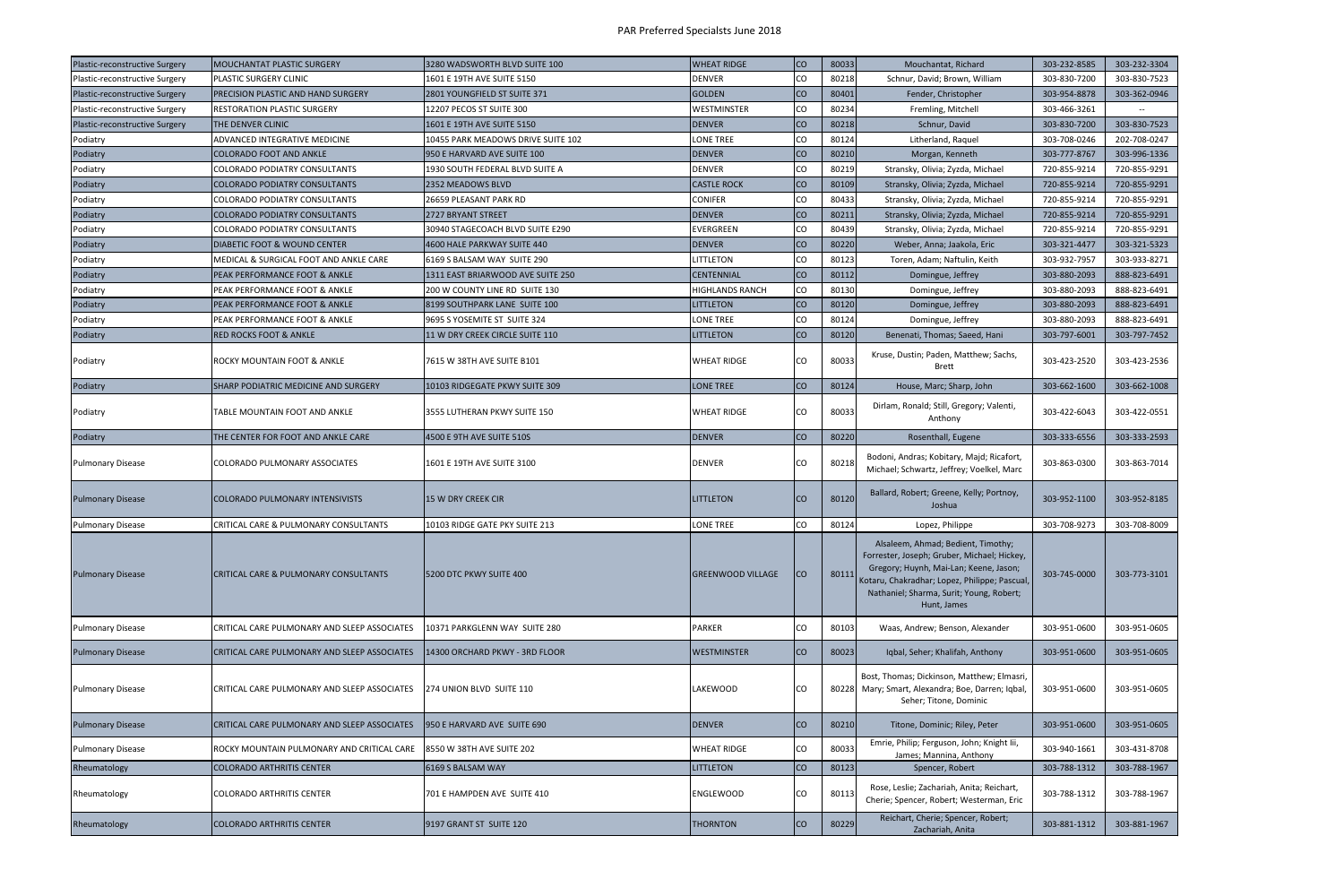| Plastic-reconstructive Surgery | <b>MOUCHANTAT PLASTIC SURGERY</b>            | 3280 WADSWORTH BLVD SUITE 100      | <b>WHEAT RIDGE</b>       | <b>CO</b>   | 80033 | Mouchantat, Richard                                                                                                                                                                                                                     | 303-232-8585 | 303-232-3304 |
|--------------------------------|----------------------------------------------|------------------------------------|--------------------------|-------------|-------|-----------------------------------------------------------------------------------------------------------------------------------------------------------------------------------------------------------------------------------------|--------------|--------------|
| Plastic-reconstructive Surgery | PLASTIC SURGERY CLINIC                       | 1601 E 19TH AVE SUITE 5150         | <b>DENVER</b>            | lco         | 80218 | Schnur, David; Brown, William                                                                                                                                                                                                           | 303-830-7200 | 303-830-7523 |
| Plastic-reconstructive Surgery | PRECISION PLASTIC AND HAND SURGERY           | 2801 YOUNGFIELD ST SUITE 371       | GOLDEN                   | lco         | 80401 | Fender, Christopher                                                                                                                                                                                                                     | 303-954-8878 | 303-362-0946 |
| Plastic-reconstructive Surgery | RESTORATION PLASTIC SURGERY                  | 12207 PECOS ST SUITE 300           | <b>WESTMINSTER</b>       | lco         | 80234 | Fremling, Mitchell                                                                                                                                                                                                                      | 303-466-3261 |              |
| Plastic-reconstructive Surgery | THE DENVER CLINIC                            | 1601 E 19TH AVE SUITE 5150         | <b>DENVER</b>            | Ico         | 80218 | Schnur, David                                                                                                                                                                                                                           | 303-830-7200 | 303-830-7523 |
| Podiatry                       | ADVANCED INTEGRATIVE MEDICINE                | 10455 PARK MEADOWS DRIVE SUITE 102 | <b>LONE TREE</b>         | lco         | 80124 | Litherland, Raquel                                                                                                                                                                                                                      | 303-708-0246 | 202-708-0247 |
| Podiatry                       | <b>COLORADO FOOT AND ANKLE</b>               | 950 E HARVARD AVE SUITE 100        | <b>DENVER</b>            | Ico         | 80210 | Morgan, Kenneth                                                                                                                                                                                                                         | 303-777-8767 | 303-996-1336 |
| Podiatry                       | COLORADO PODIATRY CONSULTANTS                | 1930 SOUTH FEDERAL BLVD SUITE A    | <b>DENVER</b>            | ICO         | 80219 | Stransky, Olivia; Zyzda, Michael                                                                                                                                                                                                        | 720-855-9214 | 720-855-9291 |
| Podiatry                       | <b>COLORADO PODIATRY CONSULTANTS</b>         | 2352 MEADOWS BLVD                  | <b>CASTLE ROCK</b>       | <b>CO</b>   | 80109 | Stransky, Olivia; Zyzda, Michael                                                                                                                                                                                                        | 720-855-9214 | 720-855-9291 |
| Podiatry                       | COLORADO PODIATRY CONSULTANTS                | 26659 PLEASANT PARK RD             | <b>CONIFER</b>           | lco         | 80433 | Stransky, Olivia; Zyzda, Michael                                                                                                                                                                                                        | 720-855-9214 | 720-855-9291 |
| Podiatry                       | <b>COLORADO PODIATRY CONSULTANTS</b>         | 2727 BRYANT STREET                 | <b>DENVER</b>            | <b>CO</b>   | 80211 | Stransky, Olivia; Zyzda, Michael                                                                                                                                                                                                        | 720-855-9214 | 720-855-9291 |
| Podiatry                       | COLORADO PODIATRY CONSULTANTS                | 30940 STAGECOACH BLVD SUITE E290   | <b>EVERGREEN</b>         | <b>CO</b>   | 80439 | Stransky, Olivia; Zyzda, Michael                                                                                                                                                                                                        | 720-855-9214 | 720-855-9291 |
| Podiatry                       | <b>DIABETIC FOOT &amp; WOUND CENTER</b>      | 4600 HALE PARKWAY SUITE 440        | <b>DENVER</b>            | <b>I</b> co | 80220 | Weber, Anna; Jaakola, Eric                                                                                                                                                                                                              | 303-321-4477 | 303-321-5323 |
| Podiatry                       | MEDICAL & SURGICAL FOOT AND ANKLE CARE       | 6169 S BALSAM WAY SUITE 290        | LITTLETON                | lco         | 80123 | Toren, Adam; Naftulin, Keith                                                                                                                                                                                                            | 303-932-7957 | 303-933-8271 |
| Podiatry                       | PEAK PERFORMANCE FOOT & ANKLE                | 1311 EAST BRIARWOOD AVE SUITE 250  | <b>CENTENNIAL</b>        | Ico         | 80112 | Domingue, Jeffrey                                                                                                                                                                                                                       | 303-880-2093 | 888-823-6491 |
| Podiatry                       | PEAK PERFORMANCE FOOT & ANKLE                | 200 W COUNTY LINE RD SUITE 130     | <b>HIGHLANDS RANCH</b>   | <b>CO</b>   | 80130 | Domingue, Jeffrey                                                                                                                                                                                                                       | 303-880-2093 | 888-823-6491 |
| Podiatry                       | PEAK PERFORMANCE FOOT & ANKLE                | 8199 SOUTHPARK LANE SUITE 100      | <b>LITTLETON</b>         | Ico         | 80120 | Domingue, Jeffrey                                                                                                                                                                                                                       | 303-880-2093 | 888-823-6491 |
| Podiatry                       | PEAK PERFORMANCE FOOT & ANKLE                | 9695 S YOSEMITE ST SUITE 324       | <b>LONE TREE</b>         | lco         | 80124 | Domingue, Jeffrey                                                                                                                                                                                                                       | 303-880-2093 | 888-823-6491 |
| Podiatry                       | <b>RED ROCKS FOOT &amp; ANKLE</b>            | 11 W DRY CREEK CIRCLE SUITE 110    | <b>LITTLETON</b>         | Ico         | 80120 | Benenati, Thomas; Saeed, Hani                                                                                                                                                                                                           | 303-797-6001 | 303-797-7452 |
| Podiatry                       | ROCKY MOUNTAIN FOOT & ANKLE                  | 7615 W 38TH AVE SUITE B101         | <b>WHEAT RIDGE</b>       | ICO         | 80033 | Kruse, Dustin; Paden, Matthew; Sachs,<br><b>Brett</b>                                                                                                                                                                                   | 303-423-2520 | 303-423-2536 |
| Podiatry                       | SHARP PODIATRIC MEDICINE AND SURGERY         | 10103 RIDGEGATE PKWY SUITE 309     | LONE TREE                | Ico         | 80124 | House, Marc; Sharp, John                                                                                                                                                                                                                | 303-662-1600 | 303-662-1008 |
| Podiatry                       | TABLE MOUNTAIN FOOT AND ANKLE                | 3555 LUTHERAN PKWY SUITE 150       | <b>WHEAT RIDGE</b>       | Ico         | 80033 | Dirlam, Ronald; Still, Gregory; Valenti,<br>Anthony                                                                                                                                                                                     | 303-422-6043 | 303-422-0551 |
| Podiatry                       | THE CENTER FOR FOOT AND ANKLE CARE           | 4500 E 9TH AVE SUITE 510S          | <b>DENVER</b>            | <b>CO</b>   | 80220 | Rosenthall, Eugene                                                                                                                                                                                                                      | 303-333-6556 | 303-333-2593 |
| <b>Pulmonary Disease</b>       | COLORADO PULMONARY ASSOCIATES                | 1601 E 19TH AVE SUITE 3100         | <b>DENVER</b>            | ICO         | 80218 | Bodoni, Andras; Kobitary, Majd; Ricafort,<br>Michael; Schwartz, Jeffrey; Voelkel, Marc                                                                                                                                                  | 303-863-0300 | 303-863-7014 |
| <b>Pulmonary Disease</b>       | <b>COLORADO PULMONARY INTENSIVISTS</b>       | 15 W DRY CREEK CIR                 | <b>LITTLETON</b>         | ICO         | 80120 | Ballard, Robert; Greene, Kelly; Portnoy,<br>Joshua                                                                                                                                                                                      | 303-952-1100 | 303-952-8185 |
| <b>Pulmonary Disease</b>       | CRITICAL CARE & PULMONARY CONSULTANTS        | 10103 RIDGE GATE PKY SUITE 213     | LONE TREE                | ICO         | 80124 | Lopez, Philippe                                                                                                                                                                                                                         | 303-708-9273 | 303-708-8009 |
| <b>Pulmonary Disease</b>       | CRITICAL CARE & PULMONARY CONSULTANTS        | 5200 DTC PKWY SUITE 400            | <b>GREENWOOD VILLAGE</b> | ICO         | 80111 | Alsaleem, Ahmad; Bedient, Timothy;<br>Forrester, Joseph; Gruber, Michael; Hickey,<br>Gregory; Huynh, Mai-Lan; Keene, Jason;<br>Kotaru, Chakradhar; Lopez, Philippe; Pascual,<br>Nathaniel; Sharma, Surit; Young, Robert;<br>Hunt, James | 303-745-0000 | 303-773-3101 |
| <b>Pulmonary Disease</b>       | CRITICAL CARE PULMONARY AND SLEEP ASSOCIATES | 10371 PARKGLENN WAY SUITE 280      | <b>PARKER</b>            | ICO         | 80103 | Waas, Andrew; Benson, Alexander                                                                                                                                                                                                         | 303-951-0600 | 303-951-0605 |
| <b>Pulmonary Disease</b>       | CRITICAL CARE PULMONARY AND SLEEP ASSOCIATES | 14300 ORCHARD PKWY - 3RD FLOOR     | <b>WESTMINSTER</b>       | Ico         | 80023 | Iqbal, Seher; Khalifah, Anthony                                                                                                                                                                                                         | 303-951-0600 | 303-951-0605 |
| <b>Pulmonary Disease</b>       | CRITICAL CARE PULMONARY AND SLEEP ASSOCIATES | 274 UNION BLVD SUITE 110           | <b>LAKEWOOD</b>          | ICO         |       | Bost, Thomas; Dickinson, Matthew; Elmasri,<br>80228 Mary; Smart, Alexandra; Boe, Darren; Iqbal,<br>Seher; Titone, Dominic                                                                                                               | 303-951-0600 | 303-951-0605 |
| <b>Pulmonary Disease</b>       | CRITICAL CARE PULMONARY AND SLEEP ASSOCIATES | 950 E HARVARD AVE SUITE 690        | <b>DENVER</b>            | Ico         | 80210 | Titone, Dominic; Riley, Peter                                                                                                                                                                                                           | 303-951-0600 | 303-951-0605 |
| <b>Pulmonary Disease</b>       | ROCKY MOUNTAIN PULMONARY AND CRITICAL CARE   | 8550 W 38TH AVE SUITE 202          | <b>WHEAT RIDGE</b>       | ICO         | 80033 | Emrie, Philip; Ferguson, John; Knight Iii,<br>James; Mannina, Anthony                                                                                                                                                                   | 303-940-1661 | 303-431-8708 |
| Rheumatology                   | <b>COLORADO ARTHRITIS CENTER</b>             | 6169 S BALSAM WAY                  | <b>LITTLETON</b>         | <b>CO</b>   | 80123 | Spencer, Robert                                                                                                                                                                                                                         | 303-788-1312 | 303-788-1967 |
| Rheumatology                   |                                              |                                    |                          |             |       | Rose, Leslie; Zachariah, Anita; Reichart,                                                                                                                                                                                               |              |              |
|                                | <b>COLORADO ARTHRITIS CENTER</b>             | 701 E HAMPDEN AVE SUITE 410        | <b>ENGLEWOOD</b>         | ICO         | 80113 | Cherie; Spencer, Robert; Westerman, Eric                                                                                                                                                                                                | 303-788-1312 | 303-788-1967 |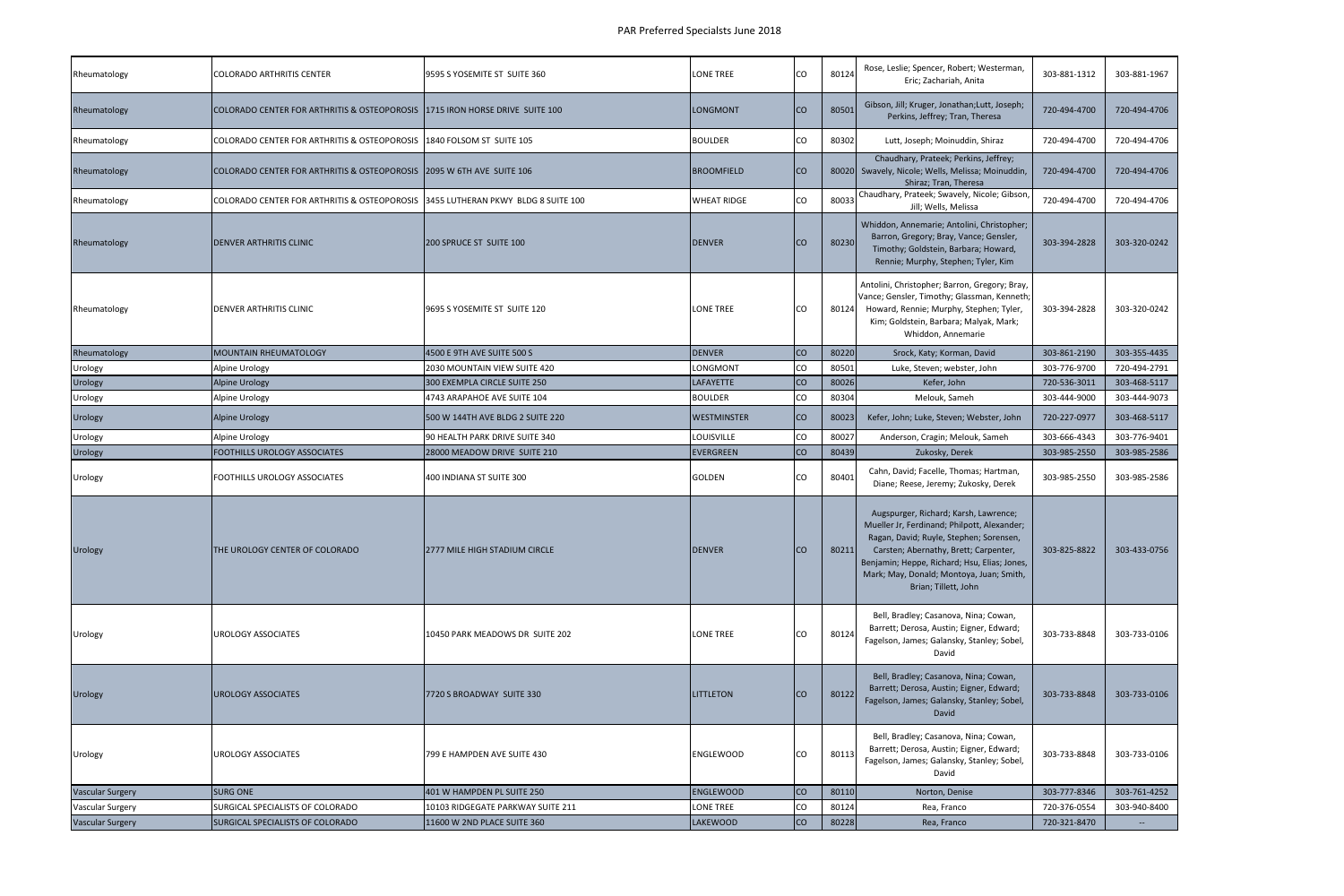| Rheumatology            | <b>COLORADO ARTHRITIS CENTER</b>                                                 | 9595 S YOSEMITE ST SUITE 360      | LONE TREE          | CO.       | 80124 | Rose, Leslie; Spencer, Robert; Westerman,<br>Eric; Zachariah, Anita                                                                                                                                                                                                                          | 303-881-1312 | 303-881-1967 |
|-------------------------|----------------------------------------------------------------------------------|-----------------------------------|--------------------|-----------|-------|----------------------------------------------------------------------------------------------------------------------------------------------------------------------------------------------------------------------------------------------------------------------------------------------|--------------|--------------|
| Rheumatology            | COLORADO CENTER FOR ARTHRITIS & OSTEOPOROSIS 1715 IRON HORSE DRIVE SUITE 100     |                                   | LONGMONT           | <b>CO</b> | 80501 | Gibson, Jill; Kruger, Jonathan;Lutt, Joseph;<br>Perkins, Jeffrey; Tran, Theresa                                                                                                                                                                                                              | 720-494-4700 | 720-494-4706 |
| Rheumatology            | COLORADO CENTER FOR ARTHRITIS & OSTEOPOROSIS 1840 FOLSOM ST SUITE 105            |                                   | <b>BOULDER</b>     | CO        | 80302 | Lutt, Joseph; Moinuddin, Shiraz                                                                                                                                                                                                                                                              | 720-494-4700 | 720-494-4706 |
| Rheumatology            | COLORADO CENTER FOR ARTHRITIS & OSTEOPOROSIS 2095 W 6TH AVE SUITE 106            |                                   | BROOMFIELD         | <b>CO</b> |       | Chaudhary, Prateek; Perkins, Jeffrey;<br>80020 Swavely, Nicole; Wells, Melissa; Moinuddin,<br>Shiraz; Tran, Theresa                                                                                                                                                                          | 720-494-4700 | 720-494-4706 |
| Rheumatology            | COLORADO CENTER FOR ARTHRITIS & OSTEOPOROSIS 3455 LUTHERAN PKWY BLDG 8 SUITE 100 |                                   | <b>WHEAT RIDGE</b> | CO        | 80033 | Chaudhary, Prateek; Swavely, Nicole; Gibson,<br>Jill; Wells, Melissa                                                                                                                                                                                                                         | 720-494-4700 | 720-494-4706 |
| Rheumatology            | DENVER ARTHRITIS CLINIC                                                          | 200 SPRUCE ST SUITE 100           | <b>DENVER</b>      | CO        | 80230 | Whiddon, Annemarie; Antolini, Christopher;<br>Barron, Gregory; Bray, Vance; Gensler,<br>Timothy; Goldstein, Barbara; Howard,<br>Rennie; Murphy, Stephen; Tyler, Kim                                                                                                                          | 303-394-2828 | 303-320-0242 |
| Rheumatology            | <b>IDENVER ARTHRITIS CLINIC</b>                                                  | 9695 S YOSEMITE ST SUITE 120      | LONE TREE          | CO        | 80124 | Antolini, Christopher; Barron, Gregory; Bray,<br>Vance; Gensler, Timothy; Glassman, Kenneth;<br>Howard, Rennie; Murphy, Stephen; Tyler,<br>Kim; Goldstein, Barbara; Malyak, Mark;<br>Whiddon, Annemarie                                                                                      | 303-394-2828 | 303-320-0242 |
| Rheumatology            | <b>MOUNTAIN RHEUMATOLOGY</b>                                                     | 4500 E 9TH AVE SUITE 500 S        | <b>DENVER</b>      | <b>CO</b> | 80220 | Srock, Katy; Korman, David                                                                                                                                                                                                                                                                   | 303-861-2190 | 303-355-4435 |
| Urology                 | Alpine Urology                                                                   | 2030 MOUNTAIN VIEW SUITE 420      | LONGMONT           | CO        | 80501 | Luke, Steven; webster, John                                                                                                                                                                                                                                                                  | 303-776-9700 | 720-494-2791 |
| Urology                 | <b>Alpine Urology</b>                                                            | 300 EXEMPLA CIRCLE SUITE 250      | <b>LAFAYETTE</b>   | <b>CO</b> | 80026 | Kefer, John                                                                                                                                                                                                                                                                                  | 720-536-3011 | 303-468-5117 |
| Urology                 | Alpine Urology                                                                   | 4743 ARAPAHOE AVE SUITE 104       | BOULDER            | CO        | 80304 | Melouk, Sameh                                                                                                                                                                                                                                                                                | 303-444-9000 | 303-444-9073 |
| Urology                 | <b>Alpine Urology</b>                                                            | 500 W 144TH AVE BLDG 2 SUITE 220  | WESTMINSTER        | <b>CO</b> | 80023 | Kefer, John; Luke, Steven; Webster, John                                                                                                                                                                                                                                                     | 720-227-0977 | 303-468-5117 |
| Urology                 | <b>Alpine Urology</b>                                                            | 90 HEALTH PARK DRIVE SUITE 340    | LOUISVILLE         | CO        | 80027 | Anderson, Cragin; Melouk, Sameh                                                                                                                                                                                                                                                              | 303-666-4343 | 303-776-9401 |
|                         |                                                                                  |                                   |                    |           |       |                                                                                                                                                                                                                                                                                              |              |              |
| Urology                 | FOOTHILLS UROLOGY ASSOCIATES                                                     | 28000 MEADOW DRIVE SUITE 210      | <b>EVERGREEN</b>   | co        | 80439 | Zukosky, Derek                                                                                                                                                                                                                                                                               | 303-985-2550 | 303-985-2586 |
| Urology                 | FOOTHILLS UROLOGY ASSOCIATES                                                     | 400 INDIANA ST SUITE 300          | <b>GOLDEN</b>      | CO        | 80401 | Cahn, David; Facelle, Thomas; Hartman,<br>Diane; Reese, Jeremy; Zukosky, Derek                                                                                                                                                                                                               | 303-985-2550 | 303-985-2586 |
| Urology                 | THE UROLOGY CENTER OF COLORADO                                                   | 2777 MILE HIGH STADIUM CIRCLE     | <b>DENVER</b>      | <b>CO</b> | 80211 | Augspurger, Richard; Karsh, Lawrence;<br>Mueller Jr, Ferdinand; Philpott, Alexander;<br>Ragan, David; Ruyle, Stephen; Sorensen,<br>Carsten; Abernathy, Brett; Carpenter,<br>Benjamin; Heppe, Richard; Hsu, Elias; Jones,<br>Mark; May, Donald; Montoya, Juan; Smith,<br>Brian; Tillett, John | 303-825-8822 | 303-433-0756 |
| Urology                 | <b>UROLOGY ASSOCIATES</b>                                                        | 10450 PARK MEADOWS DR SUITE 202   | <b>LONE TREE</b>   | CO        | 80124 | Bell, Bradley; Casanova, Nina; Cowan,<br>Barrett; Derosa, Austin; Eigner, Edward;<br>Fagelson, James; Galansky, Stanley; Sobel,<br>David                                                                                                                                                     | 303-733-8848 | 303-733-0106 |
| Urology                 | <b>UROLOGY ASSOCIATES</b>                                                        | 7720 S BROADWAY SUITE 330         | <b>LITTLETON</b>   | <b>CO</b> | 80122 | Bell, Bradley; Casanova, Nina; Cowan,<br>Barrett; Derosa, Austin; Eigner, Edward;<br>Fagelson, James; Galansky, Stanley; Sobel,<br>David                                                                                                                                                     | 303-733-8848 | 303-733-0106 |
| Urology                 | <b>UROLOGY ASSOCIATES</b>                                                        | 799 E HAMPDEN AVE SUITE 430       | ENGLEWOOD          | CO        | 80113 | Bell, Bradley; Casanova, Nina; Cowan,<br>Barrett; Derosa, Austin; Eigner, Edward;<br>Fagelson, James; Galansky, Stanley; Sobel,<br>David                                                                                                                                                     | 303-733-8848 | 303-733-0106 |
| <b>Vascular Surgery</b> | <b>SURG ONE</b>                                                                  | 401 W HAMPDEN PL SUITE 250        | <b>ENGLEWOOD</b>   | co        | 80110 | Norton, Denise                                                                                                                                                                                                                                                                               | 303-777-8346 | 303-761-4252 |
| Vascular Surgery        | SURGICAL SPECIALISTS OF COLORADO                                                 | 10103 RIDGEGATE PARKWAY SUITE 211 | LONE TREE          | CO        | 80124 | Rea, Franco                                                                                                                                                                                                                                                                                  | 720-376-0554 | 303-940-8400 |